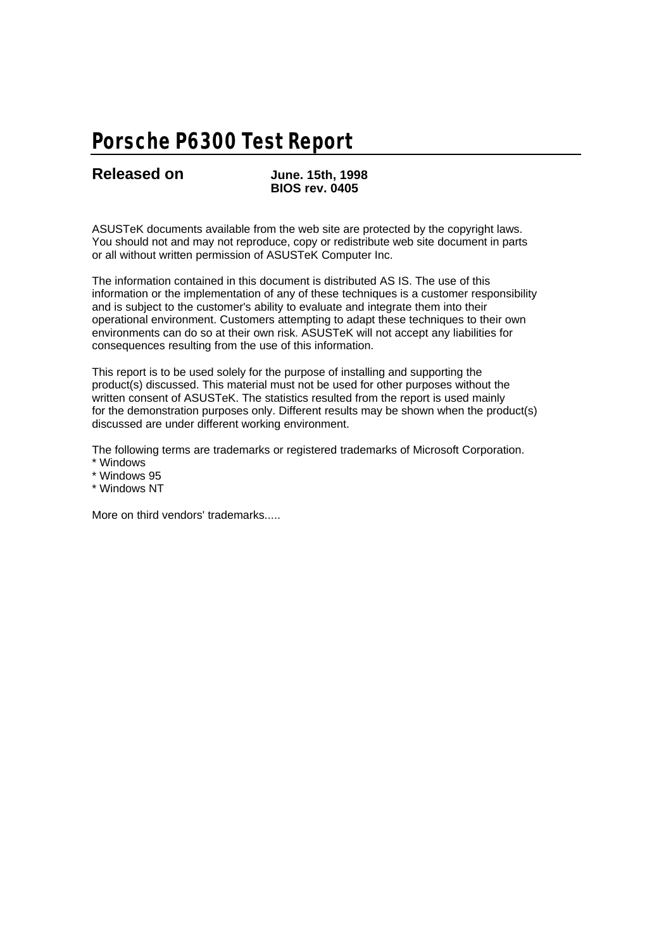# **Porsche P6300 Test Report**

**Released on June. 15th, 1998 BIOS rev. 0405**

ASUSTeK documents available from the web site are protected by the copyright laws. You should not and may not reproduce, copy or redistribute web site document in parts or all without written permission of ASUSTeK Computer Inc.

The information contained in this document is distributed AS IS. The use of this information or the implementation of any of these techniques is a customer responsibility and is subject to the customer's ability to evaluate and integrate them into their operational environment. Customers attempting to adapt these techniques to their own environments can do so at their own risk. ASUSTeK will not accept any liabilities for consequences resulting from the use of this information.

This report is to be used solely for the purpose of installing and supporting the product(s) discussed. This material must not be used for other purposes without the written consent of ASUSTeK. The statistics resulted from the report is used mainly for the demonstration purposes only. Different results may be shown when the product(s) discussed are under different working environment.

The following terms are trademarks or registered trademarks of Microsoft Corporation.

- \* Windows
- \* Windows 95
- \* Windows NT

More on third vendors' trademarks.....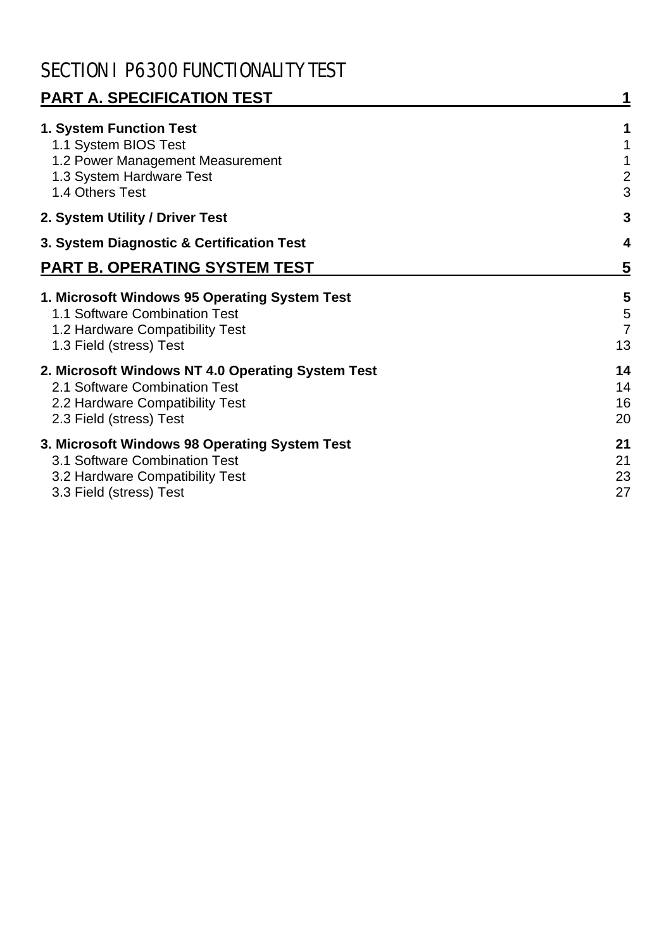# SECTION I P6300 FUNCTIONALITY TEST

| <b>PART A. SPECIFICATION TEST</b>                                                                                                                |                                |
|--------------------------------------------------------------------------------------------------------------------------------------------------|--------------------------------|
| 1. System Function Test<br>1.1 System BIOS Test<br>1.2 Power Management Measurement<br>1.3 System Hardware Test<br>1.4 Others Test               | 1<br>$\overline{2}$<br>3       |
| 2. System Utility / Driver Test                                                                                                                  | 3                              |
| 3. System Diagnostic & Certification Test                                                                                                        | $\boldsymbol{4}$               |
| PART B. OPERATING SYSTEM TEST                                                                                                                    | 5                              |
| 1. Microsoft Windows 95 Operating System Test<br>1.1 Software Combination Test<br>1.2 Hardware Compatibility Test<br>1.3 Field (stress) Test     | 5<br>5<br>$\overline{7}$<br>13 |
| 2. Microsoft Windows NT 4.0 Operating System Test<br>2.1 Software Combination Test<br>2.2 Hardware Compatibility Test<br>2.3 Field (stress) Test | 14<br>14<br>16<br>20           |
| 3. Microsoft Windows 98 Operating System Test<br>3.1 Software Combination Test<br>3.2 Hardware Compatibility Test<br>3.3 Field (stress) Test     | 21<br>21<br>23<br>27           |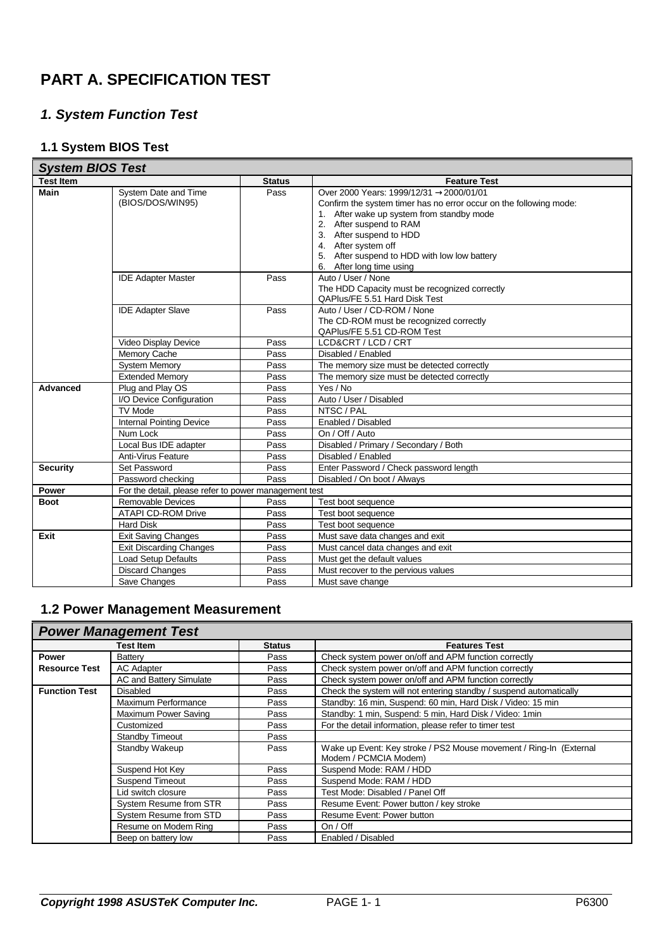## **PART A. SPECIFICATION TEST**

## *1. System Function Test*

## **1.1 System BIOS Test**

| <b>System BIOS Test</b> |                                                       |               |                                                                                                                                                                                                                                                                                                                      |
|-------------------------|-------------------------------------------------------|---------------|----------------------------------------------------------------------------------------------------------------------------------------------------------------------------------------------------------------------------------------------------------------------------------------------------------------------|
| <b>Test Item</b>        |                                                       | <b>Status</b> | <b>Feature Test</b>                                                                                                                                                                                                                                                                                                  |
| <b>Main</b>             | System Date and Time<br>(BIOS/DOS/WIN95)              | Pass          | Over 2000 Years: 1999/12/31 → 2000/01/01<br>Confirm the system timer has no error occur on the following mode:<br>1. After wake up system from standby mode<br>2. After suspend to RAM<br>3. After suspend to HDD<br>4. After system off<br>5. After suspend to HDD with low low battery<br>6. After long time using |
|                         | <b>IDE Adapter Master</b>                             | Pass          | Auto / User / None<br>The HDD Capacity must be recognized correctly<br>QAPlus/FE 5.51 Hard Disk Test                                                                                                                                                                                                                 |
|                         | <b>IDE Adapter Slave</b>                              | Pass          | Auto / User / CD-ROM / None<br>The CD-ROM must be recognized correctly<br>QAPlus/FE 5.51 CD-ROM Test                                                                                                                                                                                                                 |
|                         | Video Display Device                                  | Pass          | LCD&CRT / LCD / CRT                                                                                                                                                                                                                                                                                                  |
|                         | Memory Cache                                          | Pass          | Disabled / Enabled                                                                                                                                                                                                                                                                                                   |
|                         | <b>System Memory</b>                                  | Pass          | The memory size must be detected correctly                                                                                                                                                                                                                                                                           |
|                         | <b>Extended Memory</b>                                | Pass          | The memory size must be detected correctly                                                                                                                                                                                                                                                                           |
| Advanced                | Plug and Play OS                                      | Pass          | Yes / No                                                                                                                                                                                                                                                                                                             |
|                         | I/O Device Configuration                              | Pass          | Auto / User / Disabled                                                                                                                                                                                                                                                                                               |
|                         | <b>TV Mode</b>                                        | Pass          | NTSC / PAL                                                                                                                                                                                                                                                                                                           |
|                         | <b>Internal Pointing Device</b>                       | Pass          | Enabled / Disabled                                                                                                                                                                                                                                                                                                   |
|                         | Num Lock                                              | Pass          | On / Off / Auto                                                                                                                                                                                                                                                                                                      |
|                         | Local Bus IDE adapter                                 | Pass          | Disabled / Primary / Secondary / Both                                                                                                                                                                                                                                                                                |
|                         | <b>Anti-Virus Feature</b>                             | Pass          | Disabled / Enabled                                                                                                                                                                                                                                                                                                   |
| <b>Security</b>         | Set Password                                          | Pass          | Enter Password / Check password length                                                                                                                                                                                                                                                                               |
|                         | Password checking                                     | Pass          | Disabled / On boot / Always                                                                                                                                                                                                                                                                                          |
| <b>Power</b>            | For the detail, please refer to power management test |               |                                                                                                                                                                                                                                                                                                                      |
| <b>Boot</b>             | Removable Devices                                     | Pass          | Test boot sequence                                                                                                                                                                                                                                                                                                   |
|                         | <b>ATAPI CD-ROM Drive</b>                             | Pass          | Test boot sequence                                                                                                                                                                                                                                                                                                   |
|                         | <b>Hard Disk</b>                                      | Pass          | Test boot sequence                                                                                                                                                                                                                                                                                                   |
| Exit                    | <b>Exit Saving Changes</b>                            | Pass          | Must save data changes and exit                                                                                                                                                                                                                                                                                      |
|                         | <b>Exit Discarding Changes</b>                        | Pass          | Must cancel data changes and exit                                                                                                                                                                                                                                                                                    |
|                         | <b>Load Setup Defaults</b>                            | Pass          | Must get the default values                                                                                                                                                                                                                                                                                          |
|                         | <b>Discard Changes</b>                                | Pass          | Must recover to the pervious values                                                                                                                                                                                                                                                                                  |
|                         | Save Changes                                          | Pass          | Must save change                                                                                                                                                                                                                                                                                                     |

#### **1.2 Power Management Measurement**

|                      | <b>Power Management Test</b> |               |                                                                    |
|----------------------|------------------------------|---------------|--------------------------------------------------------------------|
|                      | <b>Test Item</b>             | <b>Status</b> | <b>Features Test</b>                                               |
| <b>Power</b>         | Battery                      | Pass          | Check system power on/off and APM function correctly               |
| <b>Resource Test</b> | <b>AC Adapter</b>            | Pass          | Check system power on/off and APM function correctly               |
|                      | AC and Battery Simulate      | Pass          | Check system power on/off and APM function correctly               |
| <b>Function Test</b> | <b>Disabled</b>              | Pass          | Check the system will not entering standby / suspend automatically |
|                      | Maximum Performance          | Pass          | Standby: 16 min, Suspend: 60 min, Hard Disk / Video: 15 min        |
|                      | Maximum Power Saving         | Pass          | Standby: 1 min, Suspend: 5 min, Hard Disk / Video: 1 min           |
|                      | Customized                   | Pass          | For the detail information, please refer to timer test             |
|                      | <b>Standby Timeout</b>       | Pass          |                                                                    |
|                      | Standby Wakeup               | Pass          | Wake up Event: Key stroke / PS2 Mouse movement / Ring-In (External |
|                      |                              |               | Modem / PCMCIA Modem)                                              |
|                      | Suspend Hot Key              | Pass          | Suspend Mode: RAM / HDD                                            |
|                      | <b>Suspend Timeout</b>       | Pass          | Suspend Mode: RAM / HDD                                            |
|                      | Lid switch closure           | Pass          | Test Mode: Disabled / Panel Off                                    |
|                      | System Resume from STR       | Pass          | Resume Event: Power button / key stroke                            |
|                      | System Resume from STD       | Pass          | Resume Event: Power button                                         |
|                      | Resume on Modem Ring         | Pass          | On / Off                                                           |
|                      | Beep on battery low          | Pass          | Enabled / Disabled                                                 |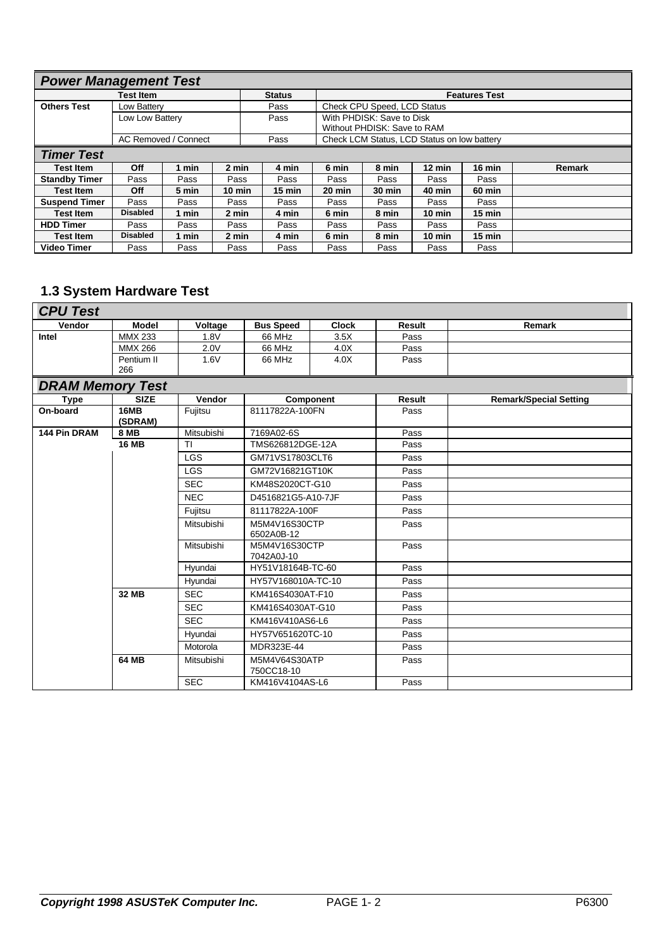| <b>Power Management Test</b> |                  |                      |                  |                  |        |                                             |                  |                      |        |
|------------------------------|------------------|----------------------|------------------|------------------|--------|---------------------------------------------|------------------|----------------------|--------|
|                              | <b>Test Item</b> |                      |                  | <b>Status</b>    |        |                                             |                  | <b>Features Test</b> |        |
| <b>Others Test</b>           | Low Battery      |                      |                  | Pass             |        | Check CPU Speed, LCD Status                 |                  |                      |        |
|                              | Low Low Battery  |                      |                  | Pass             |        | With PHDISK: Save to Disk                   |                  |                      |        |
|                              |                  |                      |                  |                  |        | Without PHDISK: Save to RAM                 |                  |                      |        |
|                              |                  | AC Removed / Connect |                  | Pass             |        | Check LCM Status. LCD Status on low battery |                  |                      |        |
| <b>Timer Test</b>            |                  |                      |                  |                  |        |                                             |                  |                      |        |
| <b>Test Item</b>             | Off              | 1 min                | 2 min            | 4 min            | 6 min  | 8 min                                       | $12 \text{ min}$ | 16 min               | Remark |
| <b>Standby Timer</b>         | Pass             | Pass                 | Pass             | Pass             | Pass   | Pass                                        | Pass             | Pass                 |        |
| <b>Test Item</b>             | Off              | 5 min                | $10 \text{ min}$ | $15 \text{ min}$ | 20 min | 30 min                                      | 40 min           | <b>60 min</b>        |        |
| <b>Suspend Timer</b>         | Pass             | Pass                 | Pass             | Pass             | Pass   | Pass                                        | Pass             | Pass                 |        |
| <b>Test Item</b>             | <b>Disabled</b>  | 1 min                | 2 min            | 4 min            | 6 min  | 8 min                                       | $10 \text{ min}$ | $15 \text{ min}$     |        |
| <b>HDD Timer</b>             | Pass             | Pass                 | Pass             | Pass             | Pass   | Pass                                        | Pass             | Pass                 |        |
| <b>Test Item</b>             | <b>Disabled</b>  | 1 min                | 2 min            | 4 min            | 6 min  | 8 min                                       | $10 \text{ min}$ | $15 \text{ min}$     |        |
| <b>Video Timer</b>           | Pass             | Pass                 | Pass             | Pass             | Pass   | Pass                                        | Pass             | Pass                 |        |

## **1.3 System Hardware Test**

| <b>CPU Test</b> |                |         |                  |              |        |        |
|-----------------|----------------|---------|------------------|--------------|--------|--------|
| Vendor          | Model          | Voltage | <b>Bus Speed</b> | <b>Clock</b> | Result | Remark |
| Intel           | <b>MMX 233</b> | .8V     | 66 MHz           | 3.5X         | Pass   |        |
|                 | <b>MMX 266</b> | 2.0V    | 66 MHz           | 4.0X         | Pass   |        |
|                 | Pentium II     | 1.6V    | 66 MHz           | 4.0X         | Pass   |        |
|                 | 266            |         |                  |              |        |        |
| -------         | $\sim$ $\sim$  |         |                  |              |        |        |

| <b>DRAM Memory Test</b> |                        |            |                             |        |                               |  |  |  |  |
|-------------------------|------------------------|------------|-----------------------------|--------|-------------------------------|--|--|--|--|
| Type                    | <b>SIZE</b>            | Vendor     | Component                   | Result | <b>Remark/Special Setting</b> |  |  |  |  |
| On-board                | <b>16MB</b><br>(SDRAM) | Fujitsu    | 81117822A-100FN             | Pass   |                               |  |  |  |  |
| 144 Pin DRAM            | <b>8 MB</b>            | Mitsubishi | 7169A02-6S                  | Pass   |                               |  |  |  |  |
|                         | <b>16 MB</b>           | <b>TI</b>  | TMS626812DGE-12A            | Pass   |                               |  |  |  |  |
|                         |                        | <b>LGS</b> | GM71VS17803CLT6             | Pass   |                               |  |  |  |  |
|                         |                        | <b>LGS</b> | GM72V16821GT10K             | Pass   |                               |  |  |  |  |
|                         |                        | <b>SEC</b> | KM48S2020CT-G10             | Pass   |                               |  |  |  |  |
|                         |                        | <b>NEC</b> | D4516821G5-A10-7JF          | Pass   |                               |  |  |  |  |
|                         |                        | Fujitsu    | 81117822A-100F              | Pass   |                               |  |  |  |  |
|                         |                        | Mitsubishi | M5M4V16S30CTP<br>6502A0B-12 | Pass   |                               |  |  |  |  |
|                         |                        | Mitsubishi | M5M4V16S30CTP<br>7042A0J-10 | Pass   |                               |  |  |  |  |
|                         |                        | Hyundai    | HY51V18164B-TC-60           | Pass   |                               |  |  |  |  |
|                         |                        | Hyundai    | HY57V168010A-TC-10          | Pass   |                               |  |  |  |  |
|                         | 32 MB                  | <b>SEC</b> | KM416S4030AT-F10            | Pass   |                               |  |  |  |  |
|                         |                        | <b>SEC</b> | KM416S4030AT-G10            | Pass   |                               |  |  |  |  |
|                         |                        | <b>SEC</b> | KM416V410AS6-L6             | Pass   |                               |  |  |  |  |
|                         |                        | Hyundai    | HY57V651620TC-10            | Pass   |                               |  |  |  |  |
|                         |                        | Motorola   | MDR323E-44                  | Pass   |                               |  |  |  |  |
|                         | 64 MB                  | Mitsubishi | M5M4V64S30ATP<br>750CC18-10 | Pass   |                               |  |  |  |  |
|                         |                        | <b>SEC</b> | KM416V4104AS-L6             | Pass   |                               |  |  |  |  |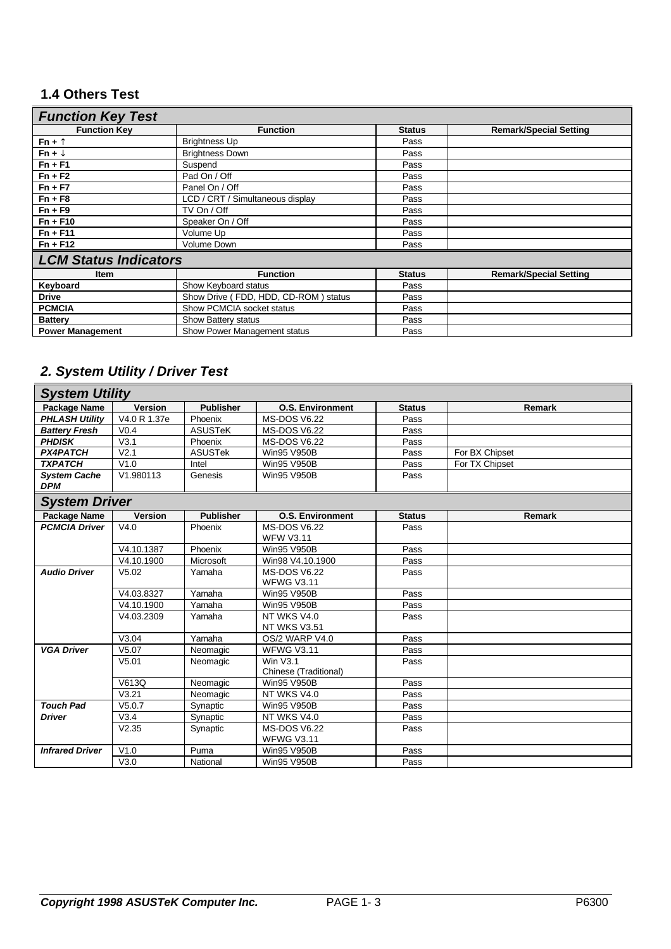## **1.4 Others Test**

| <b>Function Key Test</b>     |                                      |               |                               |  |  |  |  |  |  |
|------------------------------|--------------------------------------|---------------|-------------------------------|--|--|--|--|--|--|
| <b>Function Key</b>          | <b>Function</b>                      | <b>Status</b> | <b>Remark/Special Setting</b> |  |  |  |  |  |  |
| $Fn + \Sigma$                | <b>Brightness Up</b>                 | Pass          |                               |  |  |  |  |  |  |
| $Fn + fl$                    | <b>Brightness Down</b>               | Pass          |                               |  |  |  |  |  |  |
| $Fn + F1$                    | Suspend                              | Pass          |                               |  |  |  |  |  |  |
| $Fn + F2$                    | Pad On / Off                         | Pass          |                               |  |  |  |  |  |  |
| $Fn + F7$                    | Panel On / Off                       | Pass          |                               |  |  |  |  |  |  |
| $Fn + F8$                    | LCD / CRT / Simultaneous display     | Pass          |                               |  |  |  |  |  |  |
| $Fn + F9$                    | TV On / Off                          | Pass          |                               |  |  |  |  |  |  |
| $Fn + F10$                   | Speaker On / Off                     | Pass          |                               |  |  |  |  |  |  |
| $Fn + F11$                   | Volume Up                            | Pass          |                               |  |  |  |  |  |  |
| $Fn + F12$                   | <b>Volume Down</b>                   | Pass          |                               |  |  |  |  |  |  |
| <b>LCM Status Indicators</b> |                                      |               |                               |  |  |  |  |  |  |
| <b>Item</b>                  | <b>Function</b>                      | <b>Status</b> | <b>Remark/Special Setting</b> |  |  |  |  |  |  |
| Keyboard                     | Show Keyboard status                 | Pass          |                               |  |  |  |  |  |  |
| <b>Drive</b>                 | Show Drive (FDD, HDD, CD-ROM) status | Pass          |                               |  |  |  |  |  |  |
| <b>PCMCIA</b>                | Show PCMCIA socket status            | Pass          |                               |  |  |  |  |  |  |
| <b>Battery</b>               | Show Battery status                  | Pass          |                               |  |  |  |  |  |  |
| <b>Power Management</b>      | Show Power Management status         | Pass          |                               |  |  |  |  |  |  |

## *2. System Utility / Driver Test*

| <b>System Utility</b>             |                   |                      |                                          |               |                |  |  |
|-----------------------------------|-------------------|----------------------|------------------------------------------|---------------|----------------|--|--|
| Package Name                      | <b>Version</b>    | <b>Publisher</b>     | <b>O.S. Environment</b>                  | <b>Status</b> | <b>Remark</b>  |  |  |
| <b>PHLASH Utility</b>             | V4.0 R 1.37e      | Phoenix              | <b>MS-DOS V6.22</b>                      | Pass          |                |  |  |
| <b>Battery Fresh</b>              | V <sub>0.4</sub>  | <b>ASUSTeK</b>       | <b>MS-DOS V6.22</b>                      | Pass          |                |  |  |
| <b>PHDISK</b>                     | V3.1              | Phoenix              | <b>MS-DOS V6.22</b>                      | Pass          |                |  |  |
| <b>PX4PATCH</b>                   | V <sub>2.1</sub>  | <b>ASUSTek</b>       | <b>Win95 V950B</b>                       | Pass          | For BX Chipset |  |  |
| <b>TXPATCH</b>                    | V1.0              | Intel                | <b>Win95 V950B</b>                       | Pass          | For TX Chipset |  |  |
| <b>System Cache</b><br><b>DPM</b> | V1.980113         | Genesis              | <b>Win95 V950B</b>                       | Pass          |                |  |  |
| <b>System Driver</b>              |                   |                      |                                          |               |                |  |  |
| Package Name                      | <b>Version</b>    | <b>Publisher</b>     | <b>O.S. Environment</b>                  | <b>Status</b> | <b>Remark</b>  |  |  |
| <b>PCMCIA Driver</b>              | V4.0              | Phoenix              | <b>MS-DOS V6.22</b>                      | Pass          |                |  |  |
|                                   |                   |                      | <b>WFW V3.11</b>                         |               |                |  |  |
|                                   | V4.10.1387        | Phoenix              | <b>Win95 V950B</b>                       | Pass          |                |  |  |
|                                   | V4.10.1900        | Microsoft            | Win98 V4.10.1900                         | Pass          |                |  |  |
| <b>Audio Driver</b>               | V5.02             | Yamaha               | <b>MS-DOS V6.22</b>                      | Pass          |                |  |  |
|                                   | V4.03.8327        | Yamaha               | <b>WFWG V3.11</b><br><b>Win95 V950B</b>  |               |                |  |  |
|                                   | V4.10.1900        | Yamaha               | <b>Win95 V950B</b>                       | Pass<br>Pass  |                |  |  |
|                                   | V4.03.2309        | Yamaha               | NT WKS V4.0                              | Pass          |                |  |  |
|                                   |                   |                      | <b>NT WKS V3.51</b>                      |               |                |  |  |
|                                   | V3.04             | Yamaha               | OS/2 WARP V4.0                           | Pass          |                |  |  |
| <b>VGA Driver</b>                 | V5.07             | Neomagic             | <b>WFWG V3.11</b>                        | Pass          |                |  |  |
|                                   | V <sub>5.01</sub> | Neomagic             | <b>Win V3.1</b><br>Chinese (Traditional) | Pass          |                |  |  |
|                                   | V613Q             |                      | <b>Win95 V950B</b>                       | Pass          |                |  |  |
|                                   | V3.21             | Neomagic<br>Neomagic | NT WKS V4.0                              | Pass          |                |  |  |
| <b>Touch Pad</b>                  | V5.0.7            | Synaptic             | Win95 V950B                              | Pass          |                |  |  |
| <b>Driver</b>                     | V3.4              | Synaptic             | NT WKS V4.0                              | Pass          |                |  |  |
|                                   | V2.35             | Synaptic             | <b>MS-DOS V6.22</b>                      | Pass          |                |  |  |
|                                   |                   |                      | <b>WFWG V3.11</b>                        |               |                |  |  |
| <b>Infrared Driver</b>            | V1.0              | Puma                 | <b>Win95 V950B</b>                       | Pass          |                |  |  |
|                                   | V3.0              | National             | <b>Win95 V950B</b>                       | Pass          |                |  |  |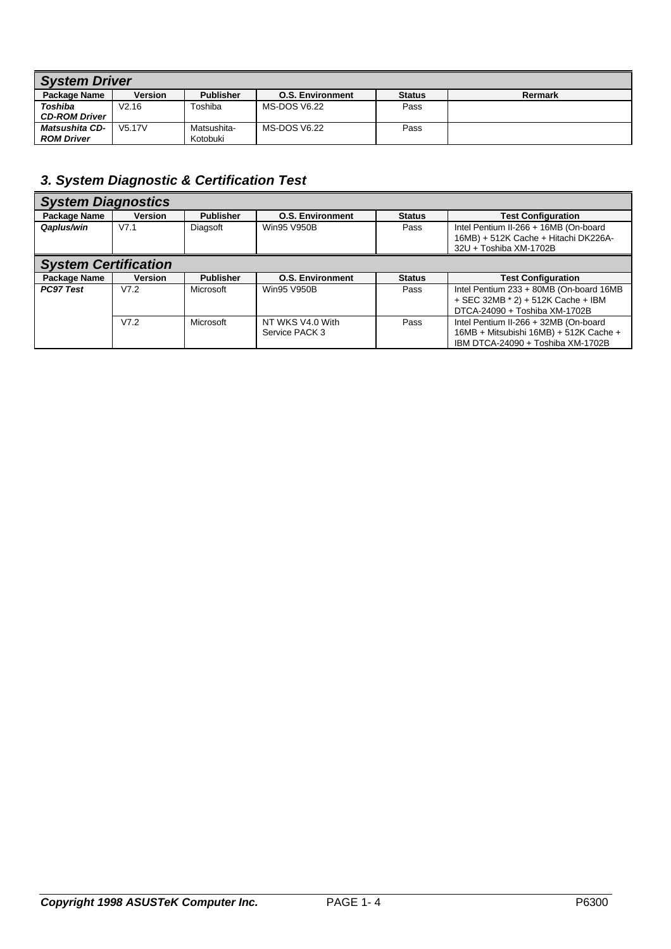| <b>System Driver</b>  |                     |                  |                         |               |         |  |  |  |  |
|-----------------------|---------------------|------------------|-------------------------|---------------|---------|--|--|--|--|
| Package Name          | Version             | <b>Publisher</b> | <b>O.S. Environment</b> | <b>Status</b> | Rermark |  |  |  |  |
| Toshiba               | V2.16               | Toshiba          | MS-DOS V6.22            | Pass          |         |  |  |  |  |
| <b>CD-ROM Driver</b>  |                     |                  |                         |               |         |  |  |  |  |
| <b>Matsushita CD-</b> | V <sub>5.17</sub> V | Matsushita-      | MS-DOS V6.22            | Pass          |         |  |  |  |  |
| <b>ROM Driver</b>     |                     | Kotobuki         |                         |               |         |  |  |  |  |

## *3. System Diagnostic & Certification Test*

| <b>System Diagnostics</b>   |                |                  |                                    |               |                                                                                                                      |  |  |  |
|-----------------------------|----------------|------------------|------------------------------------|---------------|----------------------------------------------------------------------------------------------------------------------|--|--|--|
| Package Name                | <b>Version</b> | <b>Publisher</b> | <b>O.S. Environment</b>            | <b>Status</b> | <b>Test Configuration</b>                                                                                            |  |  |  |
| Qaplus/win                  | V7.1           | Diagsoft         | Win95 V950B                        | Pass          | Intel Pentium II-266 + 16MB (On-board<br>16MB) + 512K Cache + Hitachi DK226A-<br>32U + Toshiba XM-1702B              |  |  |  |
| <b>System Certification</b> |                |                  |                                    |               |                                                                                                                      |  |  |  |
| Package Name                | <b>Version</b> | <b>Publisher</b> | <b>O.S. Environment</b>            | <b>Status</b> | <b>Test Configuration</b>                                                                                            |  |  |  |
| <b>PC97 Test</b>            | V7.2           | Microsoft        | Win95 V950B                        | Pass          | Intel Pentium 233 + 80MB (On-board 16MB<br>+ SEC 32MB * 2) + 512K Cache + IBM<br>DTCA-24090 + Toshiba XM-1702B       |  |  |  |
|                             | V7.2           | Microsoft        | NT WKS V4.0 With<br>Service PACK 3 | Pass          | Intel Pentium II-266 + 32MB (On-board<br>16MB + Mitsubishi 16MB) + 512K Cache +<br>IBM DTCA-24090 + Toshiba XM-1702B |  |  |  |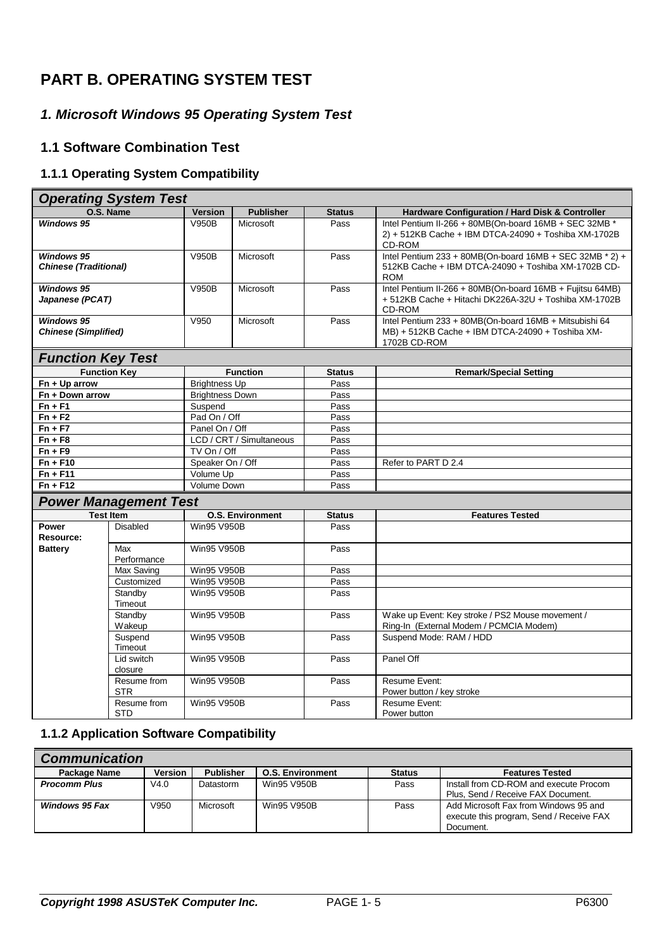## **PART B. OPERATING SYSTEM TEST**

## *1. Microsoft Windows 95 Operating System Test*

## **1.1 Software Combination Test**

## **1.1.1 Operating System Compatibility**

|                                                   | <b>Operating System Test</b> |                                               |                          |                       |                                                                                                                                   |
|---------------------------------------------------|------------------------------|-----------------------------------------------|--------------------------|-----------------------|-----------------------------------------------------------------------------------------------------------------------------------|
|                                                   | O.S. Name                    | <b>Version</b>                                | <b>Publisher</b>         | <b>Status</b>         | Hardware Configuration / Hard Disk & Controller                                                                                   |
| <b>Windows 95</b>                                 |                              | <b>V950B</b>                                  | Microsoft                | Pass                  | Intel Pentium II-266 + 80MB(On-board 16MB + SEC 32MB *<br>2) + 512KB Cache + IBM DTCA-24090 + Toshiba XM-1702B<br>CD-ROM          |
| <b>Windows 95</b><br><b>Chinese (Traditional)</b> |                              | V950B                                         | Microsoft                | Pass                  | Intel Pentium 233 + 80MB(On-board $16MB + SEC$ 32MB $*$ 2) +<br>512KB Cache + IBM DTCA-24090 + Toshiba XM-1702B CD-<br><b>ROM</b> |
| <b>Windows 95</b><br>Japanese (PCAT)              |                              | <b>V950B</b>                                  | Microsoft                | Pass                  | Intel Pentium II-266 + 80MB(On-board 16MB + Fujitsu 64MB)<br>+512KB Cache + Hitachi DK226A-32U + Toshiba XM-1702B<br>CD-ROM       |
| <b>Windows 95</b><br><b>Chinese (Simplified)</b>  |                              | V950                                          | Microsoft                | Pass                  | Intel Pentium 233 + 80MB(On-board 16MB + Mitsubishi 64<br>MB) + 512KB Cache + IBM DTCA-24090 + Toshiba XM-<br>1702B CD-ROM        |
| <b>Function Key Test</b>                          |                              |                                               |                          |                       |                                                                                                                                   |
|                                                   | <b>Function Key</b>          |                                               | <b>Function</b>          | <b>Status</b>         | <b>Remark/Special Setting</b>                                                                                                     |
| $Fn + Up$ arrow                                   |                              | <b>Brightness Up</b>                          |                          | Pass                  |                                                                                                                                   |
| Fn + Down arrow                                   |                              | <b>Brightness Down</b>                        |                          | Pass                  |                                                                                                                                   |
| $Fn + F1$                                         |                              | Suspend                                       |                          | Pass<br>Pass          |                                                                                                                                   |
| $Fn + F2$                                         |                              |                                               | Pad On / Off             |                       |                                                                                                                                   |
| $Fn + F7$                                         |                              | Panel On / Off                                |                          | Pass                  |                                                                                                                                   |
| $Fn + F8$                                         |                              |                                               | LCD / CRT / Simultaneous | Pass                  |                                                                                                                                   |
| $Fn + F9$                                         |                              | TV On / Off                                   |                          | Pass                  |                                                                                                                                   |
| $Fn + F10$                                        |                              | Speaker On / Off                              |                          | Pass                  | Refer to PART D 2.4                                                                                                               |
| $Fn + F11$<br>$Fn + F12$                          |                              | Volume Up<br>Volume Down                      |                          | Pass<br>Pass          |                                                                                                                                   |
|                                                   |                              |                                               |                          |                       |                                                                                                                                   |
|                                                   | <b>Power Management Test</b> |                                               |                          |                       |                                                                                                                                   |
| Power                                             | <b>Test Item</b><br>Disabled | <b>O.S. Environment</b><br><b>Win95 V950B</b> |                          | <b>Status</b><br>Pass | <b>Features Tested</b>                                                                                                            |
| Resource:                                         |                              |                                               |                          |                       |                                                                                                                                   |
| <b>Battery</b>                                    | Max<br>Performance           | <b>Win95 V950B</b>                            |                          | Pass                  |                                                                                                                                   |
|                                                   | Max Saving                   | Win95 V950B                                   |                          | Pass                  |                                                                                                                                   |
|                                                   | Customized                   | Win95 V950B                                   |                          | Pass                  |                                                                                                                                   |
|                                                   | Standby<br>Timeout           | <b>Win95 V950B</b>                            |                          | Pass                  |                                                                                                                                   |
| Standby<br>Wakeup                                 |                              | <b>Win95 V950B</b>                            |                          | Pass                  | Wake up Event: Key stroke / PS2 Mouse movement /<br>Ring-In (External Modem / PCMCIA Modem)                                       |
|                                                   | Suspend<br>Timeout           | Win95 V950B                                   |                          | Pass                  | Suspend Mode: RAM / HDD                                                                                                           |
|                                                   | Lid switch<br>closure        | <b>Win95 V950B</b>                            |                          | Pass                  | Panel Off                                                                                                                         |
|                                                   | Resume from<br><b>STR</b>    | <b>Win95 V950B</b>                            |                          | Pass                  | Resume Event:<br>Power button / key stroke                                                                                        |
|                                                   | Resume from<br><b>STD</b>    | Win95 V950B                                   |                          | Pass                  | Resume Event:<br>Power button                                                                                                     |

#### **1.1.2 Application Software Compatibility**

| <b>Communication</b>  |                |                  |                         |               |                                                                                                |  |  |  |  |
|-----------------------|----------------|------------------|-------------------------|---------------|------------------------------------------------------------------------------------------------|--|--|--|--|
| Package Name          | <b>Version</b> | <b>Publisher</b> | <b>O.S. Environment</b> | <b>Status</b> | <b>Features Tested</b>                                                                         |  |  |  |  |
| <b>Procomm Plus</b>   | V4.0           | Datastorm        | Win95 V950B             | Pass          | Install from CD-ROM and execute Procom<br>Plus, Send / Receive FAX Document.                   |  |  |  |  |
| <b>Windows 95 Fax</b> | V950           | Microsoft        | Win95 V950B             | Pass          | Add Microsoft Fax from Windows 95 and<br>execute this program, Send / Receive FAX<br>Document. |  |  |  |  |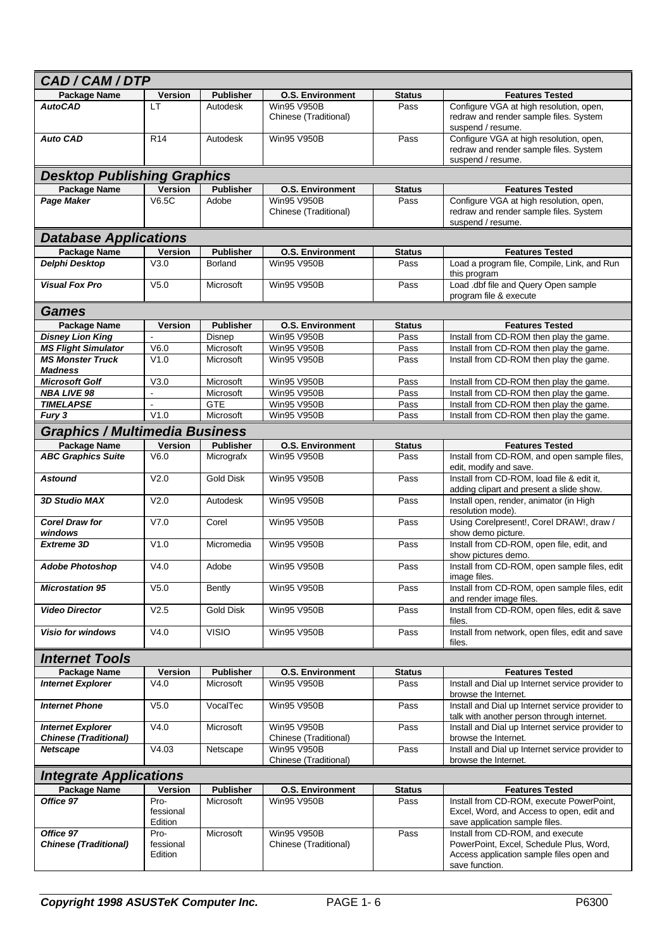| CAD/CAM/DTP                                              |                              |                  |                                             |               |                                                                                                                                           |
|----------------------------------------------------------|------------------------------|------------------|---------------------------------------------|---------------|-------------------------------------------------------------------------------------------------------------------------------------------|
| Package Name                                             | <b>Version</b>               | <b>Publisher</b> | <b>O.S. Environment</b>                     | <b>Status</b> | <b>Features Tested</b>                                                                                                                    |
| <b>AutoCAD</b>                                           | LT                           | Autodesk         | <b>Win95 V950B</b><br>Chinese (Traditional) | Pass          | Configure VGA at high resolution, open,<br>redraw and render sample files. System<br>suspend / resume.                                    |
| <b>Auto CAD</b>                                          | R <sub>14</sub>              | Autodesk         | <b>Win95 V950B</b>                          | Pass          | Configure VGA at high resolution, open,<br>redraw and render sample files. System<br>suspend / resume.                                    |
| <b>Desktop Publishing Graphics</b>                       |                              |                  |                                             |               |                                                                                                                                           |
| <b>Package Name</b>                                      | <b>Version</b>               | <b>Publisher</b> | <b>O.S. Environment</b>                     | <b>Status</b> | <b>Features Tested</b>                                                                                                                    |
| Page Maker                                               | V6.5C                        | Adobe            | <b>Win95 V950B</b>                          | Pass          | Configure VGA at high resolution, open,                                                                                                   |
|                                                          |                              |                  | Chinese (Traditional)                       |               | redraw and render sample files. System<br>suspend / resume.                                                                               |
| <b>Database Applications</b>                             |                              |                  |                                             |               |                                                                                                                                           |
| <b>Package Name</b>                                      | <b>Version</b>               | <b>Publisher</b> | <b>O.S. Environment</b>                     | <b>Status</b> | <b>Features Tested</b>                                                                                                                    |
| Delphi Desktop                                           | V3.0                         | <b>Borland</b>   | Win95 V950B                                 | Pass          | Load a program file, Compile, Link, and Run<br>this program                                                                               |
| <b>Visual Fox Pro</b>                                    | V5.0                         | Microsoft        | <b>Win95 V950B</b>                          | Pass          | Load .dbf file and Query Open sample<br>program file & execute                                                                            |
| Games                                                    |                              |                  |                                             |               |                                                                                                                                           |
| <b>Package Name</b>                                      | <b>Version</b>               | <b>Publisher</b> | <b>O.S. Environment</b>                     | <b>Status</b> | <b>Features Tested</b>                                                                                                                    |
| <b>Disney Lion King</b>                                  | $\overline{a}$               | Disnep           | Win95 V950B                                 | Pass          | Install from CD-ROM then play the game.                                                                                                   |
| <b>MS Flight Simulator</b>                               | V6.0                         | Microsoft        | Win95 V950B                                 | Pass          | Install from CD-ROM then play the game.                                                                                                   |
| <b>MS Monster Truck</b><br><b>Madness</b>                | V1.0                         | Microsoft        | Win95 V950B                                 | Pass          | Install from CD-ROM then play the game.                                                                                                   |
| <b>Microsoft Golf</b>                                    | V3.0                         | Microsoft        | Win95 V950B                                 | Pass          | Install from CD-ROM then play the game.                                                                                                   |
| <b>NBA LIVE 98</b>                                       | $\omega$                     | Microsoft        | Win95 V950B                                 | Pass          | Install from CD-ROM then play the game.                                                                                                   |
| <b>TIMELAPSE</b>                                         |                              | <b>GTE</b>       | Win95 V950B                                 | Pass          | Install from CD-ROM then play the game.                                                                                                   |
| Fury 3                                                   | V1.0                         | Microsoft        | Win95 V950B                                 | Pass          | Install from CD-ROM then play the game.                                                                                                   |
| <b>Graphics / Multimedia Business</b>                    |                              |                  |                                             |               |                                                                                                                                           |
| <b>Package Name</b>                                      | Version                      | <b>Publisher</b> | <b>O.S. Environment</b>                     | <b>Status</b> | <b>Features Tested</b>                                                                                                                    |
| <b>ABC Graphics Suite</b>                                | V6.0                         | Micrografx       | <b>Win95 V950B</b>                          | Pass          | Install from CD-ROM, and open sample files,<br>edit, modify and save.                                                                     |
| <b>Astound</b>                                           | V <sub>2.0</sub>             | <b>Gold Disk</b> | Win95 V950B                                 | Pass          | Install from CD-ROM, load file & edit it,<br>adding clipart and present a slide show.                                                     |
| <b>3D Studio MAX</b>                                     | V2.0                         | Autodesk         | Win95 V950B                                 | Pass          | Install open, render, animator (in High<br>resolution mode).                                                                              |
| <b>Corel Draw for</b><br>windows                         | V7.0                         | Corel            | <b>Win95 V950B</b>                          | Pass          | Using Corelpresent!, Corel DRAW!, draw /<br>show demo picture.                                                                            |
| <b>Extreme 3D</b>                                        | V1.0                         | Micromedia       | <b>Win95 V950B</b>                          | Pass          | Install from CD-ROM, open file, edit, and<br>show pictures demo.                                                                          |
| <b>Adobe Photoshop</b>                                   | V4.0                         | Adobe            | <b>Win95 V950B</b>                          | Pass          | Install from CD-ROM, open sample files, edit<br>image files.                                                                              |
| <b>Microstation 95</b>                                   | V <sub>5.0</sub>             | <b>Bently</b>    | <b>Win95 V950B</b>                          | Pass          | Install from CD-ROM, open sample files, edit<br>and render image files.                                                                   |
| <b>Video Director</b>                                    | V2.5                         | <b>Gold Disk</b> | <b>Win95 V950B</b>                          | Pass          | Install from CD-ROM, open files, edit & save<br>files.                                                                                    |
| <b>Visio for windows</b>                                 | V4.0                         | <b>VISIO</b>     | <b>Win95 V950B</b>                          | Pass          | Install from network, open files, edit and save<br>files.                                                                                 |
| <b>Internet Tools</b>                                    |                              |                  |                                             |               |                                                                                                                                           |
| <b>Package Name</b>                                      | Version                      | <b>Publisher</b> | <b>O.S. Environment</b>                     | <b>Status</b> | <b>Features Tested</b>                                                                                                                    |
| <b>Internet Explorer</b>                                 | V4.0                         | Microsoft        | <b>Win95 V950B</b>                          | Pass          | Install and Dial up Internet service provider to<br>browse the Internet.                                                                  |
| <b>Internet Phone</b>                                    | V <sub>5.0</sub>             | VocalTec         | <b>Win95 V950B</b>                          | Pass          | Install and Dial up Internet service provider to<br>talk with another person through internet.                                            |
| <b>Internet Explorer</b><br><b>Chinese (Traditional)</b> | V4.0                         | Microsoft        | Win95 V950B<br>Chinese (Traditional)        | Pass          | Install and Dial up Internet service provider to<br>browse the Internet.                                                                  |
| <b>Netscape</b>                                          | V4.03                        | Netscape         | Win95 V950B<br>Chinese (Traditional)        | Pass          | Install and Dial up Internet service provider to<br>browse the Internet.                                                                  |
| <b>Integrate Applications</b>                            |                              |                  |                                             |               |                                                                                                                                           |
| <b>Package Name</b>                                      | Version                      | <b>Publisher</b> | <b>O.S. Environment</b>                     | Status        | <b>Features Tested</b>                                                                                                                    |
| Office 97                                                | Pro-<br>fessional<br>Edition | Microsoft        | Win95 V950B                                 | Pass          | Install from CD-ROM, execute PowerPoint,<br>Excel, Word, and Access to open, edit and<br>save application sample files.                   |
| Office 97<br><b>Chinese (Traditional)</b>                | Pro-<br>fessional<br>Edition | Microsoft        | Win95 V950B<br>Chinese (Traditional)        | Pass          | Install from CD-ROM, and execute<br>PowerPoint, Excel, Schedule Plus, Word,<br>Access application sample files open and<br>save function. |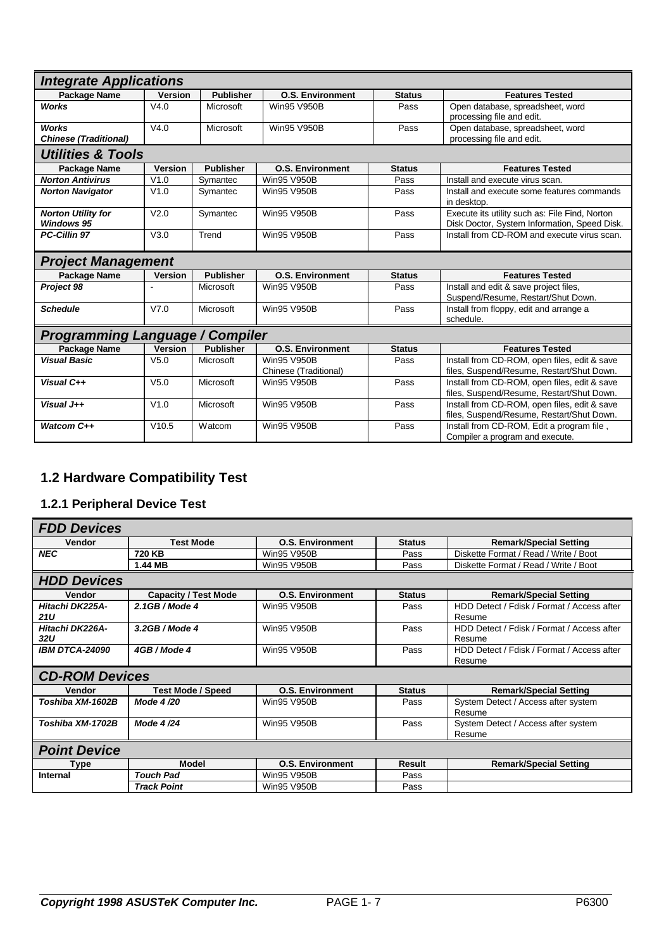| <b>Integrate Applications</b>                  |                  |                  |                            |                                           |                                                                                                |  |
|------------------------------------------------|------------------|------------------|----------------------------|-------------------------------------------|------------------------------------------------------------------------------------------------|--|
| Package Name                                   | <b>Version</b>   | <b>Publisher</b> | <b>O.S. Environment</b>    | <b>Status</b>                             | <b>Features Tested</b>                                                                         |  |
| <b>Works</b>                                   | V4.0             | Microsoft        | <b>Win95 V950B</b>         | Pass                                      | Open database, spreadsheet, word                                                               |  |
|                                                |                  |                  |                            |                                           | processing file and edit.                                                                      |  |
| Works                                          | V4.0             | Microsoft        | Pass<br><b>Win95 V950B</b> |                                           | Open database, spreadsheet, word                                                               |  |
| <b>Chinese (Traditional)</b>                   |                  |                  |                            |                                           | processing file and edit.                                                                      |  |
| <b>Utilities &amp; Tools</b>                   |                  |                  |                            |                                           |                                                                                                |  |
| Package Name                                   | <b>Version</b>   | <b>Publisher</b> | <b>O.S. Environment</b>    | <b>Status</b>                             | <b>Features Tested</b>                                                                         |  |
| <b>Norton Antivirus</b>                        | V1.0             | Symantec         | <b>Win95 V950B</b>         | Pass                                      | Install and execute virus scan.                                                                |  |
| <b>Norton Navigator</b>                        | V1.0             | Symantec         | Win95 V950B                | Pass                                      | Install and execute some features commands<br>in desktop.                                      |  |
| <b>Norton Utility for</b><br><b>Windows 95</b> | V <sub>2.0</sub> | Symantec         | <b>Win95 V950B</b>         | Pass                                      | Execute its utility such as: File Find, Norton<br>Disk Doctor, System Information, Speed Disk. |  |
| <b>PC-Cillin 97</b>                            | V3.0             | Trend            | <b>Win95 V950B</b><br>Pass |                                           | Install from CD-ROM and execute virus scan.                                                    |  |
| <b>Project Management</b>                      |                  |                  |                            |                                           |                                                                                                |  |
| Package Name                                   | <b>Version</b>   | <b>Publisher</b> | <b>O.S. Environment</b>    | <b>Status</b>                             | <b>Features Tested</b>                                                                         |  |
| Project 98                                     |                  | Microsoft        | <b>Win95 V950B</b>         | Pass                                      | Install and edit & save project files,                                                         |  |
|                                                |                  |                  |                            |                                           | Suspend/Resume, Restart/Shut Down.                                                             |  |
| <b>Schedule</b>                                | V7.0             | Microsoft        | <b>Win95 V950B</b>         | Pass                                      | Install from floppy, edit and arrange a                                                        |  |
|                                                |                  |                  |                            | schedule.                                 |                                                                                                |  |
| <b>Programming Language / Compiler</b>         |                  |                  |                            |                                           |                                                                                                |  |
| <b>Package Name</b>                            | <b>Version</b>   | <b>Publisher</b> | <b>O.S. Environment</b>    | <b>Status</b>                             | <b>Features Tested</b>                                                                         |  |
| <b>Visual Basic</b>                            | V <sub>5.0</sub> | Microsoft        | Win95 V950B                | Pass                                      | Install from CD-ROM, open files, edit & save                                                   |  |
|                                                |                  |                  | Chinese (Traditional)      |                                           | files, Suspend/Resume, Restart/Shut Down.                                                      |  |
| Visual C++                                     | V <sub>5.0</sub> | Microsoft        | <b>Win95 V950B</b>         | Pass                                      | Install from CD-ROM, open files, edit & save                                                   |  |
|                                                |                  |                  |                            | files, Suspend/Resume, Restart/Shut Down. |                                                                                                |  |
| Visual J++                                     | V1.0             | Microsoft        | <b>Win95 V950B</b>         | Pass                                      | Install from CD-ROM, open files, edit & save<br>files, Suspend/Resume, Restart/Shut Down.      |  |
| Watcom C++                                     | V10.5            | Watcom           | <b>Win95 V950B</b>         | Pass                                      | Install from CD-ROM, Edit a program file,                                                      |  |
|                                                |                  |                  |                            |                                           | Compiler a program and execute.                                                                |  |
|                                                |                  |                  |                            |                                           |                                                                                                |  |

## **1.2 Hardware Compatibility Test**

## **1.2.1 Peripheral Device Test**

| <b>FDD Devices</b>            |                             |                         |               |                                                      |  |  |
|-------------------------------|-----------------------------|-------------------------|---------------|------------------------------------------------------|--|--|
| Vendor                        | <b>Test Mode</b>            | <b>O.S. Environment</b> | <b>Status</b> | <b>Remark/Special Setting</b>                        |  |  |
| <b>NEC</b>                    | 720 KB                      | <b>Win95 V950B</b>      | Pass          | Diskette Format / Read / Write / Boot                |  |  |
|                               | 1.44 MB                     | <b>Win95 V950B</b>      | Pass          | Diskette Format / Read / Write / Boot                |  |  |
| <b>HDD Devices</b>            |                             |                         |               |                                                      |  |  |
| Vendor                        | <b>Capacity / Test Mode</b> | <b>O.S. Environment</b> | <b>Status</b> | <b>Remark/Special Setting</b>                        |  |  |
| Hitachi DK225A-               | $2.1$ GB / Mode 4           | <b>Win95 V950B</b>      | Pass          | HDD Detect / Fdisk / Format / Access after           |  |  |
| 21U                           |                             |                         |               | Resume                                               |  |  |
| Hitachi DK226A-<br><b>32U</b> | $3.2GB/Mode$ 4              | <b>Win95 V950B</b>      | Pass          | HDD Detect / Fdisk / Format / Access after<br>Resume |  |  |
| <b>IBM DTCA-24090</b>         | 4GB / Mode 4                | <b>Win95 V950B</b>      | Pass          | HDD Detect / Fdisk / Format / Access after           |  |  |
|                               |                             |                         |               | Resume                                               |  |  |
| <b>CD-ROM Devices</b>         |                             |                         |               |                                                      |  |  |
| Vendor                        | <b>Test Mode / Speed</b>    | <b>O.S. Environment</b> | <b>Status</b> | <b>Remark/Special Setting</b>                        |  |  |
| Toshiba XM-1602B              | Mode 4/20                   | <b>Win95 V950B</b>      | Pass          | System Detect / Access after system<br>Resume        |  |  |
| Toshiba XM-1702B              | Mode 4/24                   | <b>Win95 V950B</b>      | Pass          | System Detect / Access after system<br>Resume        |  |  |
| <b>Point Device</b>           |                             |                         |               |                                                      |  |  |
| Type                          | <b>Model</b>                | <b>O.S. Environment</b> | <b>Result</b> | <b>Remark/Special Setting</b>                        |  |  |
| Internal                      | <b>Touch Pad</b>            | <b>Win95 V950B</b>      | Pass          |                                                      |  |  |
|                               | <b>Track Point</b>          | <b>Win95 V950B</b>      | Pass          |                                                      |  |  |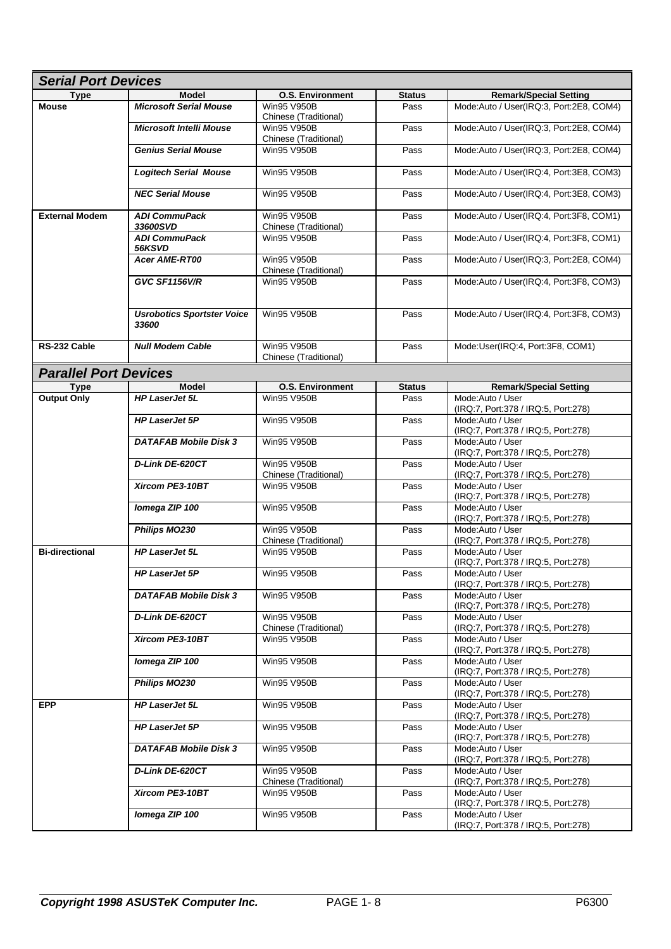| <b>Serial Port Devices</b>   |                                            |                                             |               |                                                         |  |
|------------------------------|--------------------------------------------|---------------------------------------------|---------------|---------------------------------------------------------|--|
| <b>Type</b>                  | <b>Model</b>                               | <b>O.S. Environment</b>                     | <b>Status</b> | <b>Remark/Special Setting</b>                           |  |
| <b>Mouse</b>                 | <b>Microsoft Serial Mouse</b>              | <b>Win95 V950B</b><br>Chinese (Traditional) | Pass          | Mode:Auto / User(IRQ:3, Port:2E8, COM4)                 |  |
|                              | <b>Microsoft Intelli Mouse</b>             | <b>Win95 V950B</b><br>Chinese (Traditional) | Pass          | Mode:Auto / User(IRQ:3, Port:2E8, COM4)                 |  |
|                              | <b>Genius Serial Mouse</b>                 | <b>Win95 V950B</b>                          | Pass          | Mode:Auto / User(IRQ:3, Port:2E8, COM4)                 |  |
|                              | <b>Logitech Serial Mouse</b>               | <b>Win95 V950B</b>                          | Pass          | Mode:Auto / User(IRQ:4, Port:3E8, COM3)                 |  |
|                              | <b>NEC Serial Mouse</b>                    | <b>Win95 V950B</b>                          | Pass          | Mode:Auto / User(IRQ:4, Port:3E8, COM3)                 |  |
| <b>External Modem</b>        | <b>ADI CommuPack</b><br>33600SVD           | <b>Win95 V950B</b><br>Chinese (Traditional) | Pass          | Mode:Auto / User(IRQ:4, Port:3F8, COM1)                 |  |
|                              | <b>ADI CommuPack</b><br>56KSVD             | Win95 V950B                                 | Pass          | Mode:Auto / User(IRQ:4, Port:3F8, COM1)                 |  |
|                              | <b>Acer AME-RT00</b>                       | <b>Win95 V950B</b><br>Chinese (Traditional) | Pass          | Mode:Auto / User(IRQ:3, Port:2E8, COM4)                 |  |
|                              | <b>GVC SF1156V/R</b>                       | <b>Win95 V950B</b>                          | Pass          | Mode:Auto / User(IRQ:4, Port:3F8, COM3)                 |  |
|                              | <b>Usrobotics Sportster Voice</b><br>33600 | <b>Win95 V950B</b>                          | Pass          | Mode:Auto / User(IRQ:4, Port:3F8, COM3)                 |  |
| RS-232 Cable                 | <b>Null Modem Cable</b>                    | <b>Win95 V950B</b><br>Chinese (Traditional) | Pass          | Mode:User(IRQ:4, Port:3F8, COM1)                        |  |
| <b>Parallel Port Devices</b> |                                            |                                             |               |                                                         |  |
| <b>Type</b>                  | <b>Model</b>                               | <b>O.S. Environment</b>                     | <b>Status</b> | <b>Remark/Special Setting</b>                           |  |
| <b>Output Only</b>           | <b>HP LaserJet 5L</b>                      | <b>Win95 V950B</b>                          | Pass          | Mode:Auto / User<br>(IRQ:7, Port:378 / IRQ:5, Port:278) |  |
|                              | <b>HP LaserJet 5P</b>                      | <b>Win95 V950B</b>                          | Pass          | Mode:Auto / User<br>(IRQ:7, Port:378 / IRQ:5, Port:278) |  |
|                              | <b>DATAFAB Mobile Disk 3</b>               | <b>Win95 V950B</b>                          | Pass          | Mode:Auto / User<br>(IRQ:7, Port:378 / IRQ:5, Port:278) |  |
|                              | D-Link DE-620CT                            | <b>Win95 V950B</b><br>Chinese (Traditional) | Pass          | Mode:Auto / User<br>(IRQ:7, Port:378 / IRQ:5, Port:278) |  |
|                              | Xircom PE3-10BT                            | <b>Win95 V950B</b>                          | Pass          | Mode:Auto / User<br>(IRQ:7, Port:378 / IRQ:5, Port:278) |  |
|                              | Iomega ZIP 100                             | <b>Win95 V950B</b>                          | Pass          | Mode:Auto / User<br>(IRQ:7, Port:378 / IRQ:5, Port:278) |  |
|                              | Philips MO230                              | <b>Win95 V950B</b><br>Chinese (Traditional) | Pass          | Mode:Auto / User<br>(IRQ:7, Port:378 / IRQ:5, Port:278) |  |
| <b>Bi-directional</b>        | <b>HP LaserJet 5L</b>                      | <b>Win95 V950B</b>                          | Pass          | Mode:Auto / User<br>(IRQ:7, Port:378 / IRQ:5, Port:278) |  |
|                              | <b>HP LaserJet 5P</b>                      | <b>Win95 V950B</b>                          | Pass          | Mode:Auto / User<br>(IRQ:7, Port:378 / IRQ:5, Port:278) |  |
|                              | <b>DATAFAB Mobile Disk 3</b>               | <b>Win95 V950B</b>                          | Pass          | Mode:Auto / User<br>(IRQ:7, Port:378 / IRQ:5, Port:278) |  |
|                              | D-Link DE-620CT                            | <b>Win95 V950B</b><br>Chinese (Traditional) | Pass          | Mode:Auto / User<br>(IRQ:7, Port:378 / IRQ:5, Port:278) |  |
|                              | Xircom PE3-10BT                            | Win95 V950B                                 | Pass          | Mode:Auto / User<br>(IRQ:7, Port:378 / IRQ:5, Port:278) |  |
|                              | Iomega ZIP 100                             | <b>Win95 V950B</b>                          | Pass          | Mode:Auto / User<br>(IRQ:7, Port:378 / IRQ:5, Port:278) |  |
|                              | <b>Philips MO230</b>                       | <b>Win95 V950B</b>                          | Pass          | Mode:Auto / User<br>(IRQ:7, Port:378 / IRQ:5, Port:278) |  |
| <b>EPP</b>                   | HP LaserJet 5L                             | <b>Win95 V950B</b>                          | Pass          | Mode:Auto / User<br>(IRQ:7, Port:378 / IRQ:5, Port:278) |  |
|                              | <b>HP LaserJet 5P</b>                      | <b>Win95 V950B</b>                          | Pass          | Mode:Auto / User<br>(IRQ:7, Port:378 / IRQ:5, Port:278) |  |
|                              | <b>DATAFAB Mobile Disk 3</b>               | <b>Win95 V950B</b>                          | Pass          | Mode:Auto / User<br>(IRQ:7, Port:378 / IRQ:5, Port:278) |  |
|                              | D-Link DE-620CT                            | Win95 V950B<br>Chinese (Traditional)        | Pass          | Mode:Auto / User<br>(IRQ:7, Port:378 / IRQ:5, Port:278) |  |
|                              | Xircom PE3-10BT                            | <b>Win95 V950B</b>                          | Pass          | Mode:Auto / User<br>(IRQ:7, Port:378 / IRQ:5, Port:278) |  |
|                              | Iomega ZIP 100                             | Win95 V950B                                 | Pass          | Mode:Auto / User<br>(IRQ:7, Port:378 / IRQ:5, Port:278) |  |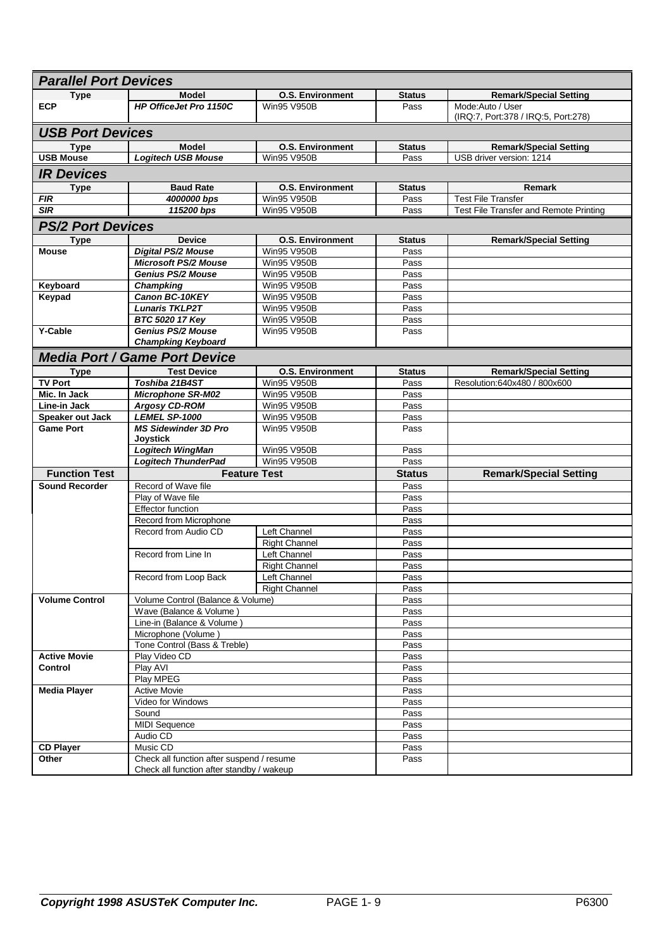| <b>Parallel Port Devices</b> |                                                                                        |                         |               |                                        |  |  |
|------------------------------|----------------------------------------------------------------------------------------|-------------------------|---------------|----------------------------------------|--|--|
| Type                         | <b>Model</b>                                                                           | <b>O.S. Environment</b> | <b>Status</b> | <b>Remark/Special Setting</b>          |  |  |
| <b>ECP</b>                   | <b>HP OfficeJet Pro 1150C</b>                                                          | <b>Win95 V950B</b>      | Pass          | Mode:Auto / User                       |  |  |
|                              |                                                                                        |                         |               | (IRQ:7, Port:378 / IRQ:5, Port:278)    |  |  |
| <b>USB Port Devices</b>      |                                                                                        |                         |               |                                        |  |  |
| Type                         | <b>Model</b>                                                                           | <b>O.S. Environment</b> | <b>Status</b> | <b>Remark/Special Setting</b>          |  |  |
| <b>USB Mouse</b>             | <b>Logitech USB Mouse</b>                                                              | <b>Win95 V950B</b>      | Pass          | USB driver version: 1214               |  |  |
|                              |                                                                                        |                         |               |                                        |  |  |
| <b>IR Devices</b>            |                                                                                        |                         |               |                                        |  |  |
| <b>Type</b>                  | <b>Baud Rate</b>                                                                       | <b>O.S. Environment</b> | <b>Status</b> | <b>Remark</b>                          |  |  |
| <b>FIR</b>                   | 4000000 bps                                                                            | <b>Win95 V950B</b>      | Pass          | <b>Test File Transfer</b>              |  |  |
| <b>SIR</b>                   | 115200 bps                                                                             | <b>Win95 V950B</b>      | Pass          | Test File Transfer and Remote Printing |  |  |
| <b>PS/2 Port Devices</b>     |                                                                                        |                         |               |                                        |  |  |
| Type                         | <b>Device</b>                                                                          | <b>O.S. Environment</b> | <b>Status</b> | <b>Remark/Special Setting</b>          |  |  |
| <b>Mouse</b>                 | <b>Digital PS/2 Mouse</b>                                                              | <b>Win95 V950B</b>      | Pass          |                                        |  |  |
|                              | <b>Microsoft PS/2 Mouse</b>                                                            | <b>Win95 V950B</b>      | Pass          |                                        |  |  |
|                              | <b>Genius PS/2 Mouse</b>                                                               | <b>Win95 V950B</b>      | Pass          |                                        |  |  |
| Keyboard                     | Champking                                                                              | Win95 V950B             | Pass          |                                        |  |  |
| Keypad                       | Canon BC-10KEY                                                                         | <b>Win95 V950B</b>      | Pass          |                                        |  |  |
|                              | <b>Lunaris TKLP2T</b>                                                                  | <b>Win95 V950B</b>      | Pass          |                                        |  |  |
|                              | BTC 5020 17 Key                                                                        | <b>Win95 V950B</b>      | Pass          |                                        |  |  |
| <b>Y-Cable</b>               | <b>Genius PS/2 Mouse</b>                                                               | <b>Win95 V950B</b>      | Pass          |                                        |  |  |
|                              | <b>Champking Keyboard</b>                                                              |                         |               |                                        |  |  |
|                              | <b>Media Port / Game Port Device</b>                                                   |                         |               |                                        |  |  |
| Type                         | <b>Test Device</b>                                                                     | <b>O.S. Environment</b> | <b>Status</b> | <b>Remark/Special Setting</b>          |  |  |
| <b>TV Port</b>               | Toshiba 21B4ST                                                                         | <b>Win95 V950B</b>      | Pass          | Resolution:640x480 / 800x600           |  |  |
| Mic. In Jack                 | <b>Microphone SR-M02</b>                                                               | Win95 V950B             | Pass          |                                        |  |  |
| Line-in Jack                 | <b>Argosy CD-ROM</b>                                                                   | Win95 V950B             | Pass          |                                        |  |  |
| Speaker out Jack             | LEMEL SP-1000                                                                          | <b>Win95 V950B</b>      | Pass          |                                        |  |  |
| <b>Game Port</b>             | <b>MS Sidewinder 3D Pro</b><br><b>Joystick</b>                                         | <b>Win95 V950B</b>      | Pass          |                                        |  |  |
|                              | Logitech WingMan                                                                       | Win95 V950B             | Pass          |                                        |  |  |
|                              | <b>Logitech ThunderPad</b>                                                             | <b>Win95 V950B</b>      | Pass          |                                        |  |  |
| <b>Function Test</b>         |                                                                                        | <b>Feature Test</b>     | <b>Status</b> | <b>Remark/Special Setting</b>          |  |  |
| <b>Sound Recorder</b>        | Record of Wave file                                                                    |                         | Pass          |                                        |  |  |
|                              | Play of Wave file                                                                      |                         | Pass          |                                        |  |  |
|                              | <b>Effector function</b>                                                               |                         | Pass          |                                        |  |  |
|                              | Record from Microphone                                                                 |                         | Pass          |                                        |  |  |
|                              | Record from Audio CD                                                                   | Left Channel            | Pass          |                                        |  |  |
|                              |                                                                                        | <b>Right Channel</b>    | Pass          |                                        |  |  |
|                              | Record from Line In                                                                    | Left Channel            | Pass          |                                        |  |  |
|                              |                                                                                        | <b>Right Channel</b>    | Pass          |                                        |  |  |
|                              | Record from Loop Back                                                                  | Left Channel            | Pass          |                                        |  |  |
|                              |                                                                                        | <b>Right Channel</b>    | Pass          |                                        |  |  |
| <b>Volume Control</b>        | Volume Control (Balance & Volume)                                                      |                         | Pass          |                                        |  |  |
|                              | Wave (Balance & Volume)                                                                |                         | Pass          |                                        |  |  |
|                              | Line-in (Balance & Volume)                                                             |                         | Pass          |                                        |  |  |
|                              | Microphone (Volume)                                                                    |                         | Pass          |                                        |  |  |
|                              | Tone Control (Bass & Treble)                                                           |                         | Pass          |                                        |  |  |
| <b>Active Movie</b>          | Play Video CD                                                                          |                         | Pass          |                                        |  |  |
| Control                      | Play AVI                                                                               |                         | Pass          |                                        |  |  |
|                              | Play MPEG                                                                              |                         | Pass          |                                        |  |  |
| <b>Media Player</b>          | <b>Active Movie</b>                                                                    |                         | Pass          |                                        |  |  |
|                              | Video for Windows                                                                      |                         | Pass          |                                        |  |  |
|                              | Sound<br><b>MIDI Sequence</b>                                                          |                         | Pass          |                                        |  |  |
|                              |                                                                                        |                         | Pass          |                                        |  |  |
|                              |                                                                                        |                         |               |                                        |  |  |
|                              | Audio CD                                                                               |                         | Pass          |                                        |  |  |
| <b>CD Player</b>             | Music CD                                                                               |                         | Pass          |                                        |  |  |
| Other                        | Check all function after suspend / resume<br>Check all function after standby / wakeup |                         | Pass          |                                        |  |  |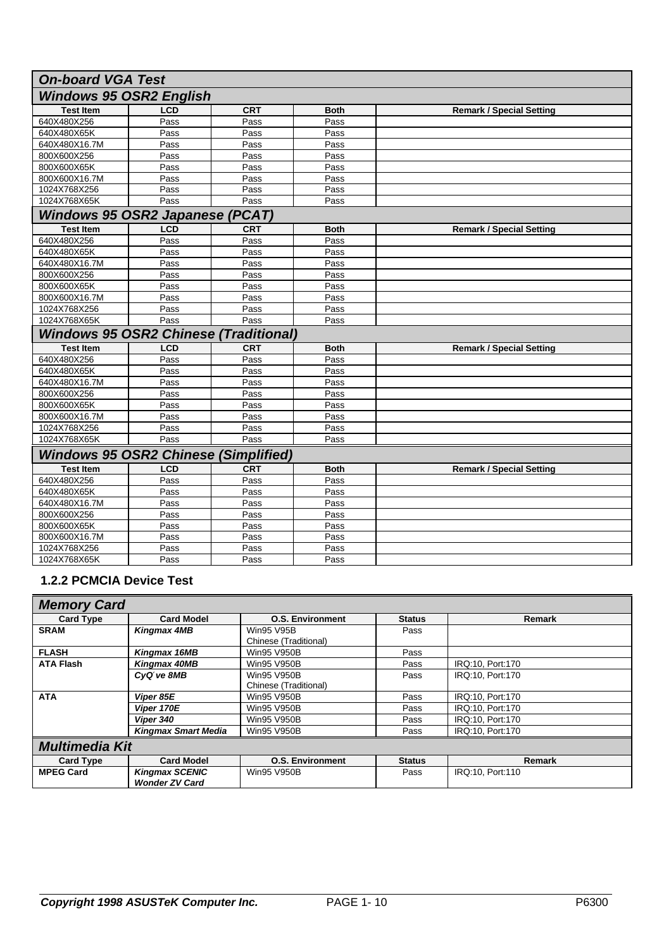| <b>On-board VGA Test</b>                     |                                |            |             |                                 |  |  |  |
|----------------------------------------------|--------------------------------|------------|-------------|---------------------------------|--|--|--|
|                                              | <b>Windows 95 OSR2 English</b> |            |             |                                 |  |  |  |
| <b>Test Item</b>                             | <b>LCD</b>                     | <b>CRT</b> | <b>Both</b> | <b>Remark / Special Setting</b> |  |  |  |
| 640X480X256                                  | Pass                           | Pass       | Pass        |                                 |  |  |  |
| 640X480X65K                                  | Pass                           | Pass       | Pass        |                                 |  |  |  |
| 640X480X16.7M                                | Pass                           | Pass       | Pass        |                                 |  |  |  |
| 800X600X256                                  | Pass                           | Pass       | Pass        |                                 |  |  |  |
| 800X600X65K                                  | Pass                           | Pass       | Pass        |                                 |  |  |  |
| 800X600X16.7M                                | Pass                           | Pass       | Pass        |                                 |  |  |  |
| 1024X768X256                                 | Pass                           | Pass       | Pass        |                                 |  |  |  |
| 1024X768X65K                                 | Pass                           | Pass       | Pass        |                                 |  |  |  |
| Windows 95 OSR2 Japanese (PCAT)              |                                |            |             |                                 |  |  |  |
| <b>Test Item</b>                             | <b>LCD</b>                     | <b>CRT</b> | <b>Both</b> | <b>Remark / Special Setting</b> |  |  |  |
| 640X480X256                                  | Pass                           | Pass       | Pass        |                                 |  |  |  |
| 640X480X65K                                  | Pass                           | Pass       | Pass        |                                 |  |  |  |
| 640X480X16.7M                                | Pass                           | Pass       | Pass        |                                 |  |  |  |
| 800X600X256                                  | Pass                           | Pass       | Pass        |                                 |  |  |  |
| 800X600X65K                                  | Pass                           | Pass       | Pass        |                                 |  |  |  |
| 800X600X16.7M                                | Pass                           | Pass       | Pass        |                                 |  |  |  |
| 1024X768X256                                 | Pass                           | Pass       | Pass        |                                 |  |  |  |
| 1024X768X65K                                 | Pass                           | Pass       | Pass        |                                 |  |  |  |
| <b>Windows 95 OSR2 Chinese (Traditional)</b> |                                |            |             |                                 |  |  |  |
| <b>Test Item</b>                             | <b>LCD</b>                     | <b>CRT</b> | <b>Both</b> | <b>Remark / Special Setting</b> |  |  |  |
| 640X480X256                                  | Pass                           | Pass       | Pass        |                                 |  |  |  |
| 640X480X65K                                  | Pass                           | Pass       | Pass        |                                 |  |  |  |
| 640X480X16.7M                                | Pass                           | Pass       | Pass        |                                 |  |  |  |
| 800X600X256                                  | Pass                           | Pass       | Pass        |                                 |  |  |  |
| 800X600X65K                                  | Pass                           | Pass       | Pass        |                                 |  |  |  |
| 800X600X16.7M                                | Pass                           | Pass       | Pass        |                                 |  |  |  |
| 1024X768X256                                 | Pass                           | Pass       | Pass        |                                 |  |  |  |
| 1024X768X65K                                 | Pass                           | Pass       | Pass        |                                 |  |  |  |
| <b>Windows 95 OSR2 Chinese (Simplified)</b>  |                                |            |             |                                 |  |  |  |
| <b>Test Item</b>                             | <b>LCD</b>                     | <b>CRT</b> | <b>Both</b> | <b>Remark / Special Setting</b> |  |  |  |
| 640X480X256                                  | Pass                           | Pass       | Pass        |                                 |  |  |  |
| 640X480X65K                                  | Pass                           | Pass       | Pass        |                                 |  |  |  |
| 640X480X16.7M                                | Pass                           | Pass       | Pass        |                                 |  |  |  |
| 800X600X256                                  | Pass                           | Pass       | Pass        |                                 |  |  |  |
| 800X600X65K                                  | Pass                           | Pass       | Pass        |                                 |  |  |  |
| 800X600X16.7M                                | Pass                           | Pass       | Pass        |                                 |  |  |  |
| 1024X768X256                                 | Pass                           | Pass       | Pass        |                                 |  |  |  |
| 1024X768X65K                                 | Pass                           | Pass       | Pass        |                                 |  |  |  |

#### **1.2.2 PCMCIA Device Test**

| <b>Memory Card</b>    |                            |                         |               |                  |  |  |
|-----------------------|----------------------------|-------------------------|---------------|------------------|--|--|
| <b>Card Type</b>      | <b>Card Model</b>          | <b>O.S. Environment</b> | <b>Status</b> | <b>Remark</b>    |  |  |
| <b>SRAM</b>           | <b>Kingmax 4MB</b>         | <b>Win95 V95B</b>       | Pass          |                  |  |  |
|                       |                            | Chinese (Traditional)   |               |                  |  |  |
| <b>FLASH</b>          | Kingmax 16MB               | Win95 V950B             | Pass          |                  |  |  |
| <b>ATA Flash</b>      | Kingmax 40MB               | <b>Win95 V950B</b>      | Pass          | IRQ:10, Port:170 |  |  |
|                       | CyQtve 8MB                 | Win95 V950B             | Pass          | IRQ:10, Port:170 |  |  |
|                       |                            | Chinese (Traditional)   |               |                  |  |  |
| <b>ATA</b>            | Viper 85E                  | <b>Win95 V950B</b>      | Pass          | IRQ:10, Port:170 |  |  |
|                       | Viper 170E                 | <b>Win95 V950B</b>      | Pass          | IRQ:10, Port:170 |  |  |
|                       | Viper 340                  | <b>Win95 V950B</b>      | Pass          | IRQ:10, Port:170 |  |  |
|                       | <b>Kingmax Smart Media</b> | <b>Win95 V950B</b>      |               | IRQ:10, Port:170 |  |  |
| <b>Multimedia Kit</b> |                            |                         |               |                  |  |  |
| <b>Card Type</b>      | <b>Card Model</b>          | <b>O.S. Environment</b> | <b>Status</b> | Remark           |  |  |
| <b>MPEG Card</b>      | <b>Kingmax SCENIC</b>      | Win95 V950B             | Pass          | IRQ:10, Port:110 |  |  |
|                       | <b>Wonder ZV Card</b>      |                         |               |                  |  |  |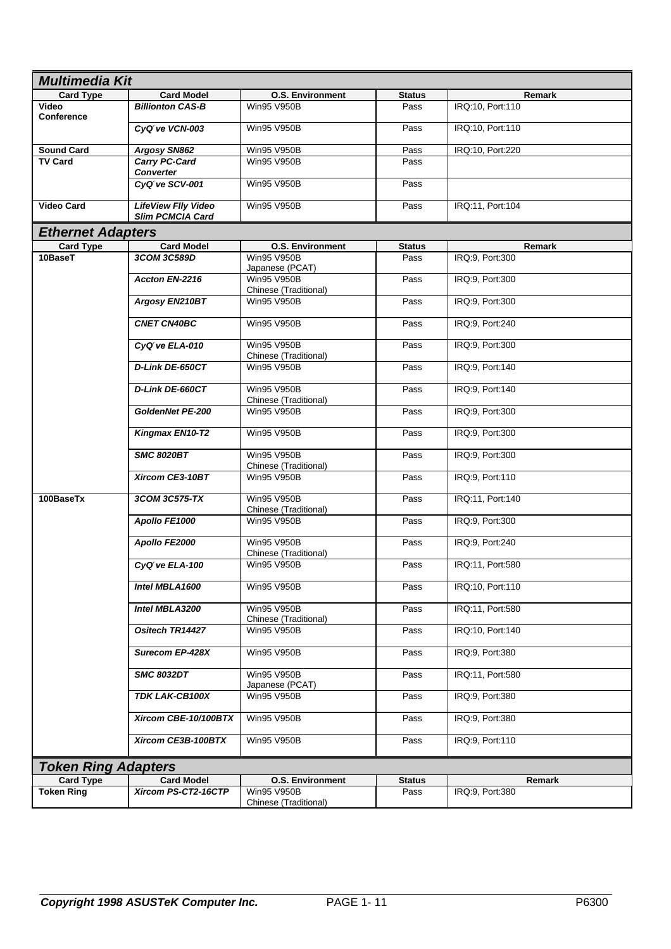| <b>Multimedia Kit</b>      |                                                |                                             |               |                  |  |
|----------------------------|------------------------------------------------|---------------------------------------------|---------------|------------------|--|
| <b>Card Type</b>           | <b>Card Model</b>                              | <b>O.S. Environment</b>                     | <b>Status</b> | Remark           |  |
| <b>Video</b><br>Conference | <b>Billionton CAS-B</b>                        | Win95 V950B                                 | Pass          | IRQ:10, Port:110 |  |
|                            | CyQtve VCN-003                                 | Win95 V950B                                 | Pass          | IRQ:10, Port:110 |  |
| <b>Sound Card</b>          | Argosy SN862                                   | Win95 V950B                                 | Pass          | IRQ:10, Port:220 |  |
| <b>TV Card</b>             | <b>Carry PC-Card</b><br><b>Converter</b>       | <b>Win95 V950B</b>                          | Pass          |                  |  |
|                            | CyQtve SCV-001                                 | Win95 V950B                                 | Pass          |                  |  |
| <b>Video Card</b>          | <b>LifeView Flly Video</b><br>Slim PCMCIA Card | Win95 V950B                                 | Pass          | IRQ:11, Port:104 |  |
| <b>Ethernet Adapters</b>   |                                                |                                             |               |                  |  |
| <b>Card Type</b>           | <b>Card Model</b>                              | <b>O.S. Environment</b>                     | <b>Status</b> | Remark           |  |
| 10BaseT                    | 3COM 3C589D                                    | Win95 V950B<br>Japanese (PCAT)              | Pass          | IRQ:9, Port:300  |  |
|                            | Accton EN-2216                                 | <b>Win95 V950B</b><br>Chinese (Traditional) | Pass          | IRQ:9, Port:300  |  |
|                            | Argosy EN210BT                                 | Win95 V950B                                 | Pass          | IRQ:9, Port:300  |  |
|                            | <b>CNET CN40BC</b>                             | <b>Win95 V950B</b>                          | Pass          | IRQ:9, Port:240  |  |
|                            | CyQtve ELA-010                                 | Win95 V950B<br>Chinese (Traditional)        | Pass          | IRQ:9, Port:300  |  |
|                            | D-Link DE-650CT                                | Win95 V950B                                 | Pass          | IRQ:9, Port:140  |  |
|                            | D-Link DE-660CT                                | <b>Win95 V950B</b><br>Chinese (Traditional) | Pass          | IRQ:9, Port:140  |  |
|                            | GoldenNet PE-200                               | Win95 V950B                                 | Pass          | IRQ:9, Port:300  |  |
|                            | Kingmax EN10-T2                                | Win95 V950B                                 | Pass          | IRQ:9, Port:300  |  |
|                            | <b>SMC 8020BT</b>                              | <b>Win95 V950B</b><br>Chinese (Traditional) | Pass          | IRQ:9, Port:300  |  |
|                            | Xircom CE3-10BT                                | Win95 V950B<br>Pass                         |               | IRQ:9, Port:110  |  |
| 100BaseTx                  | 3COM 3C575-TX                                  | <b>Win95 V950B</b><br>Chinese (Traditional) | Pass          | IRQ:11, Port:140 |  |
|                            | Apollo FE1000                                  | <b>Win95 V950B</b>                          | Pass          | IRQ:9, Port:300  |  |
|                            | Apollo FE2000                                  | <b>Win95 V950B</b><br>Chinese (Traditional) | Pass          | IRQ:9, Port:240  |  |
|                            | CyQtve ELA-100                                 | <b>Win95 V950B</b>                          | Pass          | IRQ:11, Port:580 |  |
|                            | Intel MBLA1600                                 | Win95 V950B                                 | Pass          | IRQ:10, Port:110 |  |
|                            | Intel MBLA3200                                 | Win95 V950B<br>Chinese (Traditional)        | Pass          | IRQ:11, Port:580 |  |
|                            | Ositech TR14427                                | Win95 V950B                                 | Pass          | IRQ:10. Port:140 |  |
|                            | <b>Surecom EP-428X</b>                         | Win95 V950B                                 | Pass          | IRQ:9, Port:380  |  |
|                            | <b>SMC 8032DT</b>                              | Win95 V950B<br>Japanese (PCAT)              | Pass          | IRQ:11, Port:580 |  |
|                            | TDK LAK-CB100X                                 | Win95 V950B                                 | Pass          | IRQ:9, Port:380  |  |
|                            | Xircom CBE-10/100BTX                           | Win95 V950B                                 | Pass          | IRQ:9, Port:380  |  |
|                            | Xircom CE3B-100BTX                             | Win95 V950B                                 | Pass          | IRQ:9, Port:110  |  |
| <b>Token Ring Adapters</b> |                                                |                                             |               |                  |  |
| <b>Card Type</b>           | <b>Card Model</b>                              | <b>O.S. Environment</b>                     | <b>Status</b> | Remark           |  |
| <b>Token Ring</b>          | Xircom PS-CT2-16CTP                            | Win95 V950B<br>Chinese (Traditional)        | Pass          | IRQ:9, Port:380  |  |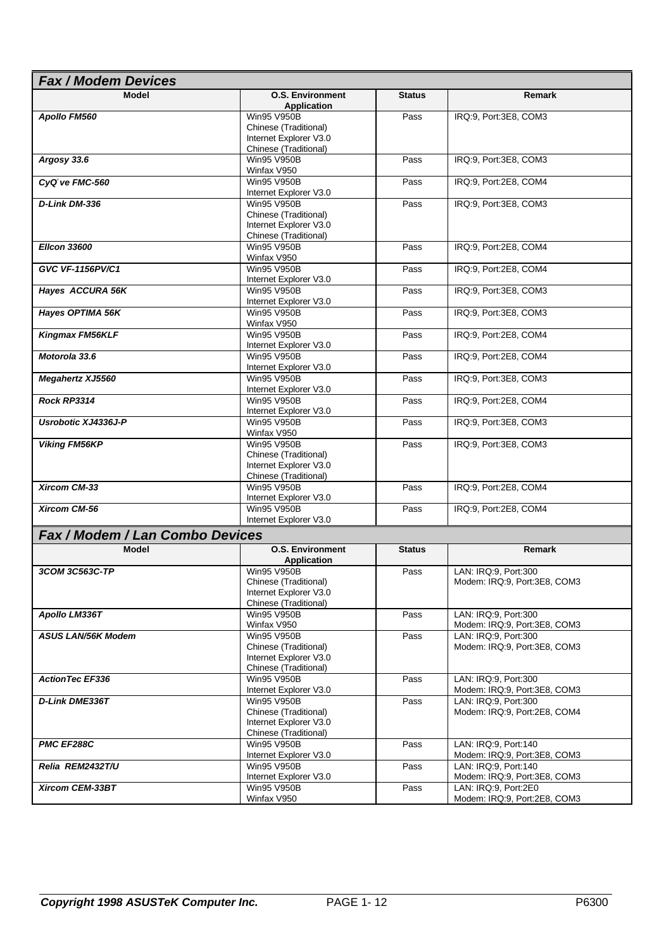| <b>Fax / Modem Devices</b>      |                                                 |               |                                                      |  |  |  |
|---------------------------------|-------------------------------------------------|---------------|------------------------------------------------------|--|--|--|
| Model                           | <b>O.S. Environment</b>                         | <b>Status</b> | <b>Remark</b>                                        |  |  |  |
| Apollo FM560                    | <b>Application</b><br><b>Win95 V950B</b>        | Pass          | IRQ:9, Port:3E8, COM3                                |  |  |  |
|                                 | Chinese (Traditional)                           |               |                                                      |  |  |  |
|                                 | Internet Explorer V3.0                          |               |                                                      |  |  |  |
| Argosy 33.6                     | Chinese (Traditional)<br><b>Win95 V950B</b>     | Pass          | IRQ:9, Port:3E8, COM3                                |  |  |  |
|                                 | Winfax V950                                     |               |                                                      |  |  |  |
| CyQtve FMC-560                  | Win95 V950B                                     | Pass          | IRQ:9, Port:2E8, COM4                                |  |  |  |
|                                 | Internet Explorer V3.0                          |               |                                                      |  |  |  |
| D-Link DM-336                   | Win95 V950B                                     | Pass          | IRQ:9, Port:3E8, COM3                                |  |  |  |
|                                 | Chinese (Traditional)<br>Internet Explorer V3.0 |               |                                                      |  |  |  |
|                                 | Chinese (Traditional)                           |               |                                                      |  |  |  |
| <b>Elicon 33600</b>             | Win95 V950B                                     | Pass          | IRQ:9, Port:2E8, COM4                                |  |  |  |
|                                 | Winfax V950                                     |               |                                                      |  |  |  |
| GVC VF-1156PV/C1                | Win95 V950B<br>Internet Explorer V3.0           | Pass          | IRQ:9, Port:2E8, COM4                                |  |  |  |
| Hayes ACCURA 56K                | Win95 V950B                                     | Pass          | IRQ:9, Port:3E8, COM3                                |  |  |  |
|                                 | Internet Explorer V3.0                          |               |                                                      |  |  |  |
| Hayes OPTIMA 56K                | Win95 V950B                                     | Pass          | IRQ:9, Port:3E8, COM3                                |  |  |  |
| Kingmax FM56KLF                 | Winfax V950<br>Win95 V950B                      | Pass          | IRQ:9, Port:2E8, COM4                                |  |  |  |
|                                 | Internet Explorer V3.0                          |               |                                                      |  |  |  |
| Motorola 33.6                   | Win95 V950B                                     | Pass          | IRQ:9, Port:2E8, COM4                                |  |  |  |
|                                 | Internet Explorer V3.0                          |               |                                                      |  |  |  |
| <b>Megahertz XJ5560</b>         | Win95 V950B<br>Internet Explorer V3.0           | Pass          | IRQ:9, Port:3E8, COM3                                |  |  |  |
| <b>Rock RP3314</b>              | Win95 V950B                                     | Pass          | IRQ:9, Port:2E8, COM4                                |  |  |  |
|                                 | Internet Explorer V3.0                          |               |                                                      |  |  |  |
| Usrobotic XJ4336J-P             | Win95 V950B                                     | Pass          | IRQ:9, Port:3E8, COM3                                |  |  |  |
| <b>Viking FM56KP</b>            | Winfax V950<br><b>Win95 V950B</b>               | Pass          | IRQ:9, Port:3E8, COM3                                |  |  |  |
|                                 | Chinese (Traditional)                           |               |                                                      |  |  |  |
|                                 | Internet Explorer V3.0                          |               |                                                      |  |  |  |
| Xircom CM-33                    | Chinese (Traditional)<br><b>Win95 V950B</b>     | Pass          | IRQ:9, Port:2E8, COM4                                |  |  |  |
|                                 | Internet Explorer V3.0                          |               |                                                      |  |  |  |
| Xircom CM-56                    | <b>Win95 V950B</b>                              | Pass          | IRQ:9, Port:2E8, COM4                                |  |  |  |
|                                 | Internet Explorer V3.0                          |               |                                                      |  |  |  |
| Fax / Modem / Lan Combo Devices |                                                 |               |                                                      |  |  |  |
| <b>Model</b>                    | <b>O.S. Environment</b>                         | <b>Status</b> | Remark                                               |  |  |  |
| 3COM 3C563C-TP                  | <b>Application</b><br><b>Win95 V950B</b>        | Pass          | LAN: IRQ:9, Port:300                                 |  |  |  |
|                                 | Chinese (Traditional)                           |               | Modem: IRQ:9, Port:3E8, COM3                         |  |  |  |
|                                 | Internet Explorer V3.0                          |               |                                                      |  |  |  |
|                                 | Chinese (Traditional)<br>Win95 V950B            |               | LAN: IRQ:9, Port:300                                 |  |  |  |
| Apollo LM336T                   | Winfax V950                                     | Pass          | Modem: IRQ:9, Port:3E8, COM3                         |  |  |  |
| <b>ASUS LAN/56K Modem</b>       | Win95 V950B                                     | Pass          | LAN: IRQ:9, Port:300                                 |  |  |  |
|                                 | Chinese (Traditional)                           |               | Modem: IRQ:9, Port:3E8, COM3                         |  |  |  |
|                                 | Internet Explorer V3.0<br>Chinese (Traditional) |               |                                                      |  |  |  |
| <b>ActionTec EF336</b>          | <b>Win95 V950B</b>                              | Pass          | LAN: IRQ:9, Port:300                                 |  |  |  |
|                                 | Internet Explorer V3.0                          |               | Modem: IRQ:9, Port:3E8, COM3                         |  |  |  |
| D-Link DME336T                  | Win95 V950B                                     | Pass          | LAN: IRQ:9, Port:300                                 |  |  |  |
|                                 | Chinese (Traditional)<br>Internet Explorer V3.0 |               | Modem: IRQ:9, Port:2E8, COM4                         |  |  |  |
|                                 | Chinese (Traditional)                           |               |                                                      |  |  |  |
| PMC EF288C                      | Win95 V950B                                     | Pass          | LAN: IRQ:9, Port:140                                 |  |  |  |
|                                 | Internet Explorer V3.0                          |               | Modem: IRQ:9, Port:3E8, COM3                         |  |  |  |
| Relia REM2432T/U                | Win95 V950B<br>Internet Explorer V3.0           | Pass          | LAN: IRQ:9, Port:140<br>Modem: IRQ:9, Port:3E8, COM3 |  |  |  |
| Xircom CEM-33BT                 | Win95 V950B                                     | Pass          | LAN: IRQ:9, Port:2E0                                 |  |  |  |
|                                 | Winfax V950                                     |               | Modem: IRQ:9, Port:2E8, COM3                         |  |  |  |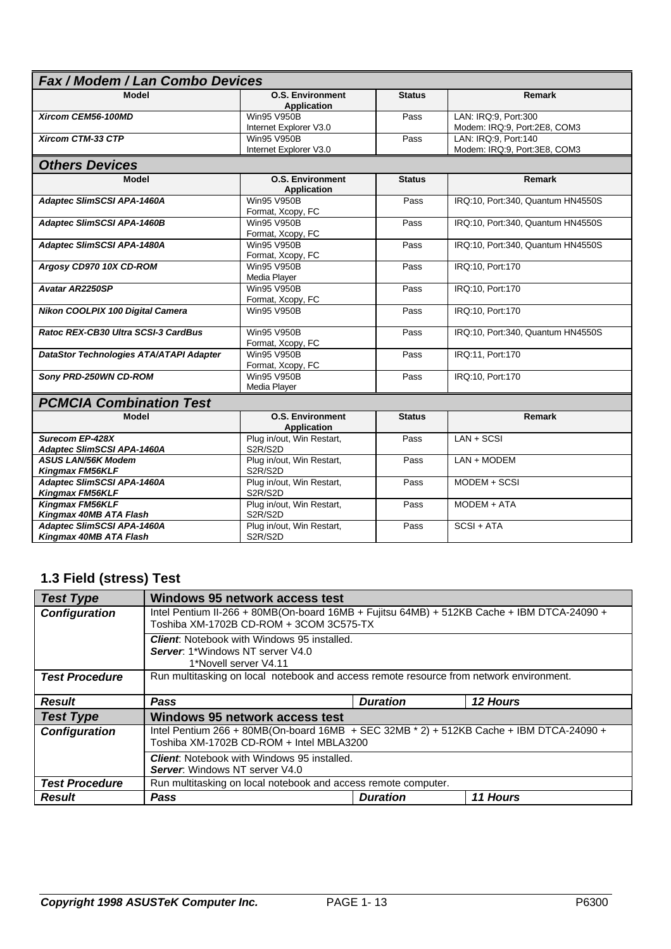| Fax / Modem / Lan Combo Devices                      |                                               |               |                                   |  |  |
|------------------------------------------------------|-----------------------------------------------|---------------|-----------------------------------|--|--|
| Model                                                | <b>O.S. Environment</b><br><b>Application</b> | <b>Status</b> | Remark                            |  |  |
| Xircom CEM56-100MD                                   | <b>Win95 V950B</b>                            | Pass          | LAN: IRQ:9, Port:300              |  |  |
|                                                      | Internet Explorer V3.0                        |               | Modem: IRQ:9, Port:2E8, COM3      |  |  |
| Xircom CTM-33 CTP                                    | <b>Win95 V950B</b>                            | Pass          | LAN: IRQ:9, Port:140              |  |  |
|                                                      | Internet Explorer V3.0                        |               | Modem: IRQ:9, Port:3E8, COM3      |  |  |
| <b>Others Devices</b>                                |                                               |               |                                   |  |  |
| <b>Model</b>                                         | <b>O.S. Environment</b><br><b>Application</b> | <b>Status</b> | Remark                            |  |  |
| Adaptec SlimSCSI APA-1460A                           | Win95 V950B<br>Format, Xcopy, FC              | Pass          | IRQ:10, Port:340, Quantum HN4550S |  |  |
| <b>Adaptec SlimSCSI APA-1460B</b>                    | <b>Win95 V950B</b><br>Format, Xcopy, FC       | Pass          | IRQ:10, Port:340, Quantum HN4550S |  |  |
| Adaptec SlimSCSI APA-1480A                           | <b>Win95 V950B</b>                            | Pass          | IRQ:10, Port:340, Quantum HN4550S |  |  |
|                                                      | Format, Xcopy, FC                             |               |                                   |  |  |
| Argosy CD970 10X CD-ROM                              | Win95 V950B                                   | Pass          | IRQ:10, Port:170                  |  |  |
|                                                      | Media Player                                  |               |                                   |  |  |
| <b>Avatar AR2250SP</b>                               | <b>Win95 V950B</b><br>Format, Xcopy, FC       | Pass          | IRQ:10, Port:170                  |  |  |
| Nikon COOLPIX 100 Digital Camera                     | Win95 V950B                                   | Pass          | IRQ:10, Port:170                  |  |  |
| Ratoc REX-CB30 Ultra SCSI-3 CardBus                  | Win95 V950B<br>Format, Xcopy, FC              | Pass          | IRQ:10, Port:340, Quantum HN4550S |  |  |
| DataStor Technologies ATA/ATAPI Adapter              | <b>Win95 V950B</b><br>Format, Xcopy, FC       | Pass          | IRQ:11, Port:170                  |  |  |
| Sony PRD-250WN CD-ROM                                | <b>Win95 V950B</b><br>Pass                    |               | IRQ:10, Port:170                  |  |  |
|                                                      | Media Player                                  |               |                                   |  |  |
| <b>PCMCIA Combination Test</b>                       |                                               |               |                                   |  |  |
| Model                                                | <b>O.S. Environment</b><br><b>Application</b> | <b>Status</b> | <b>Remark</b>                     |  |  |
| Surecom EP-428X                                      | Plug in/out, Win Restart,                     | Pass          | $LAN + SCSI$                      |  |  |
| Adaptec SlimSCSI APA-1460A                           | S2R/S2D                                       |               |                                   |  |  |
| <b>ASUS LAN/56K Modem</b>                            | Plug in/out, Win Restart,                     | Pass          | LAN + MODEM                       |  |  |
| <b>Kingmax FM56KLF</b>                               | S2R/S2D                                       |               |                                   |  |  |
| <b>Adaptec SlimSCSI APA-1460A</b>                    | Plug in/out, Win Restart,                     | Pass          | MODEM + SCSI                      |  |  |
| <b>Kingmax FM56KLF</b>                               | S2R/S2D                                       |               |                                   |  |  |
| Kingmax FM56KLF                                      | Plug in/out, Win Restart,                     | Pass          | MODEM + ATA                       |  |  |
| Kingmax 40MB ATA Flash                               | S2R/S2D                                       |               |                                   |  |  |
| Adaptec SlimSCSI APA-1460A<br>Kingmax 40MB ATA Flash | Plug in/out, Win Restart,<br>S2R/S2D          | Pass          | $SCSI + ATA$                      |  |  |
|                                                      |                                               |               |                                   |  |  |

## **1.3 Field (stress) Test**

| <b>Test Type</b>      | <b>Windows 95 network access test</b>                                                                                                 |                 |                 |  |  |
|-----------------------|---------------------------------------------------------------------------------------------------------------------------------------|-----------------|-----------------|--|--|
| <b>Configuration</b>  | Intel Pentium II-266 + 80MB(On-board 16MB + Fujitsu 64MB) + 512KB Cache + IBM DTCA-24090 +<br>Toshiba XM-1702B CD-ROM + 3COM 3C575-TX |                 |                 |  |  |
|                       | <b>Client:</b> Notebook with Windows 95 installed.<br><b>Server: 1*Windows NT server V4.0</b><br>1*Novell server V4.11                |                 |                 |  |  |
| <b>Test Procedure</b> | Run multitasking on local notebook and access remote resource from network environment.                                               |                 |                 |  |  |
| <b>Result</b>         | <b>Pass</b>                                                                                                                           | <b>Duration</b> | <b>12 Hours</b> |  |  |
| <b>Test Type</b>      | <b>Windows 95 network access test</b>                                                                                                 |                 |                 |  |  |
| <b>Configuration</b>  | Intel Pentium 266 + 80MB(On-board 16MB + SEC 32MB * 2) + 512KB Cache + IBM DTCA-24090 +<br>Toshiba XM-1702B CD-ROM + Intel MBLA3200   |                 |                 |  |  |
|                       | <b>Client:</b> Notebook with Windows 95 installed.<br>Server: Windows NT server V4.0                                                  |                 |                 |  |  |
| <b>Test Procedure</b> | Run multitasking on local notebook and access remote computer.                                                                        |                 |                 |  |  |
| <b>Result</b>         | Pass                                                                                                                                  | <b>Duration</b> | 11 Hours        |  |  |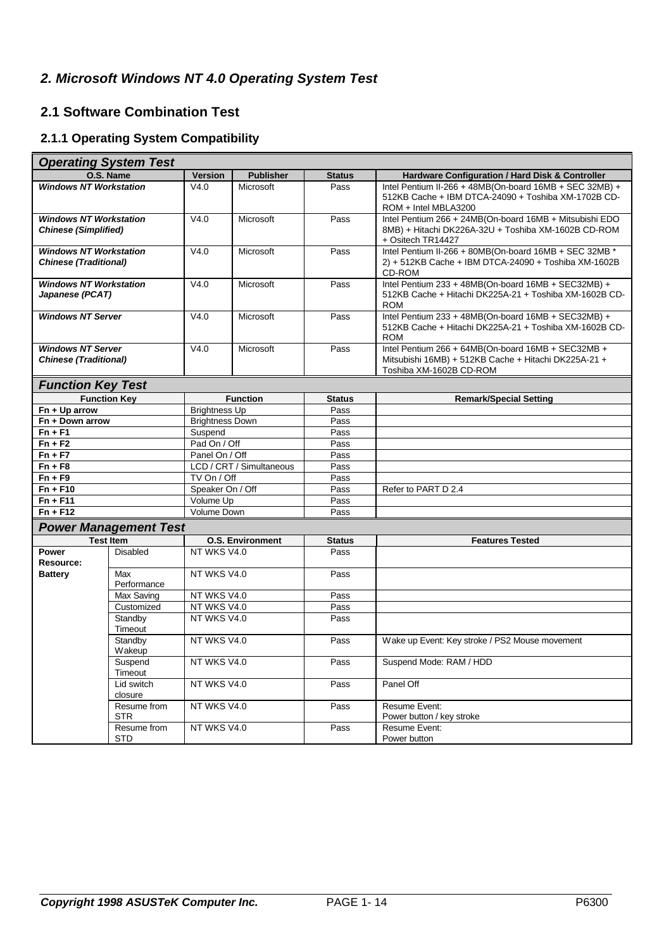## *2. Microsoft Windows NT 4.0 Operating System Test*

## **2.1 Software Combination Test**

## **2.1.1 Operating System Compatibility**

|                                                               | <b>Operating System Test</b> |                            |                  |               |                                                                                                                                        |
|---------------------------------------------------------------|------------------------------|----------------------------|------------------|---------------|----------------------------------------------------------------------------------------------------------------------------------------|
|                                                               | O.S. Name                    | <b>Version</b>             | <b>Publisher</b> | <b>Status</b> | Hardware Configuration / Hard Disk & Controller                                                                                        |
| <b>Windows NT Workstation</b>                                 |                              | V4.0                       | Microsoft        | Pass          | Intel Pentium II-266 + 48MB(On-board 16MB + SEC 32MB) +<br>512KB Cache + IBM DTCA-24090 + Toshiba XM-1702B CD-<br>ROM + Intel MBLA3200 |
| <b>Windows NT Workstation</b><br><b>Chinese (Simplified)</b>  |                              | V4.0                       | Microsoft        | Pass          | Intel Pentium 266 + 24MB(On-board 16MB + Mitsubishi EDO<br>8MB) + Hitachi DK226A-32U + Toshiba XM-1602B CD-ROM<br>+ Ositech TR14427    |
| <b>Windows NT Workstation</b><br><b>Chinese (Traditional)</b> |                              | V4.0                       | Microsoft        | Pass          | Intel Pentium II-266 + 80MB(On-board 16MB + SEC 32MB *<br>2) + 512KB Cache + IBM DTCA-24090 + Toshiba XM-1602B<br>CD-ROM               |
| <b>Windows NT Workstation</b><br>Japanese (PCAT)              |                              | V4.0                       | Microsoft        | Pass          | Intel Pentium 233 + 48MB(On-board 16MB + SEC32MB) +<br>512KB Cache + Hitachi DK225A-21 + Toshiba XM-1602B CD-<br><b>ROM</b>            |
| <b>Windows NT Server</b>                                      |                              | V4.0                       | Microsoft        | Pass          | Intel Pentium 233 + 48MB(On-board 16MB + SEC32MB) +<br>512KB Cache + Hitachi DK225A-21 + Toshiba XM-1602B CD-<br><b>ROM</b>            |
| <b>Windows NT Server</b><br><b>Chinese (Traditional)</b>      |                              | V4.0                       | Microsoft        | Pass          | Intel Pentium 266 + 64MB(On-board 16MB + SEC32MB +<br>Mitsubishi 16MB) + 512KB Cache + Hitachi DK225A-21 +<br>Toshiba XM-1602B CD-ROM  |
| <b>Function Key Test</b>                                      |                              |                            |                  |               |                                                                                                                                        |
|                                                               | <b>Function Key</b>          |                            | <b>Function</b>  | <b>Status</b> | <b>Remark/Special Setting</b>                                                                                                          |
| Fn + Up arrow                                                 |                              | <b>Brightness Up</b>       |                  | Pass          |                                                                                                                                        |
| Fn + Down arrow                                               |                              | <b>Brightness Down</b>     |                  | Pass          |                                                                                                                                        |
| $Fn + F1$                                                     |                              | Suspend                    |                  | Pass<br>Pass  |                                                                                                                                        |
| $Fn + F2$                                                     |                              |                            | Pad On / Off     |               |                                                                                                                                        |
| $Fn + F7$                                                     |                              |                            | Panel On / Off   |               |                                                                                                                                        |
| $Fn + F8$                                                     |                              | LCD / CRT / Simultaneous   |                  | Pass<br>Pass  |                                                                                                                                        |
| $Fn + F9$                                                     |                              |                            | TV On / Off      |               |                                                                                                                                        |
| $Fn + F10$                                                    |                              | Speaker On / Off           |                  | Pass          | Refer to PART D 2.4                                                                                                                    |
| $Fn + F11$                                                    |                              | Volume Up                  |                  | Pass          |                                                                                                                                        |
| $Fn + F12$                                                    |                              | Volume Down                |                  | Pass          |                                                                                                                                        |
|                                                               | <b>Power Management Test</b> |                            |                  |               |                                                                                                                                        |
|                                                               | <b>Test Item</b>             | <b>O.S. Environment</b>    |                  | <b>Status</b> | <b>Features Tested</b>                                                                                                                 |
| Power<br>Resource:                                            | <b>Disabled</b>              | NT WKS V4.0                |                  | Pass          |                                                                                                                                        |
| <b>Battery</b>                                                | Max<br>Performance           | NT WKS V4.0                |                  | Pass          |                                                                                                                                        |
|                                                               | Max Saving<br>Customized     | NT WKS V4.0<br>NT WKS V4.0 |                  | Pass<br>Pass  |                                                                                                                                        |
|                                                               | Standby                      | NT WKS V4.0                |                  | Pass          |                                                                                                                                        |
|                                                               | Timeout                      |                            |                  |               |                                                                                                                                        |
|                                                               | Standby<br>Wakeup            | NT WKS V4.0                |                  | Pass          | Wake up Event: Key stroke / PS2 Mouse movement                                                                                         |
|                                                               | Suspend<br>Timeout           | NT WKS V4.0                |                  | Pass          | Suspend Mode: RAM / HDD                                                                                                                |
|                                                               | Lid switch<br>closure        | NT WKS V4.0                |                  | Pass          | Panel Off                                                                                                                              |
|                                                               | Resume from<br><b>STR</b>    | NT WKS V4.0                |                  | Pass          | Resume Event:<br>Power button / key stroke                                                                                             |
|                                                               | Resume from<br><b>STD</b>    | NT WKS V4.0                |                  | Pass          | Resume Event:<br>Power button                                                                                                          |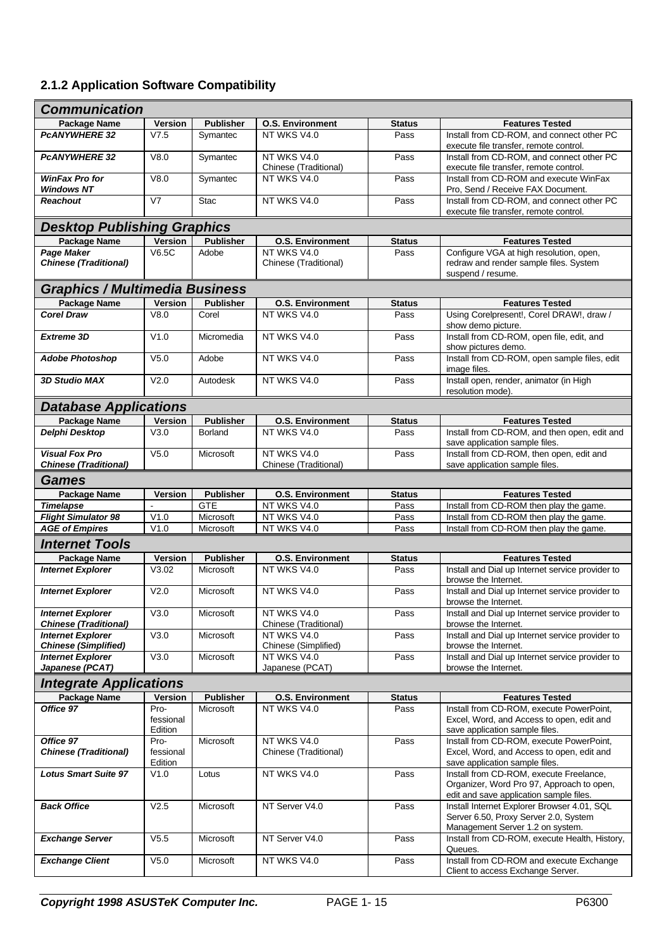## **2.1.2 Application Software Compatibility**

| <b>Communication</b>                                     |                      |                  |                                      |               |                                                                                                                                 |  |  |
|----------------------------------------------------------|----------------------|------------------|--------------------------------------|---------------|---------------------------------------------------------------------------------------------------------------------------------|--|--|
| Package Name                                             | Version              | <b>Publisher</b> | <b>O.S. Environment</b>              | <b>Status</b> | <b>Features Tested</b>                                                                                                          |  |  |
| <b>PCANYWHERE 32</b>                                     | V7.5                 | Symantec         | NT WKS V4.0                          | Pass          | Install from CD-ROM, and connect other PC<br>execute file transfer, remote control.                                             |  |  |
| <b>PCANYWHERE 32</b>                                     | V8.0                 | Symantec         | NT WKS V4.0<br>Chinese (Traditional) | Pass          | Install from CD-ROM, and connect other PC<br>execute file transfer, remote control.                                             |  |  |
| <b>WinFax Pro for</b><br><b>Windows NT</b>               | V8.0                 | Symantec         | NT WKS V4.0                          | Pass          | Install from CD-ROM and execute WinFax<br>Pro, Send / Receive FAX Document.                                                     |  |  |
| <b>Reachout</b>                                          | V <sub>7</sub>       | <b>Stac</b>      | NT WKS V4.0                          | Pass          | Install from CD-ROM, and connect other PC<br>execute file transfer, remote control.                                             |  |  |
| <b>Desktop Publishing Graphics</b>                       |                      |                  |                                      |               |                                                                                                                                 |  |  |
| <b>Package Name</b>                                      | Version              | <b>Publisher</b> | <b>O.S. Environment</b>              | <b>Status</b> | <b>Features Tested</b>                                                                                                          |  |  |
| <b>Page Maker</b><br><b>Chinese (Traditional)</b>        | <b>V6.5C</b>         | Adobe            | NT WKS V4.0<br>Chinese (Traditional) | Pass          | Configure VGA at high resolution, open,<br>redraw and render sample files. System<br>suspend / resume.                          |  |  |
| <b>Graphics / Multimedia Business</b>                    |                      |                  |                                      |               |                                                                                                                                 |  |  |
| <b>Package Name</b>                                      | <b>Version</b>       | <b>Publisher</b> | <b>O.S. Environment</b>              | <b>Status</b> | <b>Features Tested</b>                                                                                                          |  |  |
| <b>Corel Draw</b>                                        | V8.0                 | Corel            | NT WKS V4.0                          | Pass          | Using Corelpresent!, Corel DRAW!, draw /<br>show demo picture.                                                                  |  |  |
| <b>Extreme 3D</b>                                        | V1.0                 | Micromedia       | NT WKS V4.0                          | Pass          | Install from CD-ROM, open file, edit, and<br>show pictures demo.                                                                |  |  |
| <b>Adobe Photoshop</b>                                   | V <sub>5.0</sub>     | Adobe            | NT WKS V4.0                          | Pass          | Install from CD-ROM, open sample files, edit<br>image files.                                                                    |  |  |
| <b>3D Studio MAX</b>                                     | V2.0                 | Autodesk         | NT WKS V4.0                          | Pass          | Install open, render, animator (in High<br>resolution mode)                                                                     |  |  |
| <b>Database Applications</b>                             |                      |                  |                                      |               |                                                                                                                                 |  |  |
| <b>Package Name</b>                                      | Version              | <b>Publisher</b> | <b>O.S. Environment</b>              | <b>Status</b> | <b>Features Tested</b>                                                                                                          |  |  |
| Delphi Desktop                                           | V3.0                 | Borland          | NT WKS V4.0                          | Pass          | Install from CD-ROM, and then open, edit and<br>save application sample files.                                                  |  |  |
| <b>Visual Fox Pro</b><br><b>Chinese (Traditional)</b>    | V <sub>5.0</sub>     | Microsoft        | NT WKS V4.0<br>Chinese (Traditional) | Pass          | Install from CD-ROM, then open, edit and<br>save application sample files.                                                      |  |  |
| Games                                                    |                      |                  |                                      |               |                                                                                                                                 |  |  |
| Package Name                                             | <b>Version</b>       | <b>Publisher</b> | <b>O.S. Environment</b>              | <b>Status</b> | <b>Features Tested</b>                                                                                                          |  |  |
| <b>Timelapse</b>                                         | $\blacksquare$       | <b>GTE</b>       | NT WKS V4.0                          | Pass          | Install from CD-ROM then play the game.                                                                                         |  |  |
| <b>Flight Simulator 98</b>                               | V1.0                 | Microsoft        | NT WKS V4.0                          | Pass          | Install from CD-ROM then play the game.                                                                                         |  |  |
| <b>AGE of Empires</b>                                    | V1.0                 | Microsoft        | NT WKS V4.0                          | Pass          | Install from CD-ROM then play the game.                                                                                         |  |  |
| <b>Internet Tools</b>                                    |                      |                  |                                      |               |                                                                                                                                 |  |  |
| <b>Package Name</b>                                      | <b>Version</b>       | <b>Publisher</b> | <b>O.S. Environment</b>              | <b>Status</b> | <b>Features Tested</b>                                                                                                          |  |  |
| <b>Internet Explorer</b>                                 | V3.02                | Microsoft        | NT WKS V4.0                          | Pass          | Install and Dial up Internet service provider to<br>browse the Internet.                                                        |  |  |
| <b>Internet Explorer</b>                                 | V2.0                 | Microsoft        | NT WKS V4.0                          | Pass          | Install and Dial up Internet service provider to<br>browse the Internet.                                                        |  |  |
| <b>Internet Explorer</b><br><b>Chinese (Traditional)</b> | V3.0                 | Microsoft        | NT WKS V4.0<br>Chinese (Traditional) | Pass          | Install and Dial up Internet service provider to<br>browse the Internet.                                                        |  |  |
| <b>Internet Explorer</b><br><b>Chinese (Simplified)</b>  | V3.0                 | Microsoft        | NT WKS V4.0<br>Chinese (Simplified)  | Pass          | Install and Dial up Internet service provider to<br>browse the Internet.                                                        |  |  |
| <b>Internet Explorer</b><br>Japanese (PCAT)              | V3.0                 | Microsoft        | NT WKS V4.0<br>Japanese (PCAT)       | Pass          | Install and Dial up Internet service provider to<br>browse the Internet.                                                        |  |  |
| <b>Integrate Applications</b>                            |                      |                  |                                      |               |                                                                                                                                 |  |  |
| Package Name                                             | <b>Version</b>       | <b>Publisher</b> | <b>O.S. Environment</b>              | <b>Status</b> | <b>Features Tested</b>                                                                                                          |  |  |
| Office 97                                                | Pro-                 | Microsoft        | NT WKS V4.0                          | Pass          | Install from CD-ROM, execute PowerPoint,                                                                                        |  |  |
|                                                          | fessional<br>Edition |                  |                                      |               | Excel, Word, and Access to open, edit and<br>save application sample files.                                                     |  |  |
| Office 97                                                | Pro-                 | Microsoft        | NT WKS V4.0                          | Pass          | Install from CD-ROM, execute PowerPoint,                                                                                        |  |  |
| <b>Chinese (Traditional)</b>                             | fessional<br>Edition |                  | Chinese (Traditional)                |               | Excel, Word, and Access to open, edit and<br>save application sample files.                                                     |  |  |
| <b>Lotus Smart Suite 97</b>                              | V1.0                 | Lotus            | NT WKS V4.0                          | Pass          | Install from CD-ROM, execute Freelance,<br>Organizer, Word Pro 97, Approach to open,<br>edit and save application sample files. |  |  |
| <b>Back Office</b>                                       | V2.5                 | Microsoft        | NT Server V4.0                       | Pass          | Install Internet Explorer Browser 4.01, SQL<br>Server 6.50, Proxy Server 2.0, System<br>Management Server 1.2 on system.        |  |  |
| <b>Exchange Server</b>                                   | V5.5                 | Microsoft        | NT Server V4.0                       | Pass          | Install from CD-ROM, execute Health, History,<br>Queues.                                                                        |  |  |
| <b>Exchange Client</b>                                   | V5.0                 | Microsoft        | NT WKS V4.0                          | Pass          | Install from CD-ROM and execute Exchange<br>Client to access Exchange Server.                                                   |  |  |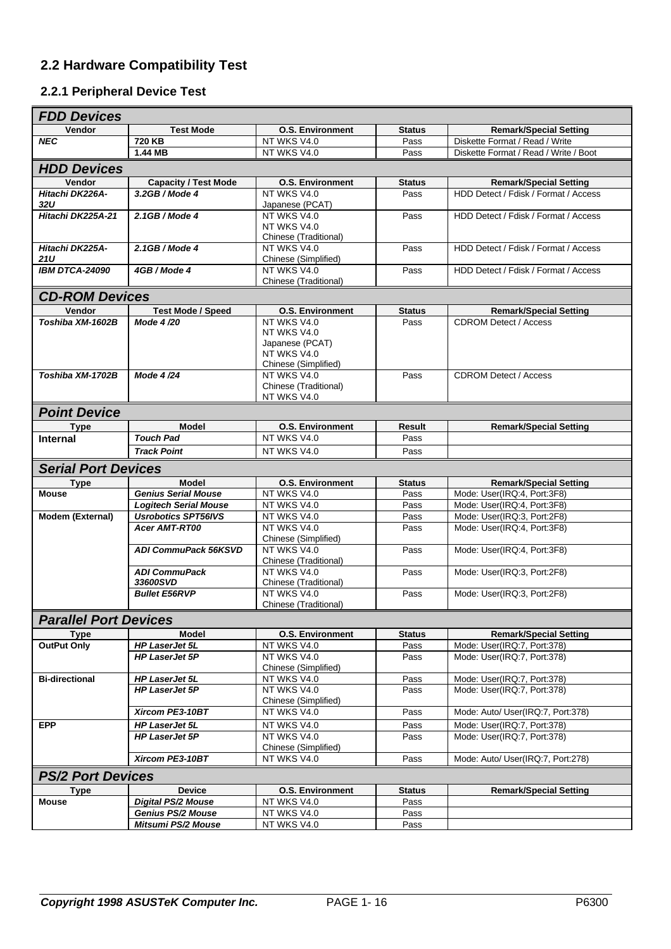## **2.2 Hardware Compatibility Test**

#### **2.2.1 Peripheral Device Test**

| <b>FDD Devices</b>           |                              |                                      |               |                                                            |  |  |  |  |  |
|------------------------------|------------------------------|--------------------------------------|---------------|------------------------------------------------------------|--|--|--|--|--|
| Vendor                       | <b>Test Mode</b>             | <b>O.S. Environment</b>              | <b>Status</b> | <b>Remark/Special Setting</b>                              |  |  |  |  |  |
| <b>NEC</b>                   | 720 KB                       | NT WKS V4.0                          | Pass          | Diskette Format / Read / Write                             |  |  |  |  |  |
|                              | 1.44 MB                      | NT WKS V4.0                          | Pass          | Diskette Format / Read / Write / Boot                      |  |  |  |  |  |
| <b>HDD Devices</b>           |                              |                                      |               |                                                            |  |  |  |  |  |
| Vendor                       | <b>Capacity / Test Mode</b>  | <b>O.S. Environment</b>              | <b>Status</b> | <b>Remark/Special Setting</b>                              |  |  |  |  |  |
| Hitachi DK226A-              | $3.2GB/Mode$ 4               | NT WKS V4.0                          | Pass          | HDD Detect / Fdisk / Format / Access                       |  |  |  |  |  |
| 32U                          |                              | Japanese (PCAT)                      |               |                                                            |  |  |  |  |  |
| Hitachi DK225A-21            | $2.1GB/Mode$ 4               | NT WKS V4.0                          | Pass          | HDD Detect / Fdisk / Format / Access                       |  |  |  |  |  |
|                              |                              | NT WKS V4.0                          |               |                                                            |  |  |  |  |  |
|                              |                              | Chinese (Traditional)                |               |                                                            |  |  |  |  |  |
| Hitachi DK225A-<br>21U       | 2.1GB / Mode 4               | NT WKS V4.0<br>Chinese (Simplified)  | Pass          | HDD Detect / Fdisk / Format / Access                       |  |  |  |  |  |
| <b>IBM DTCA-24090</b>        | 4GB / Mode 4                 | NT WKS V4.0                          | Pass          | HDD Detect / Fdisk / Format / Access                       |  |  |  |  |  |
|                              |                              | Chinese (Traditional)                |               |                                                            |  |  |  |  |  |
| <b>CD-ROM Devices</b>        |                              |                                      |               |                                                            |  |  |  |  |  |
| Vendor                       | <b>Test Mode / Speed</b>     | <b>O.S. Environment</b>              | <b>Status</b> | <b>Remark/Special Setting</b>                              |  |  |  |  |  |
| Toshiba XM-1602B             | Mode 4/20                    | NT WKS V4.0                          | Pass          | <b>CDROM Detect / Access</b>                               |  |  |  |  |  |
|                              |                              | NT WKS V4.0                          |               |                                                            |  |  |  |  |  |
|                              |                              | Japanese (PCAT)                      |               |                                                            |  |  |  |  |  |
|                              |                              | NT WKS V4.0                          |               |                                                            |  |  |  |  |  |
|                              |                              | Chinese (Simplified)                 |               |                                                            |  |  |  |  |  |
| Toshiba XM-1702B             | Mode 4/24                    | NT WKS V4.0                          | Pass          | <b>CDROM Detect / Access</b>                               |  |  |  |  |  |
|                              |                              | Chinese (Traditional)<br>NT WKS V4.0 |               |                                                            |  |  |  |  |  |
|                              |                              |                                      |               |                                                            |  |  |  |  |  |
| <b>Point Device</b>          |                              |                                      |               |                                                            |  |  |  |  |  |
| <b>Type</b>                  | <b>Model</b>                 | <b>O.S. Environment</b>              | <b>Result</b> | <b>Remark/Special Setting</b>                              |  |  |  |  |  |
| <b>Internal</b>              | <b>Touch Pad</b>             | NT WKS V4.0                          | Pass          |                                                            |  |  |  |  |  |
|                              | <b>Track Point</b>           | NT WKS V4.0                          | Pass          |                                                            |  |  |  |  |  |
| <b>Serial Port Devices</b>   |                              |                                      |               |                                                            |  |  |  |  |  |
| <b>Type</b>                  | <b>Model</b>                 | <b>O.S. Environment</b>              | <b>Status</b> | <b>Remark/Special Setting</b>                              |  |  |  |  |  |
| <b>Mouse</b>                 | <b>Genius Serial Mouse</b>   | NT WKS V4.0                          | Pass          | Mode: User(IRQ:4, Port:3F8)                                |  |  |  |  |  |
|                              | <b>Logitech Serial Mouse</b> | NT WKS V4.0                          | Pass          | Mode: User(IRQ:4, Port:3F8)                                |  |  |  |  |  |
| Modem (External)             | <b>Usrobotics SPT56IVS</b>   | NT WKS V4.0                          | Pass          | Mode: User(IRQ:3, Port:2F8)                                |  |  |  |  |  |
|                              | <b>Acer AMT-RT00</b>         | NT WKS V4.0                          | Pass          | Mode: User(IRQ:4, Port:3F8)                                |  |  |  |  |  |
|                              | <b>ADI CommuPack 56KSVD</b>  | Chinese (Simplified)<br>NT WKS V4.0  | Pass          | Mode: User(IRQ:4, Port:3F8)                                |  |  |  |  |  |
|                              |                              | Chinese (Traditional)                |               |                                                            |  |  |  |  |  |
|                              | <b>ADI CommuPack</b>         | NT WKS V4.0                          | Pass          | Mode: User(IRQ:3, Port:2F8)                                |  |  |  |  |  |
|                              | 33600SVD                     | Chinese (Traditional)                |               |                                                            |  |  |  |  |  |
|                              | <b>Bullet E56RVP</b>         | NT WKS V4.0                          | Pass          | Mode: User(IRQ:3, Port:2F8)                                |  |  |  |  |  |
|                              |                              | Chinese (Traditional)                |               |                                                            |  |  |  |  |  |
| <b>Parallel Port Devices</b> |                              |                                      |               |                                                            |  |  |  |  |  |
| <b>Type</b>                  | Model                        | <b>O.S. Environment</b>              | <b>Status</b> | <b>Remark/Special Setting</b>                              |  |  |  |  |  |
| <b>OutPut Only</b>           | <b>HP LaserJet 5L</b>        | NT WKS V4.0                          | Pass          | Mode: User(IRQ:7, Port:378)                                |  |  |  |  |  |
|                              | <b>HP LaserJet 5P</b>        | NT WKS V4.0                          | Pass          | Mode: User(IRQ:7, Port:378)                                |  |  |  |  |  |
| <b>Bi-directional</b>        | HP LaserJet 5L               | Chinese (Simplified)<br>NT WKS V4.0  | Pass          |                                                            |  |  |  |  |  |
|                              | <b>HP LaserJet 5P</b>        | NT WKS V4.0                          | Pass          | Mode: User(IRQ:7, Port:378)<br>Mode: User(IRQ:7, Port:378) |  |  |  |  |  |
|                              |                              | Chinese (Simplified)                 |               |                                                            |  |  |  |  |  |
|                              | Xircom PE3-10BT              | NT WKS V4.0                          | Pass          | Mode: Auto/ User(IRQ:7, Port:378)                          |  |  |  |  |  |
| <b>EPP</b>                   | <b>HP LaserJet 5L</b>        | NT WKS V4.0                          | Pass          | Mode: User(IRQ:7, Port:378)                                |  |  |  |  |  |
|                              | <b>HP LaserJet 5P</b>        | NT WKS V4.0                          | Pass          | Mode: User(IRQ:7, Port:378)                                |  |  |  |  |  |
|                              |                              | Chinese (Simplified)                 |               |                                                            |  |  |  |  |  |
|                              | Xircom PE3-10BT              | NT WKS V4.0                          | Pass          | Mode: Auto/ User(IRQ:7, Port:278)                          |  |  |  |  |  |
| <b>PS/2 Port Devices</b>     |                              |                                      |               |                                                            |  |  |  |  |  |
| <b>Type</b>                  | <b>Device</b>                | <b>O.S. Environment</b>              | <b>Status</b> | <b>Remark/Special Setting</b>                              |  |  |  |  |  |
| <b>Mouse</b>                 | <b>Digital PS/2 Mouse</b>    | NT WKS V4.0                          | Pass          |                                                            |  |  |  |  |  |
|                              | <b>Genius PS/2 Mouse</b>     | NT WKS V4.0                          | Pass          |                                                            |  |  |  |  |  |
|                              | Mitsumi PS/2 Mouse           | NT WKS V4.0                          | Pass          |                                                            |  |  |  |  |  |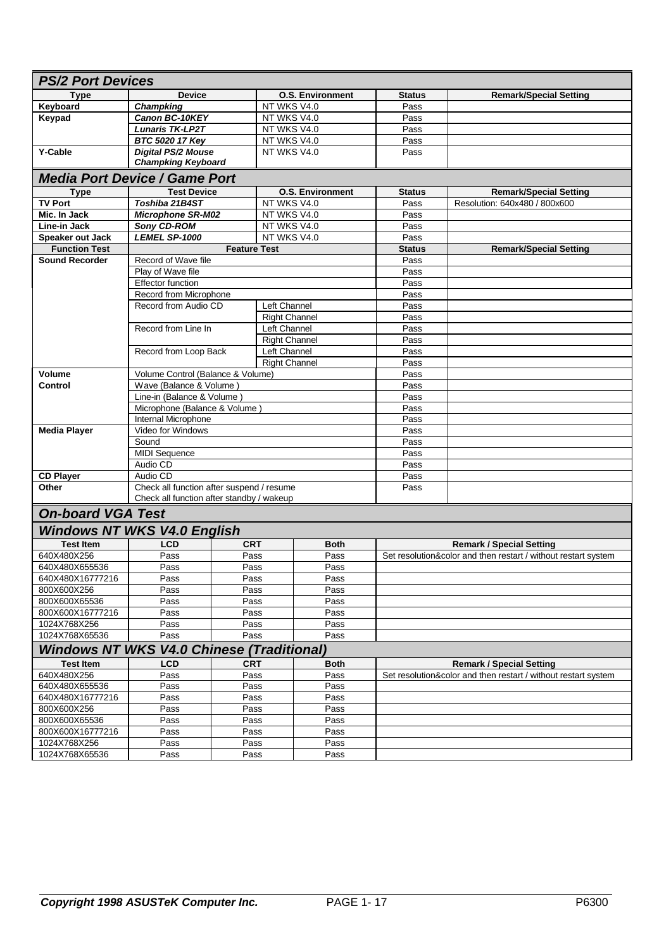| <b>PS/2 Port Devices</b>                         |                                                                                        |                      |                         |               |                                                                |  |  |
|--------------------------------------------------|----------------------------------------------------------------------------------------|----------------------|-------------------------|---------------|----------------------------------------------------------------|--|--|
| <b>Type</b>                                      | <b>Device</b>                                                                          |                      | <b>O.S. Environment</b> | <b>Status</b> | <b>Remark/Special Setting</b>                                  |  |  |
| Keyboard                                         | <b>Champking</b>                                                                       |                      | NT WKS V4.0             | Pass          |                                                                |  |  |
| Keypad                                           | Canon BC-10KEY                                                                         |                      | NT WKS V4.0             | Pass          |                                                                |  |  |
|                                                  | <b>Lunaris TK-LP2T</b>                                                                 |                      | NT WKS V4.0             | Pass          |                                                                |  |  |
|                                                  | BTC 5020 17 Key                                                                        |                      | NT WKS V4.0             | Pass          |                                                                |  |  |
| <b>Y-Cable</b>                                   | <b>Digital PS/2 Mouse</b>                                                              |                      | NT WKS V4.0             | Pass          |                                                                |  |  |
|                                                  | <b>Champking Keyboard</b>                                                              |                      |                         |               |                                                                |  |  |
| <b>Media Port Device / Game Port</b>             |                                                                                        |                      |                         |               |                                                                |  |  |
| <b>Type</b>                                      | <b>Test Device</b>                                                                     |                      | <b>O.S. Environment</b> | <b>Status</b> | <b>Remark/Special Setting</b>                                  |  |  |
| <b>TV Port</b>                                   | Toshiba 21B4ST                                                                         |                      | NT WKS V4.0             | Pass          | Resolution: 640x480 / 800x600                                  |  |  |
| Mic. In Jack                                     | <b>Microphone SR-M02</b>                                                               |                      | NT WKS V4.0             | Pass          |                                                                |  |  |
| Line-in Jack                                     | Sony CD-ROM                                                                            |                      | NT WKS V4.0             | Pass          |                                                                |  |  |
| Speaker out Jack                                 | LEMEL SP-1000                                                                          |                      | NT WKS V4.0             | Pass          |                                                                |  |  |
| <b>Function Test</b>                             |                                                                                        | <b>Feature Test</b>  |                         | <b>Status</b> | <b>Remark/Special Setting</b>                                  |  |  |
| <b>Sound Recorder</b>                            | Record of Wave file                                                                    |                      |                         | Pass          |                                                                |  |  |
|                                                  | Play of Wave file                                                                      |                      |                         | Pass          |                                                                |  |  |
|                                                  | <b>Effector function</b>                                                               |                      |                         | Pass          |                                                                |  |  |
|                                                  | Record from Microphone                                                                 |                      |                         | Pass          |                                                                |  |  |
|                                                  | Record from Audio CD                                                                   |                      | Left Channel            | Pass          |                                                                |  |  |
|                                                  |                                                                                        |                      | <b>Right Channel</b>    | Pass          |                                                                |  |  |
|                                                  | Record from Line In                                                                    |                      | Left Channel            | Pass          |                                                                |  |  |
|                                                  |                                                                                        |                      | <b>Right Channel</b>    | Pass          |                                                                |  |  |
|                                                  | Record from Loop Back                                                                  |                      | Left Channel            | Pass<br>Pass  |                                                                |  |  |
|                                                  |                                                                                        | <b>Right Channel</b> |                         |               |                                                                |  |  |
| <b>Volume</b>                                    | Volume Control (Balance & Volume)                                                      |                      |                         | Pass          |                                                                |  |  |
| Control                                          | Wave (Balance & Volume)                                                                |                      |                         | Pass          |                                                                |  |  |
|                                                  | Line-in (Balance & Volume                                                              |                      |                         | Pass          |                                                                |  |  |
|                                                  | Microphone (Balance & Volume)                                                          |                      |                         | Pass          |                                                                |  |  |
|                                                  | Internal Microphone                                                                    |                      |                         | Pass          |                                                                |  |  |
| <b>Media Player</b>                              | Video for Windows                                                                      |                      |                         | Pass          |                                                                |  |  |
|                                                  | Sound                                                                                  |                      |                         | Pass          |                                                                |  |  |
|                                                  | <b>MIDI Sequence</b>                                                                   |                      |                         | Pass          |                                                                |  |  |
|                                                  | Audio CD                                                                               |                      |                         | Pass          |                                                                |  |  |
| <b>CD Player</b>                                 | Audio CD                                                                               |                      |                         | Pass          |                                                                |  |  |
| Other                                            | Check all function after suspend / resume<br>Check all function after standby / wakeup |                      |                         | Pass          |                                                                |  |  |
| <b>On-board VGA Test</b>                         |                                                                                        |                      |                         |               |                                                                |  |  |
| <b>Windows NT WKS V4.0 English</b>               |                                                                                        |                      |                         |               |                                                                |  |  |
| <b>Test Item</b>                                 | <b>LCD</b>                                                                             | <b>CRT</b>           | <b>Both</b>             |               | <b>Remark / Special Setting</b>                                |  |  |
| 640X480X256                                      | Pass                                                                                   | Pass                 | Pass                    |               | Set resolution&color and then restart / without restart system |  |  |
| 640X480X655536                                   | Pass                                                                                   | Pass                 | Pass                    |               |                                                                |  |  |
| 640X480X16777216                                 | Pass                                                                                   | Pass                 | Pass                    |               |                                                                |  |  |
| 800X600X256                                      | Pass                                                                                   | Pass                 | Pass                    |               |                                                                |  |  |
| 800X600X65536                                    | Pass                                                                                   | Pass                 | Pass                    |               |                                                                |  |  |
| 800X600X16777216                                 | Pass                                                                                   | Pass                 | Pass                    |               |                                                                |  |  |
| 1024X768X256                                     | Pass                                                                                   | Pass                 | Pass                    |               |                                                                |  |  |
| 1024X768X65536                                   | Pass                                                                                   | Pass                 | Pass                    |               |                                                                |  |  |
| <b>Windows NT WKS V4.0 Chinese (Traditional)</b> |                                                                                        |                      |                         |               |                                                                |  |  |
| <b>Test Item</b>                                 | <b>LCD</b>                                                                             | <b>CRT</b>           | <b>Both</b>             |               | <b>Remark / Special Setting</b>                                |  |  |
| 640X480X256                                      | Pass                                                                                   | Pass                 | Pass                    |               | Set resolution&color and then restart / without restart system |  |  |
| 640X480X655536                                   | Pass                                                                                   | Pass                 | Pass                    |               |                                                                |  |  |
| 640X480X16777216                                 | Pass                                                                                   | Pass                 | Pass                    |               |                                                                |  |  |
| 800X600X256                                      | Pass                                                                                   | Pass                 | Pass                    |               |                                                                |  |  |
| 800X600X65536                                    | Pass                                                                                   | Pass                 | Pass                    |               |                                                                |  |  |
| 800X600X16777216                                 | Pass                                                                                   | Pass                 | Pass                    |               |                                                                |  |  |
| 1024X768X256                                     | Pass                                                                                   | Pass                 | Pass                    |               |                                                                |  |  |
| 1024X768X65536                                   | Pass                                                                                   | Pass                 | Pass                    |               |                                                                |  |  |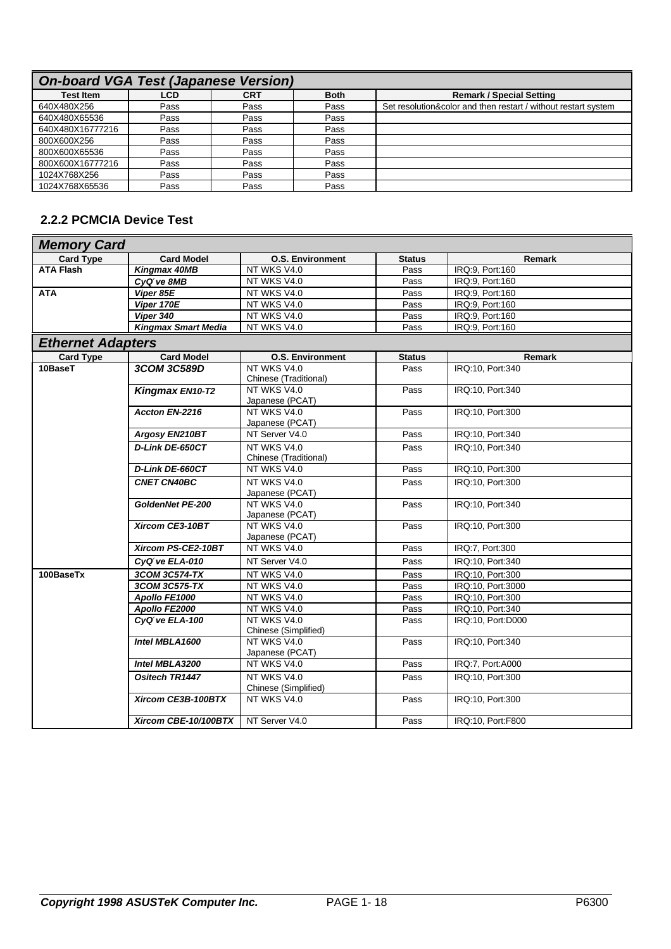| <b>On-board VGA Test (Japanese Version)</b> |      |      |             |                                                                |  |  |  |
|---------------------------------------------|------|------|-------------|----------------------------------------------------------------|--|--|--|
| <b>Test Item</b>                            | LCD  | CRT  | <b>Both</b> | <b>Remark / Special Setting</b>                                |  |  |  |
| 640X480X256                                 | Pass | Pass | Pass        | Set resolution&color and then restart / without restart system |  |  |  |
| 640X480X65536                               | Pass | Pass | Pass        |                                                                |  |  |  |
| 640X480X16777216                            | Pass | Pass | Pass        |                                                                |  |  |  |
| 800X600X256                                 | Pass | Pass | Pass        |                                                                |  |  |  |
| 800X600X65536                               | Pass | Pass | Pass        |                                                                |  |  |  |
| 800X600X16777216                            | Pass | Pass | Pass        |                                                                |  |  |  |
| 1024X768X256                                | Pass | Pass | Pass        |                                                                |  |  |  |
| 1024X768X65536                              | Pass | Pass | Pass        |                                                                |  |  |  |

## **2.2.2 PCMCIA Device Test**

| <b>Memory Card</b>       |                            |                                |               |                   |
|--------------------------|----------------------------|--------------------------------|---------------|-------------------|
| <b>Card Type</b>         | <b>Card Model</b>          | <b>O.S. Environment</b>        | <b>Status</b> | Remark            |
| <b>ATA Flash</b>         | Kingmax 40MB               | NT WKS V4.0                    | Pass          | IRQ:9, Port:160   |
|                          | CyQtve 8MB                 | NT WKS V4.0                    | Pass          | IRQ:9, Port:160   |
| <b>ATA</b>               | Viper 85E                  | NT WKS V4.0                    | Pass          | IRQ:9, Port:160   |
|                          | Viper 170E                 | NT WKS V4.0                    | Pass          | IRQ:9, Port:160   |
|                          | Viper 340                  | NT WKS V4.0                    | Pass          | IRQ:9, Port:160   |
|                          | <b>Kingmax Smart Media</b> | NT WKS V4.0                    | Pass          | IRQ:9, Port:160   |
| <b>Ethernet Adapters</b> |                            |                                |               |                   |
| <b>Card Type</b>         | <b>Card Model</b>          | <b>O.S. Environment</b>        | <b>Status</b> | Remark            |
| 10BaseT                  | <b>3COM 3C589D</b>         | NT WKS V4.0                    | Pass          | IRQ:10, Port:340  |
|                          |                            | Chinese (Traditional)          |               |                   |
|                          | Kingmax EN10-T2            | NT WKS V4.0                    | Pass          | IRQ:10, Port:340  |
|                          |                            | Japanese (PCAT)                |               |                   |
|                          | Accton EN-2216             | NT WKS V4.0<br>Japanese (PCAT) | Pass          | IRQ:10, Port:300  |
|                          | Argosy EN210BT             | NT Server V4.0                 | Pass          | IRQ:10, Port:340  |
|                          | D-Link DE-650CT            | NT WKS V4.0                    | Pass          | IRQ:10, Port:340  |
|                          |                            | Chinese (Traditional)          |               |                   |
|                          | D-Link DE-660CT            | NT WKS V4.0                    | Pass          | IRQ:10, Port:300  |
|                          | <b>CNET CN40BC</b>         | NT WKS V4.0                    | Pass          | IRQ:10, Port:300  |
|                          |                            | Japanese (PCAT)                |               |                   |
|                          | <b>GoldenNet PE-200</b>    | NT WKS V4.0                    | Pass          | IRQ:10, Port:340  |
|                          |                            | Japanese (PCAT)                |               |                   |
|                          | Xircom CE3-10BT            | NT WKS V4.0                    | Pass          | IRQ:10, Port:300  |
|                          |                            | Japanese (PCAT)                |               |                   |
|                          | Xircom PS-CE2-10BT         | NT WKS V4.0                    | Pass          | IRQ:7, Port:300   |
|                          | CyQtve ELA-010             | NT Server V4.0                 | Pass          | IRQ:10, Port:340  |
| 100BaseTx                | 3COM 3C574-TX              | NT WKS V4.0                    | Pass          | IRQ:10, Port:300  |
|                          | 3COM 3C575-TX              | NT WKS V4.0                    | Pass          | IRQ:10, Port:3000 |
|                          | Apollo FE1000              | NT WKS V4.0                    | Pass          | IRQ:10. Port:300  |
|                          | Apollo FE2000              | NT WKS V4.0                    | Pass          | IRQ:10, Port:340  |
|                          | CyQtve ELA-100             | NT WKS V4.0                    | Pass          | IRQ:10, Port:D000 |
|                          |                            | Chinese (Simplified)           |               |                   |
|                          | Intel MBLA1600             | NT WKS V4.0                    | Pass          | IRQ:10, Port:340  |
|                          |                            | Japanese (PCAT)                |               |                   |
|                          | Intel MBLA3200             | NT WKS V4.0                    | Pass          | IRQ:7, Port:A000  |
|                          | <b>Ositech TR1447</b>      | NT WKS V4.0                    | Pass          | IRQ:10, Port:300  |
|                          |                            | Chinese (Simplified)           |               |                   |
|                          | Xircom CE3B-100BTX         | NT WKS V4.0                    | Pass          | IRQ:10, Port:300  |
|                          | Xircom CBE-10/100BTX       | NT Server V4.0                 | Pass          | IRQ:10, Port:F800 |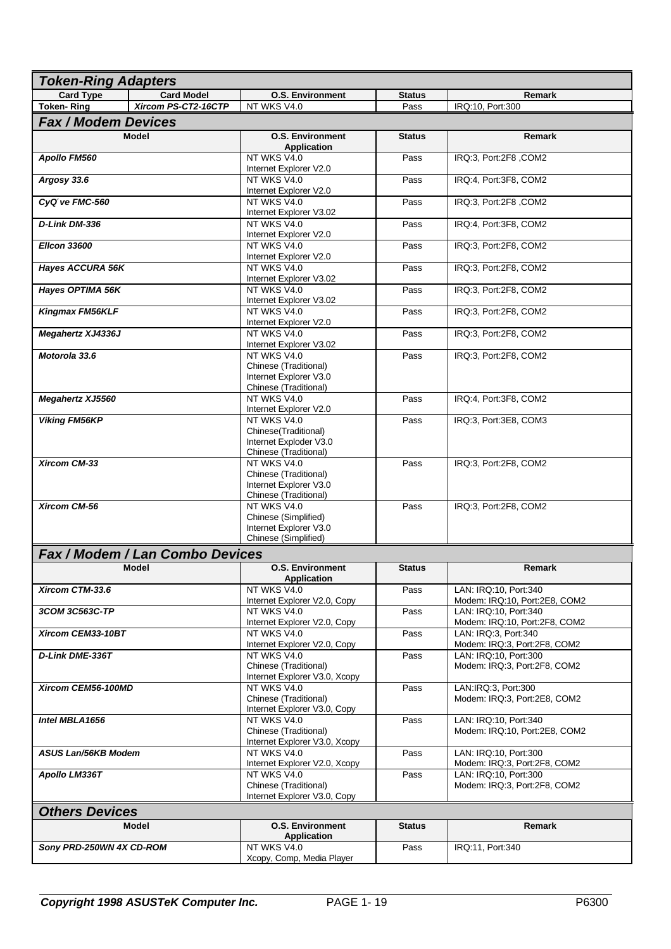| <b>Token-Ring Adapters</b>      |                     |                                                                                                                  |               |                                                        |  |  |  |
|---------------------------------|---------------------|------------------------------------------------------------------------------------------------------------------|---------------|--------------------------------------------------------|--|--|--|
| <b>Card Type</b>                | <b>Card Model</b>   | <b>O.S. Environment</b>                                                                                          | <b>Status</b> | Remark                                                 |  |  |  |
| <b>Token-Ring</b>               | Xircom PS-CT2-16CTP | NT WKS V4.0                                                                                                      | Pass          | IRQ:10, Port:300                                       |  |  |  |
| <b>Fax / Modem Devices</b>      |                     |                                                                                                                  |               |                                                        |  |  |  |
|                                 | <b>Model</b>        | <b>O.S. Environment</b><br><b>Application</b>                                                                    | <b>Status</b> | <b>Remark</b>                                          |  |  |  |
| Apollo FM560                    |                     | NT WKS V4.0<br>Internet Explorer V2.0                                                                            | Pass          | IRQ:3, Port:2F8, COM2                                  |  |  |  |
| Argosy 33.6                     |                     | NT WKS V4.0<br>Internet Explorer V2.0                                                                            | Pass          | IRQ:4, Port:3F8, COM2                                  |  |  |  |
| CyQtve FMC-560                  |                     | NT WKS V4.0<br>Internet Explorer V3.02                                                                           | Pass          | IRQ:3, Port:2F8, COM2                                  |  |  |  |
| D-Link DM-336                   |                     | NT WKS V4.0<br>Internet Explorer V2.0                                                                            | Pass          | IRQ:4, Port:3F8, COM2                                  |  |  |  |
| <b>Ellcon 33600</b>             |                     | NT WKS V4.0<br>Internet Explorer V2.0                                                                            | Pass          | IRQ:3, Port:2F8, COM2                                  |  |  |  |
| <b>Hayes ACCURA 56K</b>         |                     | NT WKS V4.0<br>Internet Explorer V3.02                                                                           | Pass          | IRQ:3, Port:2F8, COM2                                  |  |  |  |
| Hayes OPTIMA 56K                |                     | NT WKS V4.0<br>Internet Explorer V3.02                                                                           | Pass          | IRQ:3, Port:2F8, COM2                                  |  |  |  |
| Kingmax FM56KLF                 |                     | NT WKS V4.0<br>Internet Explorer V2.0                                                                            | Pass          | IRQ:3, Port:2F8, COM2                                  |  |  |  |
| <b>Megahertz XJ4336J</b>        |                     | NT WKS V4.0<br>Internet Explorer V3.02                                                                           | Pass          | IRQ:3, Port:2F8, COM2                                  |  |  |  |
| Motorola 33.6                   |                     | NT WKS V4.0<br>Chinese (Traditional)<br>Internet Explorer V3.0                                                   | Pass          | IRQ:3, Port:2F8, COM2                                  |  |  |  |
| <b>Megahertz XJ5560</b>         |                     | Chinese (Traditional)<br>NT WKS V4.0<br>Internet Explorer V2.0                                                   | Pass          | IRQ:4, Port:3F8, COM2                                  |  |  |  |
| <b>Viking FM56KP</b>            |                     | NT WKS V4.0<br>Chinese(Traditional)<br>Internet Exploder V3.0                                                    | Pass          | IRQ:3, Port:3E8, COM3                                  |  |  |  |
| <b>Xircom CM-33</b>             |                     | Chinese (Traditional)<br>NT WKS V4.0<br>Chinese (Traditional)<br>Internet Explorer V3.0<br>Chinese (Traditional) | Pass          | IRQ:3, Port:2F8, COM2                                  |  |  |  |
| Xircom CM-56                    |                     | NT WKS V4.0<br>Chinese (Simplified)<br>Internet Explorer V3.0<br>Chinese (Simplified)                            | Pass          | IRQ:3, Port:2F8, COM2                                  |  |  |  |
| Fax / Modem / Lan Combo Devices |                     |                                                                                                                  |               |                                                        |  |  |  |
|                                 | <b>Model</b>        | <b>O.S. Environment</b><br>Application                                                                           | <b>Status</b> | <b>Remark</b>                                          |  |  |  |
| Xircom CTM-33.6                 |                     | NT WKS V4.0<br>Internet Explorer V2.0, Copy                                                                      | Pass          | LAN: IRQ:10, Port:340<br>Modem: IRQ:10, Port:2E8, COM2 |  |  |  |
| 3COM 3C563C-TP                  |                     | NT WKS V4.0<br>Internet Explorer V2.0, Copy                                                                      | Pass          | LAN: IRQ:10, Port:340<br>Modem: IRQ:10, Port:2F8, COM2 |  |  |  |
| Xircom CEM33-10BT               |                     | NT WKS V4.0<br>Internet Explorer V2.0, Copy                                                                      | Pass          | LAN: IRQ:3. Port:340<br>Modem: IRQ:3, Port:2F8, COM2   |  |  |  |
| <b>D-Link DME-336T</b>          |                     | NT WKS V4.0<br>Chinese (Traditional)<br>Internet Explorer V3.0, Xcopy                                            | Pass          | LAN: IRQ:10, Port:300<br>Modem: IRQ:3, Port:2F8, COM2  |  |  |  |
| Xircom CEM56-100MD              |                     | NT WKS V4.0<br>Chinese (Traditional)<br>Internet Explorer V3.0, Copy                                             | Pass          | LAN:IRQ:3, Port:300<br>Modem: IRQ:3, Port:2E8, COM2    |  |  |  |
| Intel MBLA1656                  |                     | NT WKS V4.0<br>Chinese (Traditional)<br>Internet Explorer V3.0, Xcopy                                            | Pass          | LAN: IRQ:10, Port:340<br>Modem: IRQ:10, Port:2E8, COM2 |  |  |  |
| ASUS Lan/56KB Modem             |                     | NT WKS V4.0<br>Internet Explorer V2.0, Xcopy                                                                     | Pass          | LAN: IRQ:10, Port:300<br>Modem: IRQ:3, Port:2F8, COM2  |  |  |  |
| Apollo LM336T                   |                     | NT WKS V4.0<br>Chinese (Traditional)<br>Internet Explorer V3.0, Copy                                             | Pass          | LAN: IRQ:10, Port:300<br>Modem: IRQ:3, Port:2F8, COM2  |  |  |  |
| <b>Others Devices</b>           |                     |                                                                                                                  |               |                                                        |  |  |  |
|                                 | Model               | <b>O.S. Environment</b><br><b>Application</b>                                                                    | <b>Status</b> | Remark                                                 |  |  |  |
| Sony PRD-250WN 4X CD-ROM        |                     | NT WKS V4.0<br>Xcopy, Comp, Media Player                                                                         | Pass          | IRQ:11, Port:340                                       |  |  |  |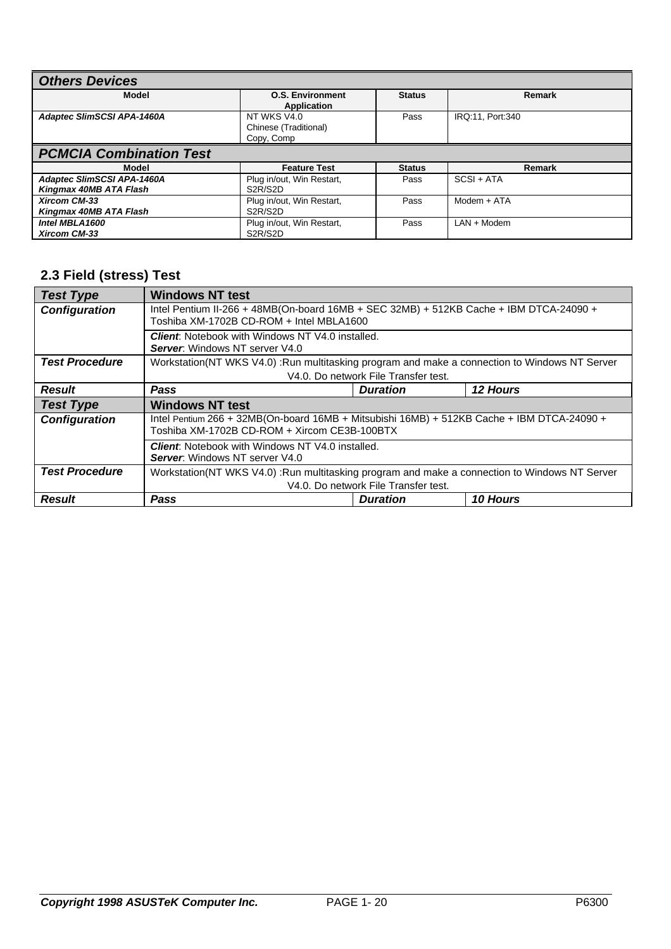| <b>Others Devices</b>                                       |                                                                |               |                  |  |  |  |
|-------------------------------------------------------------|----------------------------------------------------------------|---------------|------------------|--|--|--|
| Model                                                       | <b>O.S. Environment</b><br><b>Application</b>                  | <b>Status</b> | Remark           |  |  |  |
| <b>Adaptec SlimSCSI APA-1460A</b>                           | NT WKS V4.0<br>Chinese (Traditional)<br>Copy, Comp             | Pass          | IRQ:11, Port:340 |  |  |  |
| <b>PCMCIA Combination Test</b>                              |                                                                |               |                  |  |  |  |
| Model                                                       | <b>Feature Test</b>                                            | <b>Status</b> | Remark           |  |  |  |
| <b>Adaptec SlimSCSI APA-1460A</b><br>Kingmax 40MB ATA Flash | Plug in/out, Win Restart,<br>S <sub>2</sub> R/S <sub>2</sub> D | Pass          | $SCSI + ATA$     |  |  |  |
| <b>Xircom CM-33</b><br>Kingmax 40MB ATA Flash               | Plug in/out, Win Restart,<br>S <sub>2</sub> R/S <sub>2</sub> D | Pass          | $Modern + ATA$   |  |  |  |
| Intel MBLA1600<br><b>Xircom CM-33</b>                       | Plug in/out, Win Restart,<br>S <sub>2</sub> R/S <sub>2</sub> D | Pass          | $LAN + Modern$   |  |  |  |

## **2.3 Field (stress) Test**

| <b>Test Type</b>      | <b>Windows NT test</b>                                                                                                                     |                                                                                                                                    |          |  |  |  |  |
|-----------------------|--------------------------------------------------------------------------------------------------------------------------------------------|------------------------------------------------------------------------------------------------------------------------------------|----------|--|--|--|--|
| <b>Configuration</b>  |                                                                                                                                            | Intel Pentium II-266 + 48MB(On-board 16MB + SEC 32MB) + 512KB Cache + IBM DTCA-24090 +<br>Toshiba XM-1702B CD-ROM + Intel MBLA1600 |          |  |  |  |  |
|                       | <b>Client:</b> Notebook with Windows NT V4.0 installed.<br><b>Server:</b> Windows NT server V4.0                                           |                                                                                                                                    |          |  |  |  |  |
| <b>Test Procedure</b> | Workstation(NT WKS V4.0) :Run multitasking program and make a connection to Windows NT Server                                              |                                                                                                                                    |          |  |  |  |  |
|                       |                                                                                                                                            | V4.0. Do network File Transfer test.                                                                                               |          |  |  |  |  |
| <b>Result</b>         | <b>Pass</b>                                                                                                                                | <b>Duration</b>                                                                                                                    | 12 Hours |  |  |  |  |
| <b>Test Type</b>      | <b>Windows NT test</b>                                                                                                                     |                                                                                                                                    |          |  |  |  |  |
| <b>Configuration</b>  | Intel Pentium 266 + 32MB(On-board 16MB + Mitsubishi 16MB) + 512KB Cache + IBM DTCA-24090 +<br>Toshiba XM-1702B CD-ROM + Xircom CE3B-100BTX |                                                                                                                                    |          |  |  |  |  |
|                       | <b>Client:</b> Notebook with Windows NT V4.0 installed.<br><b>Server:</b> Windows NT server V4.0                                           |                                                                                                                                    |          |  |  |  |  |
| <b>Test Procedure</b> | Workstation(NT WKS V4.0) :Run multitasking program and make a connection to Windows NT Server                                              |                                                                                                                                    |          |  |  |  |  |
|                       |                                                                                                                                            | V4.0. Do network File Transfer test.                                                                                               |          |  |  |  |  |
| <b>Result</b>         | Pass                                                                                                                                       | <b>Duration</b>                                                                                                                    | 10 Hours |  |  |  |  |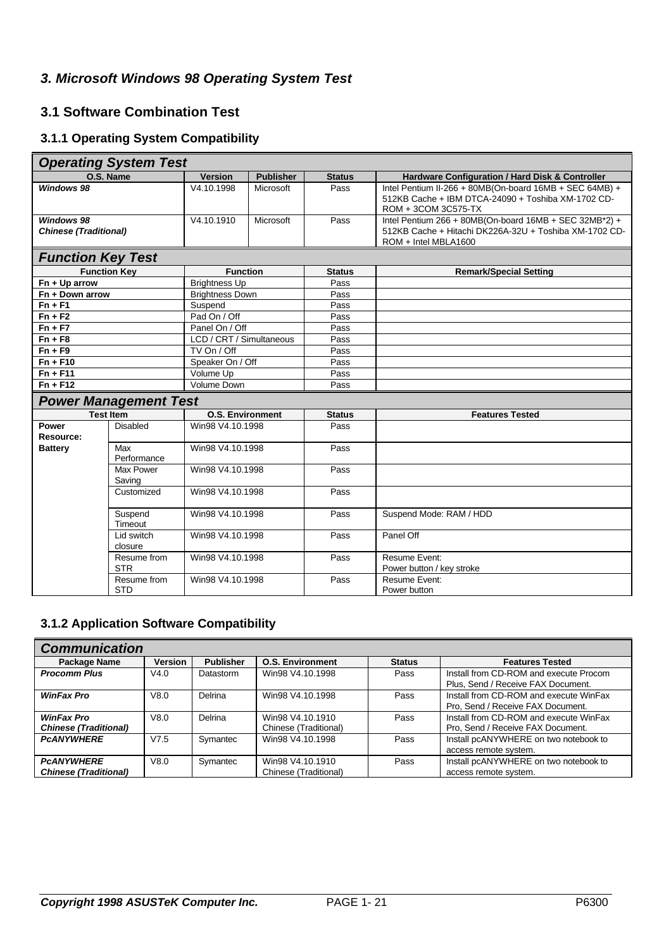## *3. Microsoft Windows 98 Operating System Test*

#### **3.1 Software Combination Test**

## **3.1.1 Operating System Compatibility**

| <b>Operating System Test</b>                      |                              |                          |                  |               |                                                                                                                                          |  |  |  |
|---------------------------------------------------|------------------------------|--------------------------|------------------|---------------|------------------------------------------------------------------------------------------------------------------------------------------|--|--|--|
|                                                   | O.S. Name                    | <b>Version</b>           | <b>Publisher</b> | <b>Status</b> | Hardware Configuration / Hard Disk & Controller                                                                                          |  |  |  |
| <b>Windows 98</b>                                 |                              | V4.10.1998               | Microsoft        | Pass          | Intel Pentium II-266 + 80MB(On-board 16MB + SEC 64MB) +<br>512KB Cache + IBM DTCA-24090 + Toshiba XM-1702 CD-<br>ROM + 3COM 3C575-TX     |  |  |  |
| <b>Windows 98</b><br><b>Chinese (Traditional)</b> |                              | V4.10.1910               | Microsoft        | Pass          | Intel Pentium 266 + 80MB(On-board 16MB + SEC 32MB*2) +<br>512KB Cache + Hitachi DK226A-32U + Toshiba XM-1702 CD-<br>ROM + Intel MBLA1600 |  |  |  |
| <b>Function Key Test</b>                          |                              |                          |                  |               |                                                                                                                                          |  |  |  |
|                                                   | <b>Function Key</b>          | <b>Function</b>          |                  | <b>Status</b> | <b>Remark/Special Setting</b>                                                                                                            |  |  |  |
| $Fn + Up arrow$                                   |                              | <b>Brightness Up</b>     |                  | Pass          |                                                                                                                                          |  |  |  |
| Fn + Down arrow                                   |                              | <b>Brightness Down</b>   |                  | Pass          |                                                                                                                                          |  |  |  |
| $Fn + F1$                                         |                              | Suspend                  |                  | Pass          |                                                                                                                                          |  |  |  |
| $Fn + F2$                                         |                              | Pad On / Off             |                  | Pass          |                                                                                                                                          |  |  |  |
| $Fn + F7$                                         |                              | Panel On / Off           |                  | Pass          |                                                                                                                                          |  |  |  |
| $Fn + F8$                                         |                              | LCD / CRT / Simultaneous |                  | Pass          |                                                                                                                                          |  |  |  |
| $Fn + F9$                                         |                              | TV On / Off              |                  | Pass          |                                                                                                                                          |  |  |  |
| $Fn + F10$                                        |                              | Speaker On / Off         |                  | Pass<br>Pass  |                                                                                                                                          |  |  |  |
| $Fn + F11$                                        |                              | Volume Up                |                  |               |                                                                                                                                          |  |  |  |
| $Fn + F12$                                        |                              | Volume Down              |                  | Pass          |                                                                                                                                          |  |  |  |
|                                                   | <b>Power Management Test</b> |                          |                  |               |                                                                                                                                          |  |  |  |
|                                                   | <b>Test Item</b>             | <b>O.S. Environment</b>  |                  | <b>Status</b> | <b>Features Tested</b>                                                                                                                   |  |  |  |
| Power<br><b>Resource:</b>                         | Disabled                     | Win98 V4.10.1998         |                  | Pass          |                                                                                                                                          |  |  |  |
| <b>Battery</b>                                    | Max<br>Performance           | Win98 V4.10.1998         |                  | Pass          |                                                                                                                                          |  |  |  |
|                                                   | Max Power<br>Saving          | Win98 V4.10.1998         |                  | Pass          |                                                                                                                                          |  |  |  |
|                                                   | Customized                   | Win98 V4.10.1998         |                  | Pass          |                                                                                                                                          |  |  |  |
|                                                   | Suspend<br>Timeout           | Win98 V4.10.1998         |                  | Pass          | Suspend Mode: RAM / HDD                                                                                                                  |  |  |  |
|                                                   | Lid switch<br>closure        | Win98 V4.10.1998         |                  | Pass          | Panel Off                                                                                                                                |  |  |  |
|                                                   | Resume from<br><b>STR</b>    | Win98 V4.10.1998         |                  | Pass          | Resume Event:<br>Power button / key stroke                                                                                               |  |  |  |
|                                                   | Resume from<br><b>STD</b>    | Win98 V4.10.1998         |                  | Pass          | Resume Event:<br>Power button                                                                                                            |  |  |  |

#### **3.1.2 Application Software Compatibility**

| <b>Communication</b>                              |                |                  |                                           |               |                                                                              |  |  |
|---------------------------------------------------|----------------|------------------|-------------------------------------------|---------------|------------------------------------------------------------------------------|--|--|
| Package Name                                      | <b>Version</b> | <b>Publisher</b> | <b>O.S. Environment</b>                   | <b>Status</b> | <b>Features Tested</b>                                                       |  |  |
| <b>Procomm Plus</b>                               | V4.0           | Datastorm        | Win98 V4.10.1998                          | Pass          | Install from CD-ROM and execute Procom<br>Plus, Send / Receive FAX Document. |  |  |
| <b>WinFax Pro</b>                                 | V8.0           | Delrina          | Win98 V4.10.1998                          | Pass          | Install from CD-ROM and execute WinFax<br>Pro, Send / Receive FAX Document.  |  |  |
| <b>WinFax Pro</b><br><b>Chinese (Traditional)</b> | V8.0           | Delrina          | Win98 V4.10.1910<br>Chinese (Traditional) | Pass          | Install from CD-ROM and execute WinFax<br>Pro, Send / Receive FAX Document.  |  |  |
| <b>PCANYWHERE</b>                                 | V7.5           | Symantec         | Win98 V4.10.1998                          | Pass          | Install pcANYWHERE on two notebook to<br>access remote system.               |  |  |
| <b>PCANYWHERE</b><br><b>Chinese (Traditional)</b> | V8.0           | Symantec         | Win98 V4.10.1910<br>Chinese (Traditional) | Pass          | Install pcANYWHERE on two notebook to<br>access remote system.               |  |  |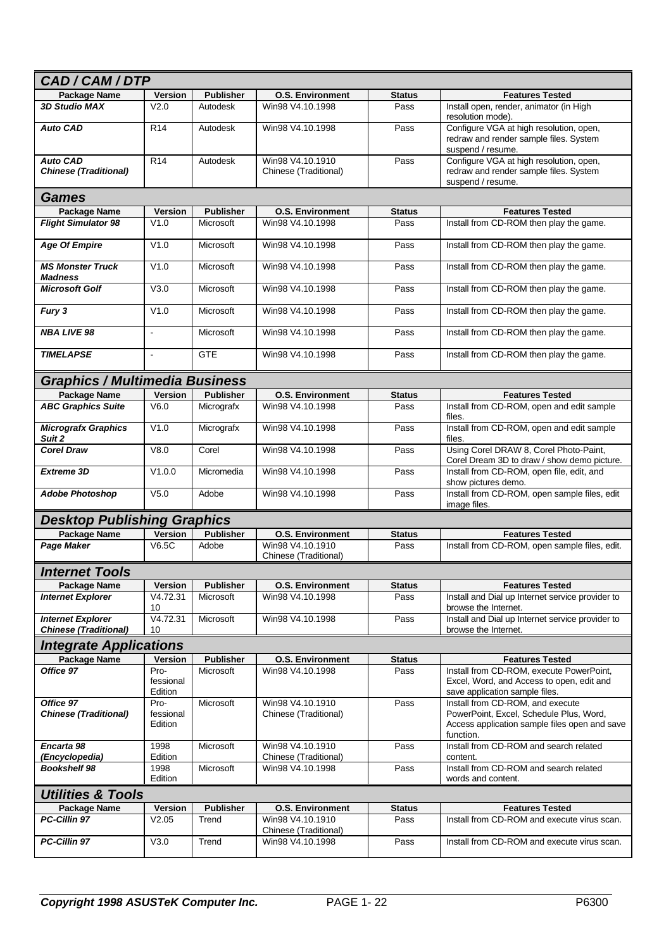| CAD/CAM/DTP                                              |                              |                  |                                           |               |                                                                                                                                           |  |  |
|----------------------------------------------------------|------------------------------|------------------|-------------------------------------------|---------------|-------------------------------------------------------------------------------------------------------------------------------------------|--|--|
| <b>Package Name</b>                                      | <b>Version</b>               | <b>Publisher</b> | <b>O.S. Environment</b>                   | <b>Status</b> | <b>Features Tested</b>                                                                                                                    |  |  |
| <b>3D Studio MAX</b>                                     | V2.0                         | Autodesk         | Win98 V4.10.1998                          | Pass          | Install open, render, animator (in High<br>resolution mode).                                                                              |  |  |
| <b>Auto CAD</b>                                          | R <sub>14</sub>              | Autodesk         | Win98 V4.10.1998                          | Pass          | Configure VGA at high resolution, open,<br>redraw and render sample files. System<br>suspend / resume.                                    |  |  |
| <b>Auto CAD</b><br><b>Chinese (Traditional)</b>          | R <sub>14</sub>              | Autodesk         | Win98 V4.10.1910<br>Chinese (Traditional) | Pass          | Configure VGA at high resolution, open,<br>redraw and render sample files. System<br>suspend / resume.                                    |  |  |
| <b>Games</b>                                             |                              |                  |                                           |               |                                                                                                                                           |  |  |
| <b>Package Name</b>                                      | Version                      | <b>Publisher</b> | <b>O.S. Environment</b>                   | <b>Status</b> | <b>Features Tested</b>                                                                                                                    |  |  |
| <b>Flight Simulator 98</b>                               | V1.0                         | Microsoft        | Win98 V4.10.1998                          | Pass          | Install from CD-ROM then play the game.                                                                                                   |  |  |
| <b>Age Of Empire</b>                                     | V1.0                         | Microsoft        | Win98 V4.10.1998                          | Pass          | Install from CD-ROM then play the game.                                                                                                   |  |  |
| <b>MS Monster Truck</b><br><b>Madness</b>                | V1.0                         | Microsoft        | Win98 V4.10.1998                          | Pass          | Install from CD-ROM then play the game.                                                                                                   |  |  |
| <b>Microsoft Golf</b>                                    | V3.0                         | Microsoft        | Win98 V4.10.1998                          | Pass          | Install from CD-ROM then play the game.                                                                                                   |  |  |
| Fury 3                                                   | V1.0                         | Microsoft        | Win98 V4.10.1998                          | Pass          | Install from CD-ROM then play the game.                                                                                                   |  |  |
| <b>NBA LIVE 98</b>                                       | ÷,                           | Microsoft        | Win98 V4.10.1998                          | Pass          | Install from CD-ROM then play the game.                                                                                                   |  |  |
| <b>TIMELAPSE</b>                                         | $\sim$                       | <b>GTE</b>       | Win98 V4.10.1998                          | Pass          | Install from CD-ROM then play the game.                                                                                                   |  |  |
| <b>Graphics / Multimedia Business</b>                    |                              |                  |                                           |               |                                                                                                                                           |  |  |
| <b>Package Name</b>                                      | <b>Version</b>               | <b>Publisher</b> | <b>O.S. Environment</b>                   | <b>Status</b> | <b>Features Tested</b>                                                                                                                    |  |  |
| <b>ABC Graphics Suite</b>                                | V6.0                         | Micrografx       | Win98 V4.10.1998                          | Pass          | Install from CD-ROM, open and edit sample<br>files.                                                                                       |  |  |
| <b>Micrografx Graphics</b><br>Suit 2                     | V1.0                         | Micrografx       | Win98 V4.10.1998                          | Pass          | Install from CD-ROM, open and edit sample<br>files.                                                                                       |  |  |
| <b>Corel Draw</b>                                        | V8.0                         | Corel            | Win98 V4.10.1998                          | Pass          | Using Corel DRAW 8, Corel Photo-Paint,<br>Corel Dream 3D to draw / show demo picture.                                                     |  |  |
| <b>Extreme 3D</b>                                        | V1.0.0                       | Micromedia       | Win98 V4.10.1998                          | Pass          | Install from CD-ROM, open file, edit, and<br>show pictures demo.                                                                          |  |  |
| <b>Adobe Photoshop</b>                                   | V <sub>5.0</sub>             | Adobe            | Win98 V4.10.1998                          | Pass          | Install from CD-ROM, open sample files, edit<br>image files.                                                                              |  |  |
| <b>Desktop Publishing Graphics</b>                       |                              |                  |                                           |               |                                                                                                                                           |  |  |
| <b>Package Name</b>                                      | Version                      | <b>Publisher</b> | <b>O.S. Environment</b>                   | <b>Status</b> | <b>Features Tested</b>                                                                                                                    |  |  |
| <b>Page Maker</b>                                        | V6.5C                        | Adobe            | Win98 V4.10.1910<br>Chinese (Traditional) | Pass          | Install from CD-ROM, open sample files, edit.                                                                                             |  |  |
| <b>Internet Tools</b>                                    |                              |                  |                                           |               |                                                                                                                                           |  |  |
| Package Name                                             | Version                      | <b>Publisher</b> | <b>O.S. Environment</b>                   | <b>Status</b> | <b>Features Tested</b>                                                                                                                    |  |  |
| <b>Internet Explorer</b>                                 | V4.72.31<br>10               | Microsoft        | Win98 V4.10.1998                          | Pass          | Install and Dial up Internet service provider to<br>browse the Internet.                                                                  |  |  |
| <b>Internet Explorer</b><br><b>Chinese (Traditional)</b> | V4.72.31<br>10               | Microsoft        | Win98 V4.10.1998                          | Pass          | Install and Dial up Internet service provider to<br>browse the Internet.                                                                  |  |  |
| <b>Integrate Applications</b>                            |                              |                  |                                           |               |                                                                                                                                           |  |  |
| Package Name                                             | <b>Version</b>               | <b>Publisher</b> | <b>O.S. Environment</b>                   | <b>Status</b> | <b>Features Tested</b>                                                                                                                    |  |  |
| Office 97                                                | Pro-<br>fessional<br>Edition | Microsoft        | Win98 V4.10.1998                          | Pass          | Install from CD-ROM, execute PowerPoint,<br>Excel, Word, and Access to open, edit and<br>save application sample files.                   |  |  |
| Office 97<br><b>Chinese (Traditional)</b>                | Pro-<br>fessional<br>Edition | Microsoft        | Win98 V4.10.1910<br>Chinese (Traditional) | Pass          | Install from CD-ROM, and execute<br>PowerPoint, Excel, Schedule Plus, Word,<br>Access application sample files open and save<br>function. |  |  |
| Encarta 98<br>(Encyclopedia)                             | 1998<br>Edition              | Microsoft        | Win98 V4.10.1910<br>Chinese (Traditional) | Pass          | Install from CD-ROM and search related<br>content.                                                                                        |  |  |
| <b>Bookshelf 98</b>                                      | 1998<br>Edition              | Microsoft        | Win98 V4.10.1998                          | Pass          | Install from CD-ROM and search related<br>words and content.                                                                              |  |  |
| <b>Utilities &amp; Tools</b>                             |                              |                  |                                           |               |                                                                                                                                           |  |  |
| Package Name                                             | Version                      | <b>Publisher</b> | <b>O.S. Environment</b>                   | <b>Status</b> | <b>Features Tested</b>                                                                                                                    |  |  |
| PC-Cillin 97                                             | V2.05                        | Trend            | Win98 V4.10.1910<br>Chinese (Traditional) | Pass          | Install from CD-ROM and execute virus scan.                                                                                               |  |  |
| PC-Cillin 97                                             | V3.0                         | Trend            | Win98 V4.10.1998                          | Pass          | Install from CD-ROM and execute virus scan.                                                                                               |  |  |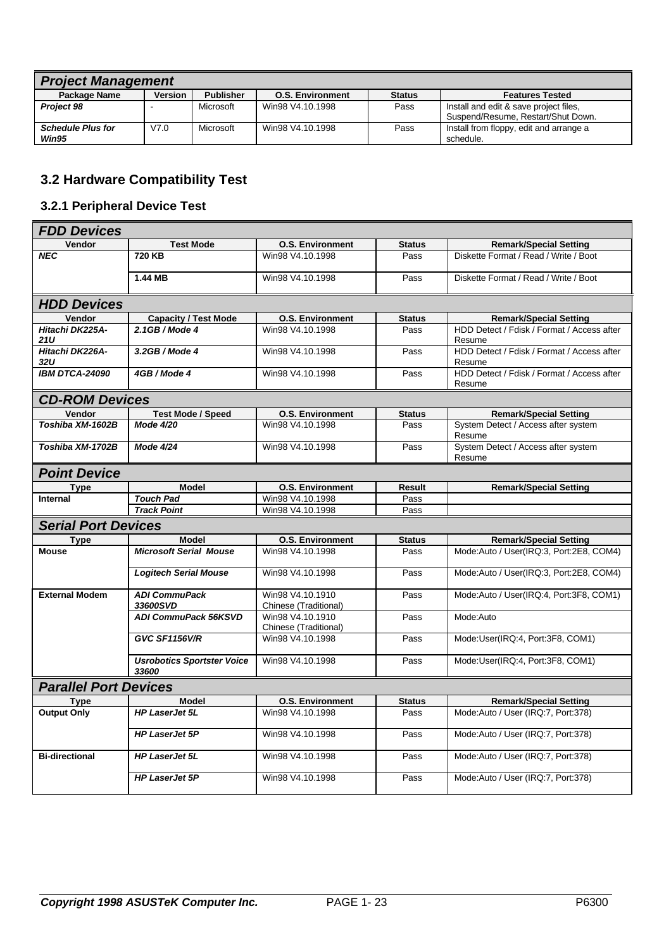| <b>Project Management</b> |                |                  |                         |               |                                         |  |  |
|---------------------------|----------------|------------------|-------------------------|---------------|-----------------------------------------|--|--|
| Package Name              | <b>Version</b> | <b>Publisher</b> | <b>O.S. Environment</b> | <b>Status</b> | <b>Features Tested</b>                  |  |  |
| <b>Project 98</b>         | -              | Microsoft        | Win98 V4.10.1998        | Pass          | Install and edit & save project files.  |  |  |
|                           |                |                  |                         |               | Suspend/Resume, Restart/Shut Down.      |  |  |
| <b>Schedule Plus for</b>  | V7.0           | Microsoft        | Win98 V4.10.1998        | Pass          | Install from floppy, edit and arrange a |  |  |
| Win95                     |                |                  |                         |               | schedule.                               |  |  |

## **3.2 Hardware Compatibility Test**

## **3.2.1 Peripheral Device Test**

| <b>FDD Devices</b>           |                                            |                                           |               |                                                      |  |  |  |
|------------------------------|--------------------------------------------|-------------------------------------------|---------------|------------------------------------------------------|--|--|--|
| Vendor                       | <b>Test Mode</b>                           | <b>O.S. Environment</b>                   | <b>Status</b> | <b>Remark/Special Setting</b>                        |  |  |  |
| <b>NEC</b>                   | 720 KB                                     | Win98 V4.10.1998                          | Pass          | Diskette Format / Read / Write / Boot                |  |  |  |
|                              | 1.44 MB                                    | Win98 V4.10.1998                          | Pass          | Diskette Format / Read / Write / Boot                |  |  |  |
| <b>HDD Devices</b>           |                                            |                                           |               |                                                      |  |  |  |
| Vendor                       | <b>Capacity / Test Mode</b>                | <b>O.S. Environment</b>                   | <b>Status</b> | <b>Remark/Special Setting</b>                        |  |  |  |
| Hitachi DK225A-<br>21U       | 2.1GB / Mode 4                             | Win98 V4.10.1998                          | Pass          | HDD Detect / Fdisk / Format / Access after<br>Resume |  |  |  |
| Hitachi DK226A-<br>32U       | $3.2GB/Mode$ 4                             | Win98 V4.10.1998                          | Pass          | HDD Detect / Fdisk / Format / Access after<br>Resume |  |  |  |
| IBM DTCA-24090               | 4GB / Mode 4                               | Win98 V4.10.1998                          | Pass          | HDD Detect / Fdisk / Format / Access after<br>Resume |  |  |  |
| <b>CD-ROM Devices</b>        |                                            |                                           |               |                                                      |  |  |  |
| Vendor                       | <b>Test Mode / Speed</b>                   | <b>O.S. Environment</b>                   | <b>Status</b> | <b>Remark/Special Setting</b>                        |  |  |  |
| Toshiba XM-1602B             | <b>Mode 4/20</b>                           | Win98 V4.10.1998                          | Pass          | System Detect / Access after system<br>Resume        |  |  |  |
| Toshiba XM-1702B             | <b>Mode 4/24</b>                           | Win98 V4.10.1998                          | Pass          | System Detect / Access after system<br>Resume        |  |  |  |
| <b>Point Device</b>          |                                            |                                           |               |                                                      |  |  |  |
| Type                         | <b>Model</b>                               | <b>O.S. Environment</b>                   | <b>Result</b> | <b>Remark/Special Setting</b>                        |  |  |  |
| <b>Internal</b>              | <b>Touch Pad</b>                           | Win98 V4.10.1998                          | Pass          |                                                      |  |  |  |
|                              | <b>Track Point</b>                         | Win98 V4.10.1998                          | Pass          |                                                      |  |  |  |
| <b>Serial Port Devices</b>   |                                            |                                           |               |                                                      |  |  |  |
| <b>Type</b>                  | <b>Model</b>                               | <b>O.S. Environment</b>                   | <b>Status</b> | <b>Remark/Special Setting</b>                        |  |  |  |
| <b>Mouse</b>                 | <b>Microsoft Serial Mouse</b>              | Win98 V4.10.1998                          | Pass          | Mode:Auto / User(IRQ:3, Port:2E8, COM4)              |  |  |  |
|                              | <b>Logitech Serial Mouse</b>               | Win98 V4.10.1998                          | Pass          | Mode:Auto / User(IRQ:3, Port:2E8, COM4)              |  |  |  |
| <b>External Modem</b>        | <b>ADI CommuPack</b><br>33600SVD           | Win98 V4.10.1910<br>Chinese (Traditional) | Pass          | Mode:Auto / User(IRQ:4, Port:3F8, COM1)              |  |  |  |
|                              | <b>ADI CommuPack 56KSVD</b>                | Win98 V4.10.1910<br>Chinese (Traditional) | Pass          | Mode:Auto                                            |  |  |  |
|                              | <b>GVC SF1156V/R</b>                       | Win98 V4.10.1998                          | Pass          | Mode:User(IRQ:4, Port:3F8, COM1)                     |  |  |  |
|                              | <b>Usrobotics Sportster Voice</b><br>33600 | Win98 V4.10.1998                          | Pass          | Mode:User(IRQ:4, Port:3F8, COM1)                     |  |  |  |
| <b>Parallel Port Devices</b> |                                            |                                           |               |                                                      |  |  |  |
| <b>Type</b>                  | <b>Model</b>                               | <b>O.S. Environment</b>                   | <b>Status</b> | <b>Remark/Special Setting</b>                        |  |  |  |
| <b>Output Only</b>           | <b>HP LaserJet 5L</b>                      | Win98 V4.10.1998                          | Pass          | Mode:Auto / User (IRQ:7, Port:378)                   |  |  |  |
|                              | <b>HP LaserJet 5P</b>                      | Win98 V4.10.1998                          | Pass          | Mode:Auto / User (IRQ:7, Port:378)                   |  |  |  |
| <b>Bi-directional</b>        | <b>HP LaserJet 5L</b>                      | Win98 V4.10.1998                          | Pass          | Mode:Auto / User (IRQ:7, Port:378)                   |  |  |  |
|                              | <b>HP LaserJet 5P</b>                      | Win98 V4.10.1998                          | Pass          | Mode:Auto / User (IRQ:7, Port:378)                   |  |  |  |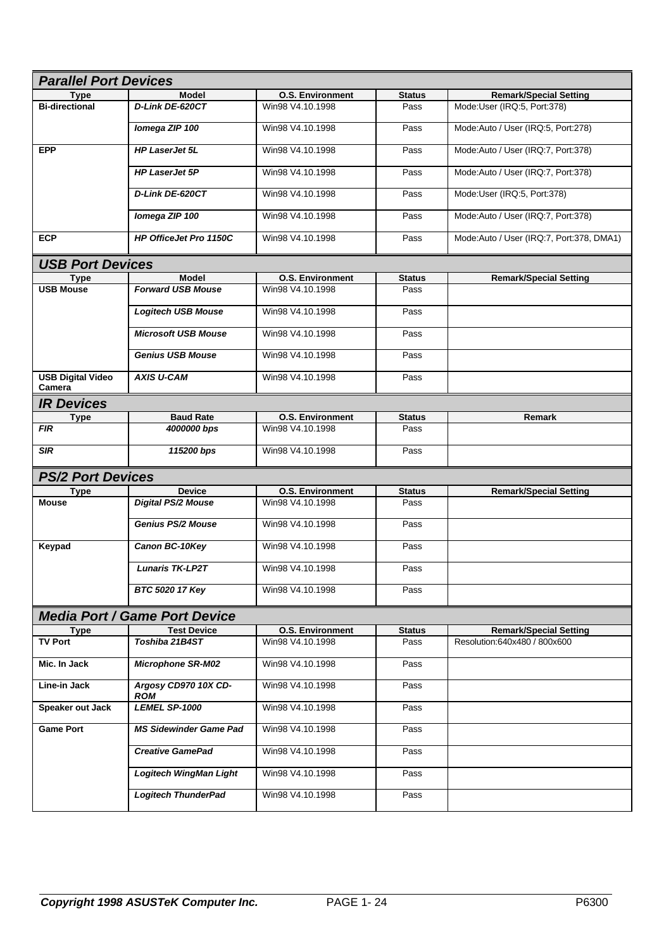| <b>Parallel Port Devices</b>         |                                    |                         |               |                                          |  |  |
|--------------------------------------|------------------------------------|-------------------------|---------------|------------------------------------------|--|--|
| Type                                 | <b>Model</b>                       | <b>O.S. Environment</b> | <b>Status</b> | <b>Remark/Special Setting</b>            |  |  |
| <b>Bi-directional</b>                | <b>D-Link DE-620CT</b>             | Win98 V4.10.1998        | Pass          | Mode:User (IRQ:5, Port:378)              |  |  |
|                                      | Iomega ZIP 100                     | Win98 V4.10.1998        | Pass          | Mode:Auto / User (IRQ:5, Port:278)       |  |  |
| <b>EPP</b>                           | <b>HP LaserJet 5L</b>              | Win98 V4.10.1998        | Pass          | Mode:Auto / User (IRQ:7, Port:378)       |  |  |
|                                      | <b>HP LaserJet 5P</b>              | Win98 V4.10.1998        | Pass          | Mode:Auto / User (IRQ:7, Port:378)       |  |  |
|                                      | D-Link DE-620CT                    | Win98 V4.10.1998        | Pass          | Mode:User (IRQ:5, Port:378)              |  |  |
|                                      | Iomega ZIP 100                     | Win98 V4.10.1998        | Pass          | Mode:Auto / User (IRQ:7, Port:378)       |  |  |
| <b>ECP</b>                           | <b>HP OfficeJet Pro 1150C</b>      | Win98 V4.10.1998        | Pass          | Mode:Auto / User (IRQ:7, Port:378, DMA1) |  |  |
| <b>USB Port Devices</b>              |                                    |                         |               |                                          |  |  |
| <b>Type</b>                          | <b>Model</b>                       | <b>O.S. Environment</b> | <b>Status</b> | <b>Remark/Special Setting</b>            |  |  |
| <b>USB Mouse</b>                     | <b>Forward USB Mouse</b>           | Win98 V4.10.1998        | Pass          |                                          |  |  |
|                                      | <b>Logitech USB Mouse</b>          | Win98 V4.10.1998        | Pass          |                                          |  |  |
|                                      | <b>Microsoft USB Mouse</b>         | Win98 V4.10.1998        | Pass          |                                          |  |  |
|                                      | <b>Genius USB Mouse</b>            | Win98 V4.10.1998        | Pass          |                                          |  |  |
| <b>USB Digital Video</b><br>Camera   | <b>AXIS U-CAM</b>                  | Win98 V4.10.1998        | Pass          |                                          |  |  |
| <b>IR Devices</b>                    |                                    |                         |               |                                          |  |  |
| <b>Type</b>                          | <b>Baud Rate</b>                   | <b>O.S. Environment</b> | <b>Status</b> | Remark                                   |  |  |
| <b>FIR</b>                           | 4000000 bps                        | Win98 V4.10.1998        | Pass          |                                          |  |  |
| <b>SIR</b>                           | 115200 bps                         | Win98 V4.10.1998        | Pass          |                                          |  |  |
| <b>PS/2 Port Devices</b>             |                                    |                         |               |                                          |  |  |
| <b>Type</b>                          | <b>Device</b>                      | <b>O.S. Environment</b> | <b>Status</b> | <b>Remark/Special Setting</b>            |  |  |
| <b>Mouse</b>                         | <b>Digital PS/2 Mouse</b>          | Win98 V4.10.1998        | Pass          |                                          |  |  |
|                                      | <b>Genius PS/2 Mouse</b>           | Win98 V4.10.1998        |               |                                          |  |  |
|                                      |                                    |                         | Pass          |                                          |  |  |
| Keypad                               | Canon BC-10Key                     | Win98 V4.10.1998        | Pass          |                                          |  |  |
|                                      | <b>Lunaris TK-LP2T</b>             | Win98 V4.10.1998        | Pass          |                                          |  |  |
|                                      | BTC 5020 17 Key                    | Win98 V4.10.1998        | Pass          |                                          |  |  |
| <b>Media Port / Game Port Device</b> |                                    |                         |               |                                          |  |  |
| <b>Type</b>                          | <b>Test Device</b>                 | <b>O.S. Environment</b> | <b>Status</b> | <b>Remark/Special Setting</b>            |  |  |
| TV Port                              | Toshiba 21B4ST                     | Win98 V4.10.1998        | Pass          | Resolution:640x480 / 800x600             |  |  |
| Mic. In Jack                         | <b>Microphone SR-M02</b>           | Win98 V4.10.1998        | Pass          |                                          |  |  |
| Line-in Jack                         | Argosy CD970 10X CD-<br><b>ROM</b> | Win98 V4.10.1998        | Pass          |                                          |  |  |
| Speaker out Jack                     | <b>LEMEL SP-1000</b>               | Win98 V4.10.1998        | Pass          |                                          |  |  |
| <b>Game Port</b>                     | <b>MS Sidewinder Game Pad</b>      | Win98 V4.10.1998        | Pass          |                                          |  |  |
|                                      | <b>Creative GamePad</b>            | Win98 V4.10.1998        | Pass          |                                          |  |  |
|                                      | <b>Logitech WingMan Light</b>      | Win98 V4.10.1998        | Pass          |                                          |  |  |
|                                      | <b>Logitech ThunderPad</b>         | Win98 V4.10.1998        | Pass          |                                          |  |  |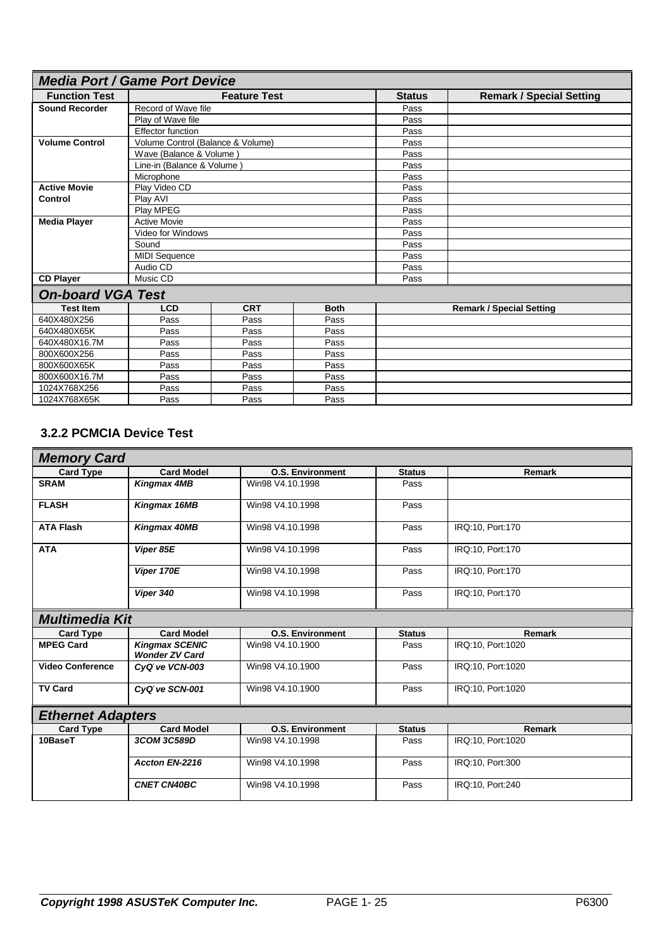| <b>Media Port / Game Port Device</b> |                                   |            |             |               |                                 |
|--------------------------------------|-----------------------------------|------------|-------------|---------------|---------------------------------|
| <b>Function Test</b>                 | <b>Feature Test</b>               |            |             | <b>Status</b> | <b>Remark / Special Setting</b> |
| <b>Sound Recorder</b>                | Record of Wave file               |            |             | Pass          |                                 |
|                                      | Play of Wave file                 |            |             | Pass          |                                 |
|                                      | <b>Effector function</b>          |            |             | Pass          |                                 |
| <b>Volume Control</b>                | Volume Control (Balance & Volume) |            |             | Pass          |                                 |
|                                      | Wave (Balance & Volume)           |            |             | Pass          |                                 |
|                                      | Line-in (Balance & Volume)        |            |             | Pass          |                                 |
|                                      | Microphone                        |            |             | Pass          |                                 |
| <b>Active Movie</b>                  | Play Video CD                     |            |             | Pass          |                                 |
| <b>Control</b>                       | Play AVI                          |            |             | Pass          |                                 |
|                                      | Play MPEG                         |            |             |               |                                 |
| <b>Media Player</b>                  | <b>Active Movie</b>               |            |             | Pass          |                                 |
| Video for Windows                    |                                   |            |             | Pass          |                                 |
|                                      | Sound                             |            |             | Pass          |                                 |
|                                      | <b>MIDI Sequence</b>              |            |             | Pass          |                                 |
|                                      | Audio CD                          |            |             | Pass          |                                 |
| <b>CD Player</b>                     | Music CD                          |            |             | Pass          |                                 |
| <b>On-board VGA Test</b>             |                                   |            |             |               |                                 |
| <b>Test Item</b>                     | <b>LCD</b>                        | <b>CRT</b> | <b>Both</b> |               | <b>Remark / Special Setting</b> |
| 640X480X256                          | Pass                              | Pass       | Pass        |               |                                 |
| 640X480X65K                          | Pass                              | Pass       | Pass        |               |                                 |
| 640X480X16.7M                        | Pass                              | Pass       | Pass        |               |                                 |
| 800X600X256                          | Pass                              | Pass       | Pass        |               |                                 |
| 800X600X65K                          | Pass<br>Pass<br>Pass              |            |             |               |                                 |
| 800X600X16.7M                        | Pass<br>Pass<br>Pass              |            |             |               |                                 |
| 1024X768X256                         | Pass<br>Pass<br>Pass              |            |             |               |                                 |
| 1024X768X65K                         | Pass<br>Pass<br>Pass              |            |             |               |                                 |

## **3.2.2 PCMCIA Device Test**

| <b>Memory Card</b>       |                                                |                         |               |                   |  |
|--------------------------|------------------------------------------------|-------------------------|---------------|-------------------|--|
| <b>Card Type</b>         | <b>Card Model</b>                              | <b>O.S. Environment</b> | <b>Status</b> | Remark            |  |
| <b>SRAM</b>              | <b>Kingmax 4MB</b>                             | Win98 V4.10.1998        | Pass          |                   |  |
| <b>FLASH</b>             | Kingmax 16MB                                   | Win98 V4.10.1998        | Pass          |                   |  |
| <b>ATA Flash</b>         | Kingmax 40MB                                   | Win98 V4.10.1998        | Pass          | IRQ:10, Port:170  |  |
| <b>ATA</b>               | Viper 85E                                      | Win98 V4.10.1998        | Pass          | IRQ:10, Port:170  |  |
|                          | Viper 170E                                     | Win98 V4.10.1998        | Pass          | IRQ:10, Port:170  |  |
|                          | Viper 340                                      | Win98 V4.10.1998        | Pass          | IRQ:10, Port:170  |  |
| <b>Multimedia Kit</b>    |                                                |                         |               |                   |  |
| <b>Card Type</b>         | <b>Card Model</b>                              | <b>O.S. Environment</b> | <b>Status</b> | <b>Remark</b>     |  |
| <b>MPEG Card</b>         | <b>Kingmax SCENIC</b><br><b>Wonder ZV Card</b> | Win98 V4.10.1900        | Pass          | IRQ:10, Port:1020 |  |
| <b>Video Conference</b>  | CyQtve VCN-003                                 | Win98 V4.10.1900        | Pass          | IRQ:10, Port:1020 |  |
| <b>TV Card</b>           | CyQtve SCN-001                                 | Win98 V4.10.1900        | Pass          | IRQ:10, Port:1020 |  |
| <b>Ethernet Adapters</b> |                                                |                         |               |                   |  |
| <b>Card Type</b>         | <b>Card Model</b>                              | <b>O.S. Environment</b> | <b>Status</b> | <b>Remark</b>     |  |
| 10BaseT                  | 3COM 3C589D                                    | Win98 V4.10.1998        | Pass          | IRQ:10, Port:1020 |  |
|                          | Accton EN-2216                                 | Win98 V4.10.1998        | Pass          | IRQ:10, Port:300  |  |
|                          | <b>CNET CN40BC</b>                             | Win98 V4.10.1998        | Pass          | IRQ:10, Port:240  |  |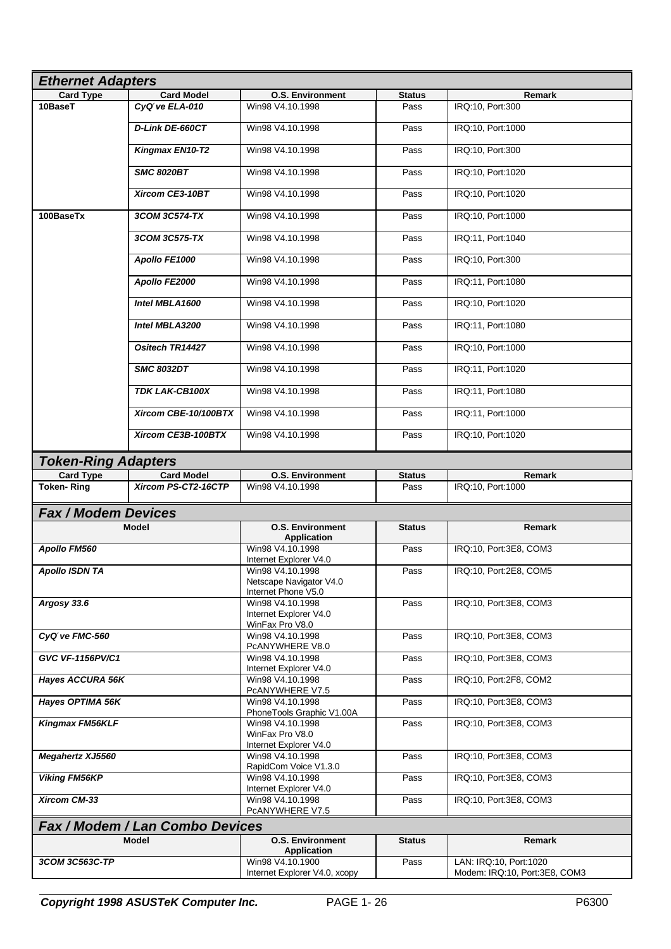| <b>Ethernet Adapters</b>        |                        |                                                                    |               |                               |  |
|---------------------------------|------------------------|--------------------------------------------------------------------|---------------|-------------------------------|--|
| <b>Card Type</b>                | <b>Card Model</b>      | <b>O.S. Environment</b>                                            | <b>Status</b> | Remark                        |  |
| 10BaseT                         | CyQtve ELA-010         | Win98 V4.10.1998                                                   | Pass          | IRQ:10, Port:300              |  |
|                                 | D-Link DE-660CT        | Win98 V4.10.1998                                                   | Pass          | IRQ:10, Port:1000             |  |
|                                 | Kingmax EN10-T2        | Win98 V4.10.1998                                                   | Pass          | IRQ:10, Port:300              |  |
|                                 | <b>SMC 8020BT</b>      | Win98 V4.10.1998                                                   | Pass          | IRQ:10, Port:1020             |  |
|                                 | Xircom CE3-10BT        | Win98 V4.10.1998                                                   | Pass          | IRQ:10, Port:1020             |  |
| 100BaseTx                       | 3COM 3C574-TX          | Win98 V4.10.1998                                                   | Pass          | IRQ:10, Port:1000             |  |
|                                 | 3COM 3C575-TX          | Win98 V4.10.1998                                                   | Pass          | IRQ:11, Port:1040             |  |
|                                 | Apollo FE1000          | Win98 V4.10.1998                                                   | Pass          | IRQ:10, Port:300              |  |
|                                 | Apollo FE2000          | Win98 V4.10.1998                                                   | Pass          | IRQ:11, Port:1080             |  |
|                                 | Intel MBLA1600         | Win98 V4.10.1998                                                   | Pass          | IRQ:10, Port:1020             |  |
|                                 | Intel MBLA3200         | Win98 V4.10.1998                                                   | Pass          | IRQ:11, Port:1080             |  |
|                                 | <b>Ositech TR14427</b> | Win98 V4.10.1998                                                   | Pass          | IRQ:10, Port:1000             |  |
|                                 | <b>SMC 8032DT</b>      | Win98 V4.10.1998                                                   | Pass          | IRQ:11, Port:1020             |  |
|                                 | TDK LAK-CB100X         | Win98 V4.10.1998                                                   | Pass          | IRQ:11, Port:1080             |  |
|                                 | Xircom CBE-10/100BTX   | Win98 V4.10.1998                                                   | Pass          | IRQ:11, Port:1000             |  |
|                                 | Xircom CE3B-100BTX     | Win98 V4.10.1998                                                   | Pass          | IRQ:10, Port:1020             |  |
| <b>Token-Ring Adapters</b>      |                        |                                                                    |               |                               |  |
| <b>Card Type</b>                | <b>Card Model</b>      | <b>O.S. Environment</b>                                            | Status        | Remark                        |  |
| <b>Token-Ring</b>               | Xircom PS-CT2-16CTP    | Win98 V4.10.1998                                                   | Pass          | IRQ:10, Port:1000             |  |
| <b>Fax / Modem Devices</b>      |                        |                                                                    |               |                               |  |
|                                 | <b>Model</b>           | <b>O.S. Environment</b>                                            | <b>Status</b> | Remark                        |  |
|                                 |                        | <b>Application</b>                                                 |               |                               |  |
| Apollo FM560                    |                        | Win98 V4.10.1998<br>Internet Explorer V4.0                         | Pass          | IRQ:10, Port:3E8, COM3        |  |
| <b>Apollo ISDN TA</b>           |                        | Win98 V4.10.1998<br>Netscape Navigator V4.0<br>Internet Phone V5.0 | Pass          | IRQ:10, Port:2E8, COM5        |  |
| Argosy 33.6                     |                        | Win98 V4.10.1998<br>Internet Explorer V4.0<br>WinFax Pro V8.0      | Pass          | IRQ:10, Port:3E8, COM3        |  |
| CyQtve FMC-560                  |                        | Win98 V4.10.1998<br>PCANYWHERE V8.0                                | Pass          | IRQ:10, Port:3E8, COM3        |  |
| GVC VF-1156PV/C1                |                        | Win98 V4.10.1998<br>Internet Explorer V4.0                         | Pass          | IRQ:10. Port:3E8. COM3        |  |
| <b>Hayes ACCURA 56K</b>         |                        | Win98 V4.10.1998<br>PCANYWHERE V7.5                                | Pass          | IRQ:10, Port:2F8, COM2        |  |
| <b>Hayes OPTIMA 56K</b>         |                        | Win98 V4.10.1998<br>PhoneTools Graphic V1.00A                      | Pass          | IRQ:10. Port:3E8. COM3        |  |
| Kingmax FM56KLF                 |                        | Win98 V4.10.1998<br>WinFax Pro V8.0<br>Internet Explorer V4.0      | Pass          | IRQ:10, Port:3E8, COM3        |  |
| <b>Megahertz XJ5560</b>         |                        | Win98 V4.10.1998<br>RapidCom Voice V1.3.0                          | Pass          | IRQ:10, Port:3E8, COM3        |  |
| <b>Viking FM56KP</b>            |                        | Win98 V4.10.1998<br>Internet Explorer V4.0                         | Pass          | IRQ:10, Port:3E8, COM3        |  |
| Xircom CM-33                    |                        | Win98 V4.10.1998<br>PCANYWHERE V7.5                                | Pass          | IRQ:10, Port:3E8, COM3        |  |
| Fax / Modem / Lan Combo Devices |                        |                                                                    |               |                               |  |
|                                 | <b>Model</b>           | <b>O.S. Environment</b><br><b>Application</b>                      | <b>Status</b> | Remark                        |  |
| 3COM 3C563C-TP                  |                        | Win98 V4.10.1900                                                   | Pass          | LAN: IRQ:10, Port:1020        |  |
|                                 |                        | Internet Explorer V4.0, xcopy                                      |               | Modem: IRQ:10, Port:3E8, COM3 |  |